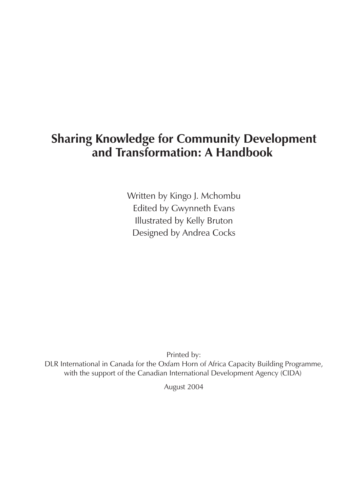# **Sharing Knowledge for Community Development and Transformation: A Handbook**

Written by Kingo J. Mchombu Edited by Gwynneth Evans Illustrated by Kelly Bruton Designed by Andrea Cocks

Printed by: DLR International in Canada for the Oxfam Horn of Africa Capacity Building Programme, with the support of the Canadian International Development Agency (CIDA)

August 2004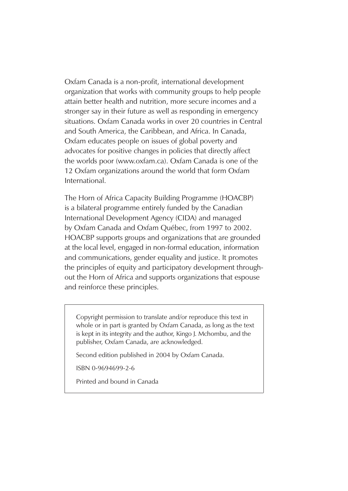Oxfam Canada is a non-profit, international development organization that works with community groups to help people attain better health and nutrition, more secure incomes and a stronger say in their future as well as responding in emergency situations. Oxfam Canada works in over 20 countries in Central and South America, the Caribbean, and Africa. In Canada, Oxfam educates people on issues of global poverty and advocates for positive changes in policies that directly affect the worlds poor (www.oxfam.ca). Oxfam Canada is one of the 12 Oxfam organizations around the world that form Oxfam International.

The Horn of Africa Capacity Building Programme (HOACBP) is a bilateral programme entirely funded by the Canadian International Development Agency (CIDA) and managed by Oxfam Canada and Oxfam Québec, from 1997 to 2002. HOACBP supports groups and organizations that are grounded at the local level, engaged in non-formal education, information and communications, gender equality and justice. It promotes the principles of equity and participatory development throughout the Horn of Africa and supports organizations that espouse and reinforce these principles.

Copyright permission to translate and/or reproduce this text in whole or in part is granted by Oxfam Canada, as long as the text is kept in its integrity and the author, Kingo J. Mchombu, and the publisher, Oxfam Canada, are acknowledged.

Second edition published in 2004 by Oxfam Canada.

ISBN 0-9694699-2-6

Printed and bound in Canada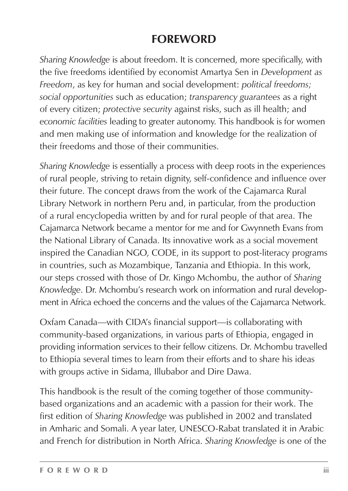# **FOREWORD**

*Sharing Knowledge* is about freedom. It is concerned, more specifically, with the five freedoms identified by economist Amartya Sen in *Development as Freedom*, as key for human and social development: *political freedoms; social opportunities* such as education; *transparency guarantees* as a right of every citizen; *protective security* against risks, such as ill health; and *economic facilities* leading to greater autonomy. This handbook is for women and men making use of information and knowledge for the realization of their freedoms and those of their communities.

*Sharing Knowledge* is essentially a process with deep roots in the experiences of rural people, striving to retain dignity, self-confidence and influence over their future. The concept draws from the work of the Cajamarca Rural Library Network in northern Peru and, in particular, from the production of a rural encyclopedia written by and for rural people of that area. The Cajamarca Network became a mentor for me and for Gwynneth Evans from the National Library of Canada. Its innovative work as a social movement inspired the Canadian NGO, CODE, in its support to post-literacy programs in countries, such as Mozambique, Tanzania and Ethiopia. In this work, our steps crossed with those of Dr. Kingo Mchombu, the author of *Sharing Knowledge*. Dr. Mchombu's research work on information and rural development in Africa echoed the concerns and the values of the Cajamarca Network.

Oxfam Canada—with CIDA's financial support—is collaborating with community-based organizations, in various parts of Ethiopia, engaged in providing information services to their fellow citizens. Dr. Mchombu travelled to Ethiopia several times to learn from their efforts and to share his ideas with groups active in Sidama, Illubabor and Dire Dawa.

This handbook is the result of the coming together of those communitybased organizations and an academic with a passion for their work. The first edition of *Sharing Knowledge* was published in 2002 and translated in Amharic and Somali. A year later, UNESCO-Rabat translated it in Arabic and French for distribution in North Africa. *Sharing Knowledge* is one of the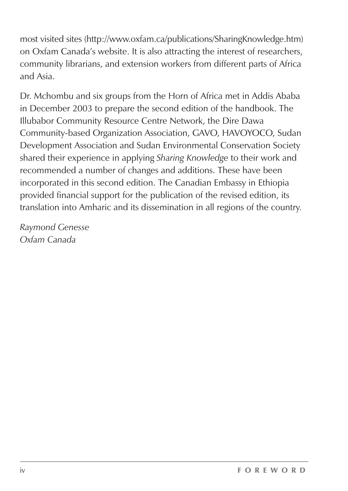most visited sites (http://www.oxfam.ca/publications/SharingKnowledge.htm) on Oxfam Canada's website. It is also attracting the interest of researchers, community librarians, and extension workers from different parts of Africa and Asia.

Dr. Mchombu and six groups from the Horn of Africa met in Addis Ababa in December 2003 to prepare the second edition of the handbook. The Illubabor Community Resource Centre Network, the Dire Dawa Community-based Organization Association, GAVO, HAVOYOCO, Sudan Development Association and Sudan Environmental Conservation Society shared their experience in applying *Sharing Knowledge* to their work and recommended a number of changes and additions. These have been incorporated in this second edition. The Canadian Embassy in Ethiopia provided financial support for the publication of the revised edition, its translation into Amharic and its dissemination in all regions of the country.

*Raymond Genesse Oxfam Canada*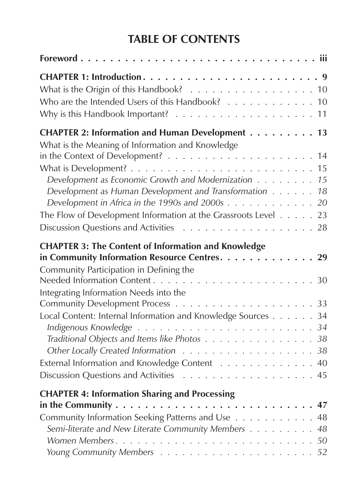# **TABLE OF CONTENTS**

| What is the Origin of this Handbook? 10<br>Who are the Intended Users of this Handbook? 10                                                                                                                                         |
|------------------------------------------------------------------------------------------------------------------------------------------------------------------------------------------------------------------------------------|
| CHAPTER 2: Information and Human Development 13<br>What is the Meaning of Information and Knowledge                                                                                                                                |
| Development as Economic Growth and Modernization 15<br>Development as Human Development and Transformation 18<br>Development in Africa in the 1990s and 2000s 20<br>The Flow of Development Information at the Grassroots Level 23 |
| <b>CHAPTER 3: The Content of Information and Knowledge</b><br>in Community Information Resource Centres. 29<br>Community Participation in Defining the                                                                             |
| Integrating Information Needs into the<br>Local Content: Internal Information and Knowledge Sources 34<br>Traditional Objects and Items like Photos 38<br>External Information and Knowledge Content 40                            |
| <b>CHAPTER 4: Information Sharing and Processing</b><br>in the Community $\dots \dots \dots \dots \dots \dots \dots \dots \dots \dots \dots \dots \dots 47$<br>Community Information Seeking Patterns and Use 48                   |
| Semi-literate and New Literate Community Members 48                                                                                                                                                                                |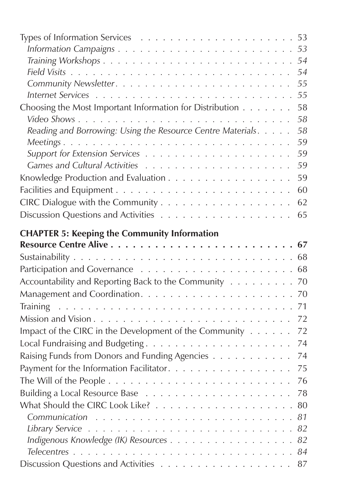|                                                             | 54 |
|-------------------------------------------------------------|----|
|                                                             | 55 |
|                                                             | 55 |
| Choosing the Most Important Information for Distribution    | 58 |
|                                                             | 58 |
| Reading and Borrowing: Using the Resource Centre Materials. | 58 |
|                                                             | 59 |
|                                                             | 59 |
|                                                             | 59 |
| Knowledge Production and Evaluation                         | 59 |
|                                                             | 60 |
|                                                             | 62 |
|                                                             | 65 |
| <b>CHAPTER 5: Keeping the Community Information</b>         |    |
|                                                             | 67 |
|                                                             |    |
|                                                             | 68 |
| Accountability and Reporting Back to the Community          | 70 |
|                                                             | 70 |
|                                                             | 71 |
|                                                             | 72 |
| Impact of the CIRC in the Development of the Community      | 72 |
|                                                             | 74 |
| Raising Funds from Donors and Funding Agencies              | 74 |
| Payment for the Information Facilitator.                    | 75 |
|                                                             | 76 |
|                                                             | 78 |
|                                                             | 80 |
| Communication                                               | 81 |
|                                                             | 82 |
|                                                             | 82 |
|                                                             | 84 |
|                                                             | 87 |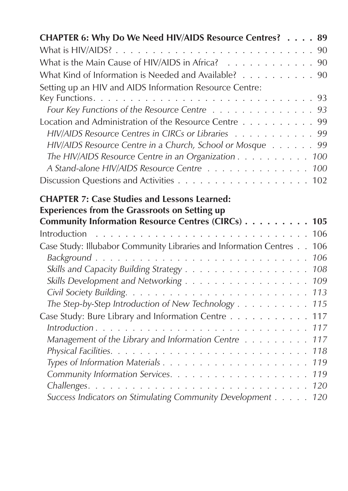| CHAPTER 6: Why Do We Need HIV/AIDS Resource Centres? 89                                                     |
|-------------------------------------------------------------------------------------------------------------|
| 90                                                                                                          |
| What is the Main Cause of HIV/AIDS in Africa?<br>90                                                         |
| What Kind of Information is Needed and Available? 90                                                        |
| Setting up an HIV and AIDS Information Resource Centre:                                                     |
| 93                                                                                                          |
| Four Key Functions of the Resource Centre<br>93                                                             |
| Location and Administration of the Resource Centre<br>99                                                    |
| HIV/AIDS Resource Centres in CIRCs or Libraries 99                                                          |
| HIV/AIDS Resource Centre in a Church, School or Mosque 99                                                   |
| The HIV/AIDS Resource Centre in an Organization<br>100                                                      |
| A Stand-alone HIV/AIDS Resource Centre<br>100                                                               |
| 102                                                                                                         |
| <b>CHAPTER 7: Case Studies and Lessons Learned:</b><br><b>Experiences from the Grassroots on Setting up</b> |
| Community Information Resource Centres (CIRCs)<br>105                                                       |
| Introduction<br>106                                                                                         |
| Case Study: Illubabor Community Libraries and Information Centres<br>106                                    |
| 106                                                                                                         |
| 108                                                                                                         |
| Skills Development and Networking<br>109                                                                    |
| 113<br>The Step-by-Step Introduction of New Technology<br>115                                               |
| Case Study: Bure Library and Information Centre<br>117                                                      |
| 117                                                                                                         |
| Management of the Library and Information Centre<br>117                                                     |
| 118                                                                                                         |
| 119                                                                                                         |
| 119                                                                                                         |
| 120                                                                                                         |
| Success Indicators on Stimulating Community Development<br>120                                              |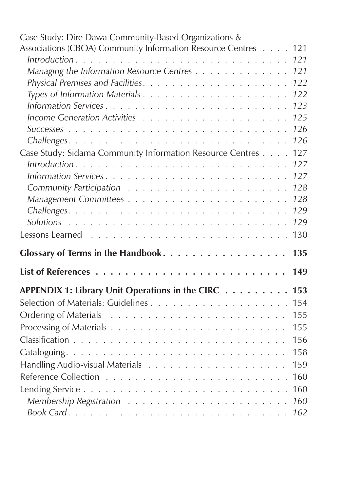| Case Study: Dire Dawa Community-Based Organizations &             |  |
|-------------------------------------------------------------------|--|
| Associations (CBOA) Community Information Resource Centres<br>121 |  |
| 121                                                               |  |
| Managing the Information Resource Centres<br>121                  |  |
| 122                                                               |  |
| 122                                                               |  |
| 123                                                               |  |
| 125                                                               |  |
| 126                                                               |  |
| 126                                                               |  |
| Case Study: Sidama Community Information Resource Centres<br>127  |  |
| 127                                                               |  |
| 127                                                               |  |
| 128                                                               |  |
| 128                                                               |  |
| 129                                                               |  |
| 129                                                               |  |
|                                                                   |  |
| 130                                                               |  |
| Glossary of Terms in the Handbook.<br>135                         |  |
| 149                                                               |  |
|                                                                   |  |
| APPENDIX 1: Library Unit Operations in the CIRC<br>153            |  |
| 154                                                               |  |
| 155                                                               |  |
| 155                                                               |  |
| 156                                                               |  |
| 158                                                               |  |
| 159                                                               |  |
| 160                                                               |  |
| 160                                                               |  |
| 160                                                               |  |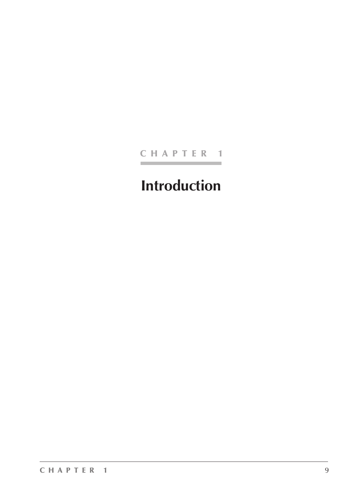#### CHAPTER 1

# **Introduction**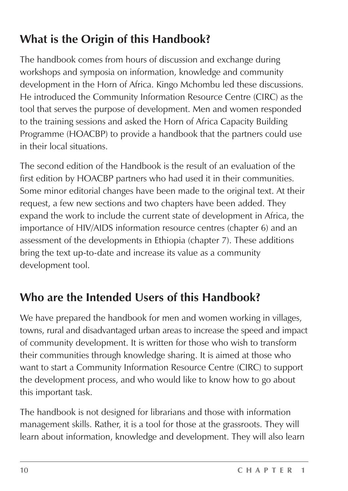# **What is the Origin of this Handbook?**

The handbook comes from hours of discussion and exchange during workshops and symposia on information, knowledge and community development in the Horn of Africa. Kingo Mchombu led these discussions. He introduced the Community Information Resource Centre (CIRC) as the tool that serves the purpose of development. Men and women responded to the training sessions and asked the Horn of Africa Capacity Building Programme (HOACBP) to provide a handbook that the partners could use in their local situations.

The second edition of the Handbook is the result of an evaluation of the first edition by HOACBP partners who had used it in their communities. Some minor editorial changes have been made to the original text. At their request, a few new sections and two chapters have been added. They expand the work to include the current state of development in Africa, the importance of HIV/AIDS information resource centres (chapter 6) and an assessment of the developments in Ethiopia (chapter 7). These additions bring the text up-to-date and increase its value as a community development tool.

# **Who are the Intended Users of this Handbook?**

We have prepared the handbook for men and women working in villages, towns, rural and disadvantaged urban areas to increase the speed and impact of community development. It is written for those who wish to transform their communities through knowledge sharing. It is aimed at those who want to start a Community Information Resource Centre (CIRC) to support the development process, and who would like to know how to go about this important task.

The handbook is not designed for librarians and those with information management skills. Rather, it is a tool for those at the grassroots. They will learn about information, knowledge and development. They will also learn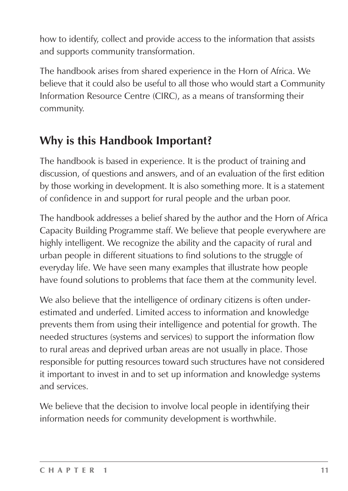how to identify, collect and provide access to the information that assists and supports community transformation.

The handbook arises from shared experience in the Horn of Africa. We believe that it could also be useful to all those who would start a Community Information Resource Centre (CIRC), as a means of transforming their community.

# **Why is this Handbook Important?**

The handbook is based in experience. It is the product of training and discussion, of questions and answers, and of an evaluation of the first edition by those working in development. It is also something more. It is a statement of confidence in and support for rural people and the urban poor.

The handbook addresses a belief shared by the author and the Horn of Africa Capacity Building Programme staff. We believe that people everywhere are highly intelligent. We recognize the ability and the capacity of rural and urban people in different situations to find solutions to the struggle of everyday life. We have seen many examples that illustrate how people have found solutions to problems that face them at the community level.

We also believe that the intelligence of ordinary citizens is often underestimated and underfed. Limited access to information and knowledge prevents them from using their intelligence and potential for growth. The needed structures (systems and services) to support the information flow to rural areas and deprived urban areas are not usually in place. Those responsible for putting resources toward such structures have not considered it important to invest in and to set up information and knowledge systems and services.

We believe that the decision to involve local people in identifying their information needs for community development is worthwhile.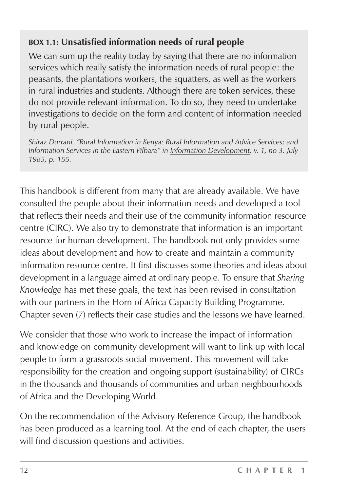#### **BOX 1.1: Unsatisfied information needs of rural people**

We can sum up the reality today by saying that there are no information services which really satisfy the information needs of rural people: the peasants, the plantations workers, the squatters, as well as the workers in rural industries and students. Although there are token services, these do not provide relevant information. To do so, they need to undertake investigations to decide on the form and content of information needed by rural people.

*Shiraz Durrani. "Rural Information in Kenya: Rural Information and Advice Services; and Information Services in the Eastern Pilbara" in Information Development, v. 1, no 3. July 1985, p. 155.*

This handbook is different from many that are already available. We have consulted the people about their information needs and developed a tool that reflects their needs and their use of the community information resource centre (CIRC). We also try to demonstrate that information is an important resource for human development. The handbook not only provides some ideas about development and how to create and maintain a community information resource centre. It first discusses some theories and ideas about development in a language aimed at ordinary people. To ensure that *Sharing Knowledge* has met these goals, the text has been revised in consultation with our partners in the Horn of Africa Capacity Building Programme. Chapter seven (7) reflects their case studies and the lessons we have learned.

We consider that those who work to increase the impact of information and knowledge on community development will want to link up with local people to form a grassroots social movement. This movement will take responsibility for the creation and ongoing support (sustainability) of CIRCs in the thousands and thousands of communities and urban neighbourhoods of Africa and the Developing World.

On the recommendation of the Advisory Reference Group, the handbook has been produced as a learning tool. At the end of each chapter, the users will find discussion questions and activities.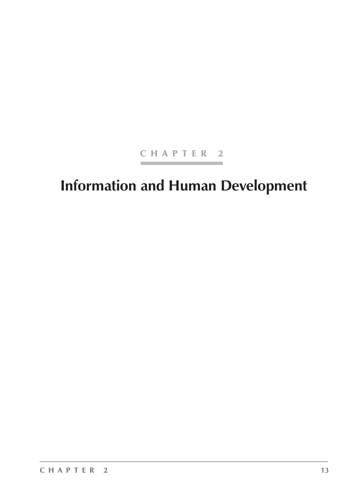#### CHAPTER 2

# **Information and Human Development**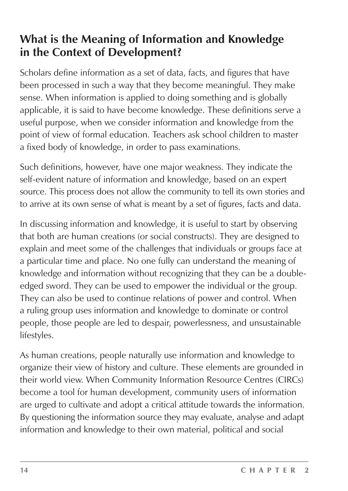# **What is the Meaning of Information and Knowledge in the Context of Development?**

Scholars define information as a set of data, facts, and figures that have been processed in such a way that they become meaningful. They make sense. When information is applied to doing something and is globally applicable, it is said to have become knowledge. These definitions serve a useful purpose, when we consider information and knowledge from the point of view of formal education. Teachers ask school children to master a fixed body of knowledge, in order to pass examinations.

Such definitions, however, have one major weakness. They indicate the self-evident nature of information and knowledge, based on an expert source. This process does not allow the community to tell its own stories and to arrive at its own sense of what is meant by a set of figures, facts and data.

In discussing information and knowledge, it is useful to start by observing that both are human creations (or social constructs). They are designed to explain and meet some of the challenges that individuals or groups face at a particular time and place. No one fully can understand the meaning of knowledge and information without recognizing that they can be a doubleedged sword. They can be used to empower the individual or the group. They can also be used to continue relations of power and control. When a ruling group uses information and knowledge to dominate or control people, those people are led to despair, powerlessness, and unsustainable lifestyles.

As human creations, people naturally use information and knowledge to organize their view of history and culture. These elements are grounded in their world view. When Community Information Resource Centres (CIRCs) become a tool for human development, community users of information are urged to cultivate and adopt a critical attitude towards the information. By questioning the information source they may evaluate, analyse and adapt information and knowledge to their own material, political and social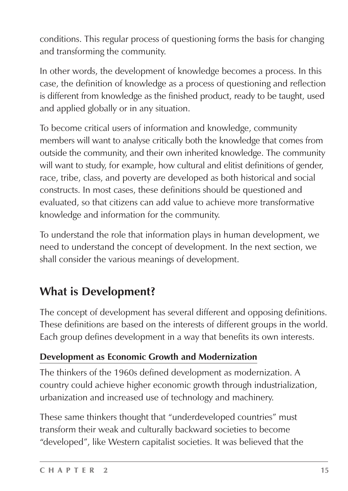conditions. This regular process of questioning forms the basis for changing and transforming the community.

In other words, the development of knowledge becomes a process. In this case, the definition of knowledge as a process of questioning and reflection is different from knowledge as the finished product, ready to be taught, used and applied globally or in any situation.

To become critical users of information and knowledge, community members will want to analyse critically both the knowledge that comes from outside the community, and their own inherited knowledge. The community will want to study, for example, how cultural and elitist definitions of gender, race, tribe, class, and poverty are developed as both historical and social constructs. In most cases, these definitions should be questioned and evaluated, so that citizens can add value to achieve more transformative knowledge and information for the community.

To understand the role that information plays in human development, we need to understand the concept of development. In the next section, we shall consider the various meanings of development.

# **What is Development?**

The concept of development has several different and opposing definitions. These definitions are based on the interests of different groups in the world. Each group defines development in a way that benefits its own interests.

### **Development as Economic Growth and Modernization**

The thinkers of the 1960s defined development as modernization. A country could achieve higher economic growth through industrialization, urbanization and increased use of technology and machinery.

These same thinkers thought that "underdeveloped countries" must transform their weak and culturally backward societies to become "developed", like Western capitalist societies. It was believed that the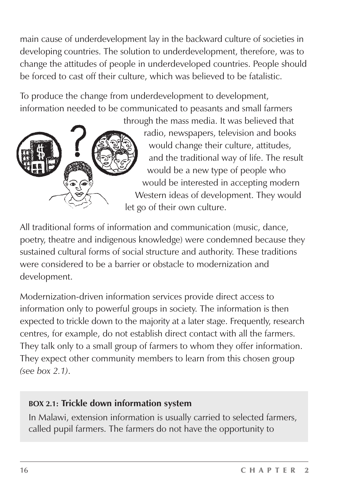main cause of underdevelopment lay in the backward culture of societies in developing countries. The solution to underdevelopment, therefore, was to change the attitudes of people in underdeveloped countries. People should be forced to cast off their culture, which was believed to be fatalistic.

To produce the change from underdevelopment to development, information needed to be communicated to peasants and small farmers



radio, newspapers, television and books would change their culture, attitudes, and the traditional way of life. The result would be a new type of people who would be interested in accepting modern Western ideas of development. They would let go of their own culture.

All traditional forms of information and communication (music, dance, poetry, theatre and indigenous knowledge) were condemned because they sustained cultural forms of social structure and authority. These traditions were considered to be a barrier or obstacle to modernization and development.

Modernization-driven information services provide direct access to information only to powerful groups in society. The information is then expected to trickle down to the majority at a later stage. Frequently, research centres, for example, do not establish direct contact with all the farmers. They talk only to a small group of farmers to whom they offer information. They expect other community members to learn from this chosen group *(see box 2.1)*.

#### **BOX 2.1: Trickle down information system**

In Malawi, extension information is usually carried to selected farmers, called pupil farmers. The farmers do not have the opportunity to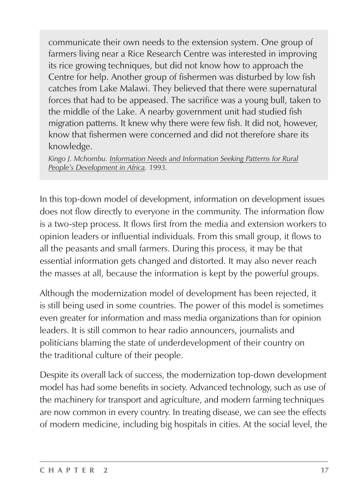communicate their own needs to the extension system. One group of farmers living near a Rice Research Centre was interested in improving its rice growing techniques, but did not know how to approach the Centre for help. Another group of fishermen was disturbed by low fish catches from Lake Malawi. They believed that there were supernatural forces that had to be appeased. The sacrifice was a young bull, taken to the middle of the Lake. A nearby government unit had studied fish migration patterns. It knew why there were few fish. It did not, however, know that fishermen were concerned and did not therefore share its knowledge.

*Kingo J. Mchombu. Information Needs and Information Seeking Patterns for Rural People's Development in Africa. 1993.*

In this top-down model of development, information on development issues does not flow directly to everyone in the community. The information flow is a two-step process. It flows first from the media and extension workers to opinion leaders or influential individuals. From this small group, it flows to all the peasants and small farmers. During this process, it may be that essential information gets changed and distorted. It may also never reach the masses at all, because the information is kept by the powerful groups.

Although the modernization model of development has been rejected, it is still being used in some countries. The power of this model is sometimes even greater for information and mass media organizations than for opinion leaders. It is still common to hear radio announcers, journalists and politicians blaming the state of underdevelopment of their country on the traditional culture of their people.

Despite its overall lack of success, the modernization top-down development model has had some benefits in society. Advanced technology, such as use of the machinery for transport and agriculture, and modern farming techniques are now common in every country. In treating disease, we can see the effects of modern medicine, including big hospitals in cities. At the social level, the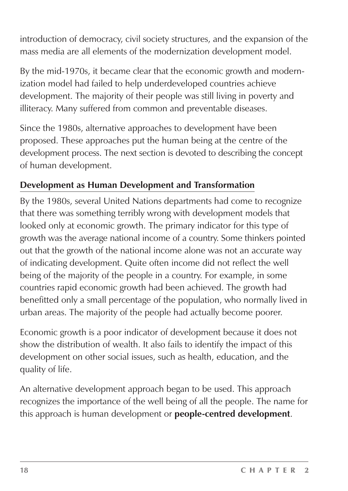introduction of democracy, civil society structures, and the expansion of the mass media are all elements of the modernization development model.

By the mid-1970s, it became clear that the economic growth and modernization model had failed to help underdeveloped countries achieve development. The majority of their people was still living in poverty and illiteracy. Many suffered from common and preventable diseases.

Since the 1980s, alternative approaches to development have been proposed. These approaches put the human being at the centre of the development process. The next section is devoted to describing the concept of human development.

#### **Development as Human Development and Transformation**

By the 1980s, several United Nations departments had come to recognize that there was something terribly wrong with development models that looked only at economic growth. The primary indicator for this type of growth was the average national income of a country. Some thinkers pointed out that the growth of the national income alone was not an accurate way of indicating development. Quite often income did not reflect the well being of the majority of the people in a country. For example, in some countries rapid economic growth had been achieved. The growth had benefitted only a small percentage of the population, who normally lived in urban areas. The majority of the people had actually become poorer.

Economic growth is a poor indicator of development because it does not show the distribution of wealth. It also fails to identify the impact of this development on other social issues, such as health, education, and the quality of life.

An alternative development approach began to be used. This approach recognizes the importance of the well being of all the people. The name for this approach is human development or **people-centred development**.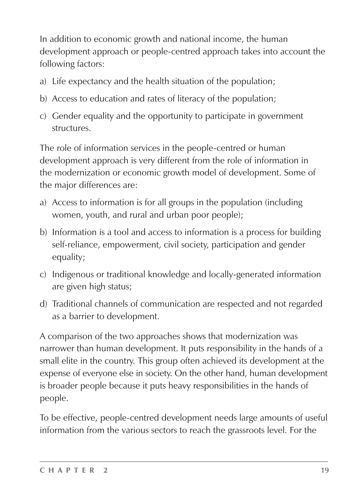In addition to economic growth and national income, the human development approach or people-centred approach takes into account the following factors:

- a) Life expectancy and the health situation of the population;
- b) Access to education and rates of literacy of the population;
- c) Gender equality and the opportunity to participate in government structures.

The role of information services in the people-centred or human development approach is very different from the role of information in the modernization or economic growth model of development. Some of the major differences are:

- a) Access to information is for all groups in the population (including women, youth, and rural and urban poor people);
- b) Information is a tool and access to information is a process for building self-reliance, empowerment, civil society, participation and gender equality;
- c) Indigenous or traditional knowledge and locally-generated information are given high status;
- d) Traditional channels of communication are respected and not regarded as a barrier to development.

A comparison of the two approaches shows that modernization was narrower than human development. It puts responsibility in the hands of a small elite in the country. This group often achieved its development at the expense of everyone else in society. On the other hand, human development is broader people because it puts heavy responsibilities in the hands of people.

To be effective, people-centred development needs large amounts of useful information from the various sectors to reach the grassroots level. For the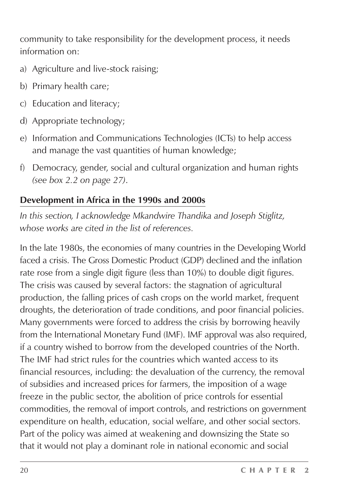community to take responsibility for the development process, it needs information on:

- a) Agriculture and live-stock raising;
- b) Primary health care;
- c) Education and literacy;
- d) Appropriate technology;
- e) Information and Communications Technologies (ICTs) to help access and manage the vast quantities of human knowledge;
- f) Democracy, gender, social and cultural organization and human rights *(see box 2.2 on page 27)*.

#### **Development in Africa in the 1990s and 2000s**

*In this section, I acknowledge Mkandwire Thandika and Joseph Stiglitz, whose works are cited in the list of references.*

In the late 1980s, the economies of many countries in the Developing World faced a crisis. The Gross Domestic Product (GDP) declined and the inflation rate rose from a single digit figure (less than 10%) to double digit figures. The crisis was caused by several factors: the stagnation of agricultural production, the falling prices of cash crops on the world market, frequent droughts, the deterioration of trade conditions, and poor financial policies. Many governments were forced to address the crisis by borrowing heavily from the International Monetary Fund (IMF). IMF approval was also required, if a country wished to borrow from the developed countries of the North. The IMF had strict rules for the countries which wanted access to its financial resources, including: the devaluation of the currency, the removal of subsidies and increased prices for farmers, the imposition of a wage freeze in the public sector, the abolition of price controls for essential commodities, the removal of import controls, and restrictions on government expenditure on health, education, social welfare, and other social sectors. Part of the policy was aimed at weakening and downsizing the State so that it would not play a dominant role in national economic and social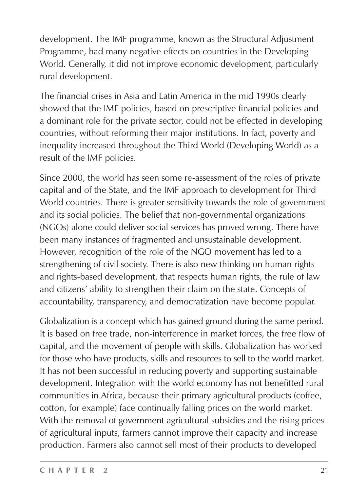development. The IMF programme, known as the Structural Adjustment Programme, had many negative effects on countries in the Developing World. Generally, it did not improve economic development, particularly rural development.

The financial crises in Asia and Latin America in the mid 1990s clearly showed that the IMF policies, based on prescriptive financial policies and a dominant role for the private sector, could not be effected in developing countries, without reforming their major institutions. In fact, poverty and inequality increased throughout the Third World (Developing World) as a result of the IMF policies.

Since 2000, the world has seen some re-assessment of the roles of private capital and of the State, and the IMF approach to development for Third World countries. There is greater sensitivity towards the role of government and its social policies. The belief that non-governmental organizations (NGOs) alone could deliver social services has proved wrong. There have been many instances of fragmented and unsustainable development. However, recognition of the role of the NGO movement has led to a strengthening of civil society. There is also new thinking on human rights and rights-based development, that respects human rights, the rule of law and citizens' ability to strengthen their claim on the state. Concepts of accountability, transparency, and democratization have become popular.

Globalization is a concept which has gained ground during the same period. It is based on free trade, non-interference in market forces, the free flow of capital, and the movement of people with skills. Globalization has worked for those who have products, skills and resources to sell to the world market. It has not been successful in reducing poverty and supporting sustainable development. Integration with the world economy has not benefitted rural communities in Africa, because their primary agricultural products (coffee, cotton, for example) face continually falling prices on the world market. With the removal of government agricultural subsidies and the rising prices of agricultural inputs, farmers cannot improve their capacity and increase production. Farmers also cannot sell most of their products to developed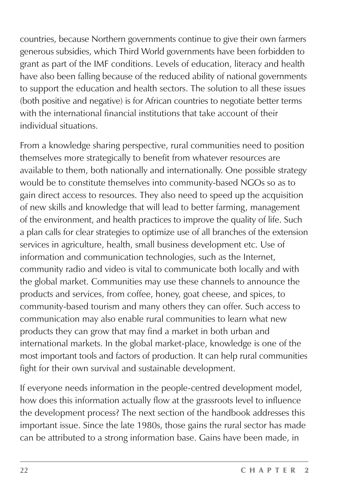countries, because Northern governments continue to give their own farmers generous subsidies, which Third World governments have been forbidden to grant as part of the IMF conditions. Levels of education, literacy and health have also been falling because of the reduced ability of national governments to support the education and health sectors. The solution to all these issues (both positive and negative) is for African countries to negotiate better terms with the international financial institutions that take account of their individual situations.

From a knowledge sharing perspective, rural communities need to position themselves more strategically to benefit from whatever resources are available to them, both nationally and internationally. One possible strategy would be to constitute themselves into community-based NGOs so as to gain direct access to resources. They also need to speed up the acquisition of new skills and knowledge that will lead to better farming, management of the environment, and health practices to improve the quality of life. Such a plan calls for clear strategies to optimize use of all branches of the extension services in agriculture, health, small business development etc. Use of information and communication technologies, such as the Internet, community radio and video is vital to communicate both locally and with the global market. Communities may use these channels to announce the products and services, from coffee, honey, goat cheese, and spices, to community-based tourism and many others they can offer. Such access to communication may also enable rural communities to learn what new products they can grow that may find a market in both urban and international markets. In the global market-place, knowledge is one of the most important tools and factors of production. It can help rural communities fight for their own survival and sustainable development.

If everyone needs information in the people-centred development model, how does this information actually flow at the grassroots level to influence the development process? The next section of the handbook addresses this important issue. Since the late 1980s, those gains the rural sector has made can be attributed to a strong information base. Gains have been made, in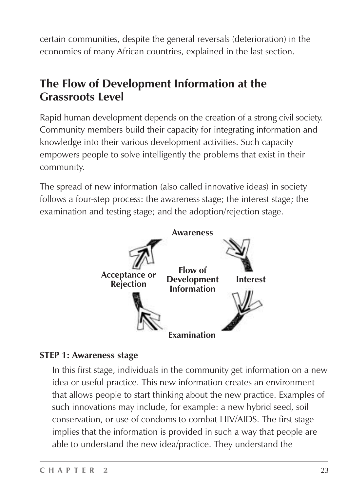certain communities, despite the general reversals (deterioration) in the economies of many African countries, explained in the last section.

# **The Flow of Development Information at the Grassroots Level**

Rapid human development depends on the creation of a strong civil society. Community members build their capacity for integrating information and knowledge into their various development activities. Such capacity empowers people to solve intelligently the problems that exist in their community.

The spread of new information (also called innovative ideas) in society follows a four-step process: the awareness stage; the interest stage; the examination and testing stage; and the adoption/rejection stage.



#### **STEP 1: Awareness stage**

In this first stage, individuals in the community get information on a new idea or useful practice. This new information creates an environment that allows people to start thinking about the new practice. Examples of such innovations may include, for example: a new hybrid seed, soil conservation, or use of condoms to combat HIV/AIDS. The first stage implies that the information is provided in such a way that people are able to understand the new idea/practice. They understand the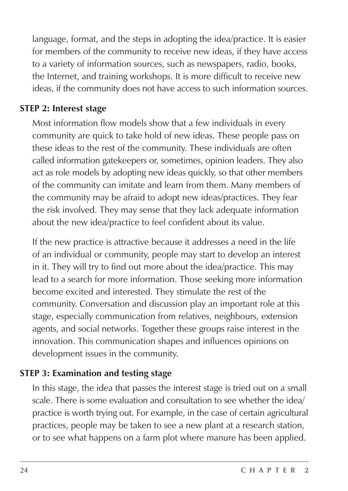language, format, and the steps in adopting the idea/practice. It is easier for members of the community to receive new ideas, if they have access to a variety of information sources, such as newspapers, radio, books, the Internet, and training workshops. It is more difficult to receive new ideas, if the community does not have access to such information sources.

#### **STEP 2: Interest stage**

Most information flow models show that a few individuals in every community are quick to take hold of new ideas. These people pass on these ideas to the rest of the community. These individuals are often called information gatekeepers or, sometimes, opinion leaders. They also act as role models by adopting new ideas quickly, so that other members of the community can imitate and learn from them. Many members of the community may be afraid to adopt new ideas/practices. They fear the risk involved. They may sense that they lack adequate information about the new idea/practice to feel confident about its value.

If the new practice is attractive because it addresses a need in the life of an individual or community, people may start to develop an interest in it. They will try to find out more about the idea/practice. This may lead to a search for more information. Those seeking more information become excited and interested. They stimulate the rest of the community. Conversation and discussion play an important role at this stage, especially communication from relatives, neighbours, extension agents, and social networks. Together these groups raise interest in the innovation. This communication shapes and influences opinions on development issues in the community.

#### **STEP 3: Examination and testing stage**

In this stage, the idea that passes the interest stage is tried out on a small scale. There is some evaluation and consultation to see whether the idea/ practice is worth trying out. For example, in the case of certain agricultural practices, people may be taken to see a new plant at a research station, or to see what happens on a farm plot where manure has been applied.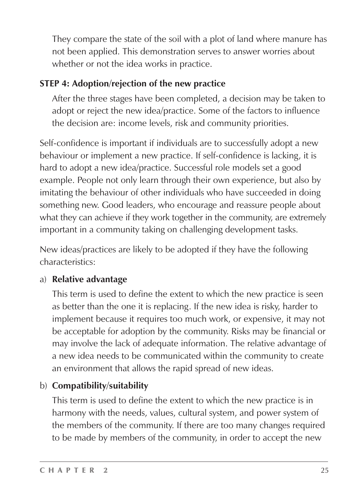They compare the state of the soil with a plot of land where manure has not been applied. This demonstration serves to answer worries about whether or not the idea works in practice.

#### **STEP 4: Adoption/rejection of the new practice**

After the three stages have been completed, a decision may be taken to adopt or reject the new idea/practice. Some of the factors to influence the decision are: income levels, risk and community priorities.

Self-confidence is important if individuals are to successfully adopt a new behaviour or implement a new practice. If self-confidence is lacking, it is hard to adopt a new idea/practice. Successful role models set a good example. People not only learn through their own experience, but also by imitating the behaviour of other individuals who have succeeded in doing something new. Good leaders, who encourage and reassure people about what they can achieve if they work together in the community, are extremely important in a community taking on challenging development tasks.

New ideas/practices are likely to be adopted if they have the following characteristics:

#### a) **Relative advantage**

This term is used to define the extent to which the new practice is seen as better than the one it is replacing. If the new idea is risky, harder to implement because it requires too much work, or expensive, it may not be acceptable for adoption by the community. Risks may be financial or may involve the lack of adequate information. The relative advantage of a new idea needs to be communicated within the community to create an environment that allows the rapid spread of new ideas.

### b) **Compatibility/suitability**

This term is used to define the extent to which the new practice is in harmony with the needs, values, cultural system, and power system of the members of the community. If there are too many changes required to be made by members of the community, in order to accept the new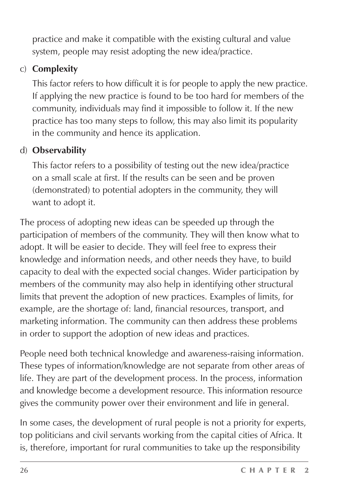practice and make it compatible with the existing cultural and value system, people may resist adopting the new idea/practice.

#### c) **Complexity**

This factor refers to how difficult it is for people to apply the new practice. If applying the new practice is found to be too hard for members of the community, individuals may find it impossible to follow it. If the new practice has too many steps to follow, this may also limit its popularity in the community and hence its application.

#### d) **Observability**

This factor refers to a possibility of testing out the new idea/practice on a small scale at first. If the results can be seen and be proven (demonstrated) to potential adopters in the community, they will want to adopt it.

The process of adopting new ideas can be speeded up through the participation of members of the community. They will then know what to adopt. It will be easier to decide. They will feel free to express their knowledge and information needs, and other needs they have, to build capacity to deal with the expected social changes. Wider participation by members of the community may also help in identifying other structural limits that prevent the adoption of new practices. Examples of limits, for example, are the shortage of: land, financial resources, transport, and marketing information. The community can then address these problems in order to support the adoption of new ideas and practices.

People need both technical knowledge and awareness-raising information. These types of information/knowledge are not separate from other areas of life. They are part of the development process. In the process, information and knowledge become a development resource. This information resource gives the community power over their environment and life in general.

In some cases, the development of rural people is not a priority for experts, top politicians and civil servants working from the capital cities of Africa. It is, therefore, important for rural communities to take up the responsibility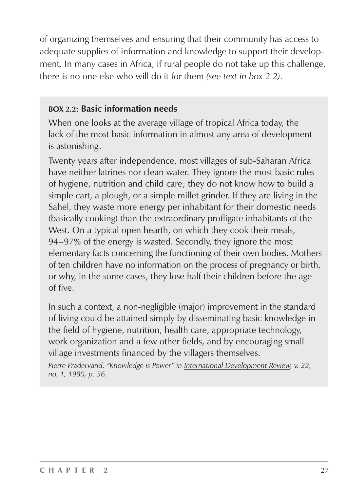of organizing themselves and ensuring that their community has access to adequate supplies of information and knowledge to support their development. In many cases in Africa, if rural people do not take up this challenge, there is no one else who will do it for them *(see text in box 2.2)*.

#### **BOX 2.2: Basic information needs**

When one looks at the average village of tropical Africa today, the lack of the most basic information in almost any area of development is astonishing.

Twenty years after independence, most villages of sub-Saharan Africa have neither latrines nor clean water. They ignore the most basic rules of hygiene, nutrition and child care; they do not know how to build a simple cart, a plough, or a simple millet grinder. If they are living in the Sahel, they waste more energy per inhabitant for their domestic needs (basically cooking) than the extraordinary profligate inhabitants of the West. On a typical open hearth, on which they cook their meals, 94–97% of the energy is wasted. Secondly, they ignore the most elementary facts concerning the functioning of their own bodies. Mothers of ten children have no information on the process of pregnancy or birth, or why, in the some cases, they lose half their children before the age of five.

In such a context, a non-negligible (major) improvement in the standard of living could be attained simply by disseminating basic knowledge in the field of hygiene, nutrition, health care, appropriate technology, work organization and a few other fields, and by encouraging small village investments financed by the villagers themselves.

*Pierre Pradervand. "Knowledge is Power" in International Development Review, v. 22, no. 1, 1980, p. 56.*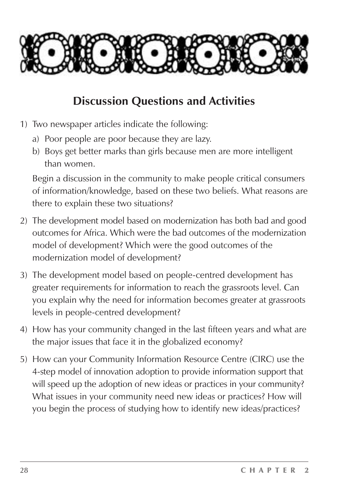

### **Discussion Questions and Activities**

- 1) Two newspaper articles indicate the following:
	- a) Poor people are poor because they are lazy.
	- b) Boys get better marks than girls because men are more intelligent than women.

Begin a discussion in the community to make people critical consumers of information/knowledge, based on these two beliefs. What reasons are there to explain these two situations?

- 2) The development model based on modernization has both bad and good outcomes for Africa. Which were the bad outcomes of the modernization model of development? Which were the good outcomes of the modernization model of development?
- 3) The development model based on people-centred development has greater requirements for information to reach the grassroots level. Can you explain why the need for information becomes greater at grassroots levels in people-centred development?
- 4) How has your community changed in the last fifteen years and what are the major issues that face it in the globalized economy?
- 5) How can your Community Information Resource Centre (CIRC) use the 4-step model of innovation adoption to provide information support that will speed up the adoption of new ideas or practices in your community? What issues in your community need new ideas or practices? How will you begin the process of studying how to identify new ideas/practices?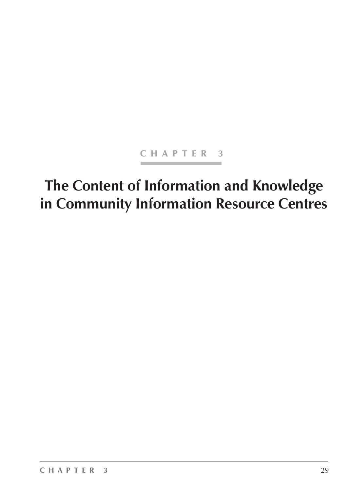#### CHAPTER 3

# **The Content of Information and Knowledge in Community Information Resource Centres**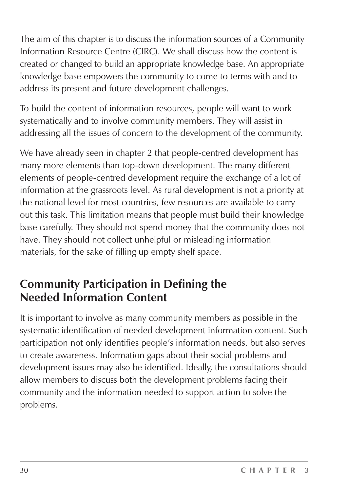The aim of this chapter is to discuss the information sources of a Community Information Resource Centre (CIRC). We shall discuss how the content is created or changed to build an appropriate knowledge base. An appropriate knowledge base empowers the community to come to terms with and to address its present and future development challenges.

To build the content of information resources, people will want to work systematically and to involve community members. They will assist in addressing all the issues of concern to the development of the community.

We have already seen in chapter 2 that people-centred development has many more elements than top-down development. The many different elements of people-centred development require the exchange of a lot of information at the grassroots level. As rural development is not a priority at the national level for most countries, few resources are available to carry out this task. This limitation means that people must build their knowledge base carefully. They should not spend money that the community does not have. They should not collect unhelpful or misleading information materials, for the sake of filling up empty shelf space.

## **Community Participation in Defining the Needed Information Content**

It is important to involve as many community members as possible in the systematic identification of needed development information content. Such participation not only identifies people's information needs, but also serves to create awareness. Information gaps about their social problems and development issues may also be identified. Ideally, the consultations should allow members to discuss both the development problems facing their community and the information needed to support action to solve the problems.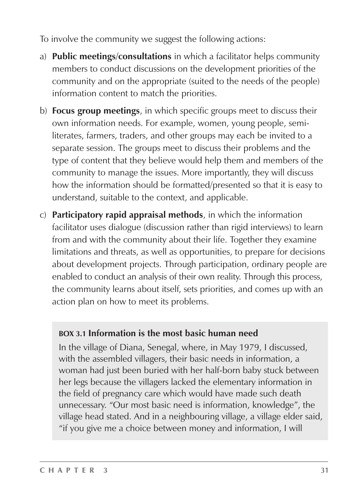To involve the community we suggest the following actions:

- a) **Public meetings/consultations** in which a facilitator helps community members to conduct discussions on the development priorities of the community and on the appropriate (suited to the needs of the people) information content to match the priorities.
- b) **Focus group meetings**, in which specific groups meet to discuss their own information needs. For example, women, young people, semiliterates, farmers, traders, and other groups may each be invited to a separate session. The groups meet to discuss their problems and the type of content that they believe would help them and members of the community to manage the issues. More importantly, they will discuss how the information should be formatted/presented so that it is easy to understand, suitable to the context, and applicable.
- c) **Participatory rapid appraisal methods**, in which the information facilitator uses dialogue (discussion rather than rigid interviews) to learn from and with the community about their life. Together they examine limitations and threats, as well as opportunities, to prepare for decisions about development projects. Through participation, ordinary people are enabled to conduct an analysis of their own reality. Through this process, the community learns about itself, sets priorities, and comes up with an action plan on how to meet its problems.

#### **BOX 3.1 Information is the most basic human need**

In the village of Diana, Senegal, where, in May 1979, I discussed, with the assembled villagers, their basic needs in information, a woman had just been buried with her half-born baby stuck between her legs because the villagers lacked the elementary information in the field of pregnancy care which would have made such death unnecessary. "Our most basic need is information, knowledge", the village head stated. And in a neighbouring village, a village elder said, "if you give me a choice between money and information, I will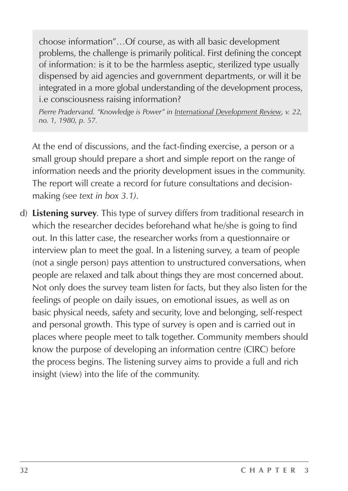choose information"…Of course, as with all basic development problems, the challenge is primarily political. First defining the concept of information: is it to be the harmless aseptic, sterilized type usually dispensed by aid agencies and government departments, or will it be integrated in a more global understanding of the development process, i.e consciousness raising information?

*Pierre Pradervand. "Knowledge is Power" in International Development Review, v. 22, no. 1, 1980, p. 57.*

At the end of discussions, and the fact-finding exercise, a person or a small group should prepare a short and simple report on the range of information needs and the priority development issues in the community. The report will create a record for future consultations and decisionmaking *(see text in box 3.1)*.

d) **Listening survey**. This type of survey differs from traditional research in which the researcher decides beforehand what he/she is going to find out. In this latter case, the researcher works from a questionnaire or interview plan to meet the goal. In a listening survey, a team of people (not a single person) pays attention to unstructured conversations, when people are relaxed and talk about things they are most concerned about. Not only does the survey team listen for facts, but they also listen for the feelings of people on daily issues, on emotional issues, as well as on basic physical needs, safety and security, love and belonging, self-respect and personal growth. This type of survey is open and is carried out in places where people meet to talk together. Community members should know the purpose of developing an information centre (CIRC) before the process begins. The listening survey aims to provide a full and rich insight (view) into the life of the community.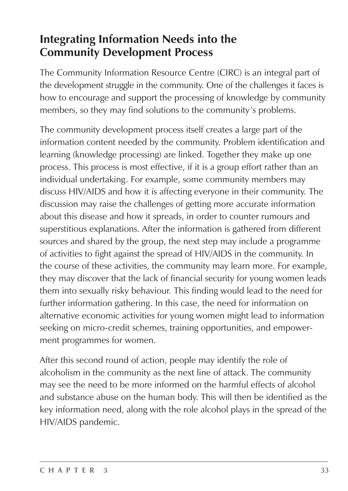# **Integrating Information Needs into the Community Development Process**

The Community Information Resource Centre (CIRC) is an integral part of the development struggle in the community. One of the challenges it faces is how to encourage and support the processing of knowledge by community members, so they may find solutions to the community's problems.

The community development process itself creates a large part of the information content needed by the community. Problem identification and learning (knowledge processing) are linked. Together they make up one process. This process is most effective, if it is a group effort rather than an individual undertaking. For example, some community members may discuss HIV/AIDS and how it is affecting everyone in their community. The discussion may raise the challenges of getting more accurate information about this disease and how it spreads, in order to counter rumours and superstitious explanations. After the information is gathered from different sources and shared by the group, the next step may include a programme of activities to fight against the spread of HIV/AIDS in the community. In the course of these activities, the community may learn more. For example, they may discover that the lack of financial security for young women leads them into sexually risky behaviour. This finding would lead to the need for further information gathering. In this case, the need for information on alternative economic activities for young women might lead to information seeking on micro-credit schemes, training opportunities, and empowerment programmes for women.

After this second round of action, people may identify the role of alcoholism in the community as the next line of attack. The community may see the need to be more informed on the harmful effects of alcohol and substance abuse on the human body. This will then be identified as the key information need, along with the role alcohol plays in the spread of the HIV/AIDS pandemic.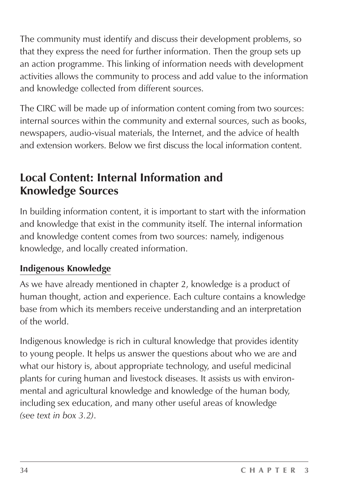The community must identify and discuss their development problems, so that they express the need for further information. Then the group sets up an action programme. This linking of information needs with development activities allows the community to process and add value to the information and knowledge collected from different sources.

The CIRC will be made up of information content coming from two sources: internal sources within the community and external sources, such as books, newspapers, audio-visual materials, the Internet, and the advice of health and extension workers. Below we first discuss the local information content.

### **Local Content: Internal Information and Knowledge Sources**

In building information content, it is important to start with the information and knowledge that exist in the community itself. The internal information and knowledge content comes from two sources: namely, indigenous knowledge, and locally created information.

#### **Indigenous Knowledge**

As we have already mentioned in chapter 2, knowledge is a product of human thought, action and experience. Each culture contains a knowledge base from which its members receive understanding and an interpretation of the world.

Indigenous knowledge is rich in cultural knowledge that provides identity to young people. It helps us answer the questions about who we are and what our history is, about appropriate technology, and useful medicinal plants for curing human and livestock diseases. It assists us with environmental and agricultural knowledge and knowledge of the human body, including sex education, and many other useful areas of knowledge *(see text in box 3.2)*.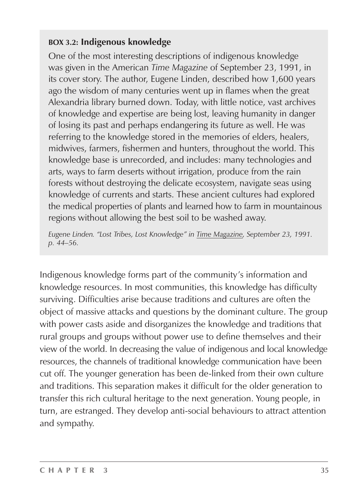#### **BOX 3.2: Indigenous knowledge**

One of the most interesting descriptions of indigenous knowledge was given in the American *Time Magazine* of September 23, 1991, in its cover story. The author, Eugene Linden, described how 1,600 years ago the wisdom of many centuries went up in flames when the great Alexandria library burned down. Today, with little notice, vast archives of knowledge and expertise are being lost, leaving humanity in danger of losing its past and perhaps endangering its future as well. He was referring to the knowledge stored in the memories of elders, healers, midwives, farmers, fishermen and hunters, throughout the world. This knowledge base is unrecorded, and includes: many technologies and arts, ways to farm deserts without irrigation, produce from the rain forests without destroying the delicate ecosystem, navigate seas using knowledge of currents and starts. These ancient cultures had explored the medical properties of plants and learned how to farm in mountainous regions without allowing the best soil to be washed away.

*Eugene Linden. "Lost Tribes, Lost Knowledge" in Time Magazine, September 23, 1991. p. 44–56.*

Indigenous knowledge forms part of the community's information and knowledge resources. In most communities, this knowledge has difficulty surviving. Difficulties arise because traditions and cultures are often the object of massive attacks and questions by the dominant culture. The group with power casts aside and disorganizes the knowledge and traditions that rural groups and groups without power use to define themselves and their view of the world. In decreasing the value of indigenous and local knowledge resources, the channels of traditional knowledge communication have been cut off. The younger generation has been de-linked from their own culture and traditions. This separation makes it difficult for the older generation to transfer this rich cultural heritage to the next generation. Young people, in turn, are estranged. They develop anti-social behaviours to attract attention and sympathy.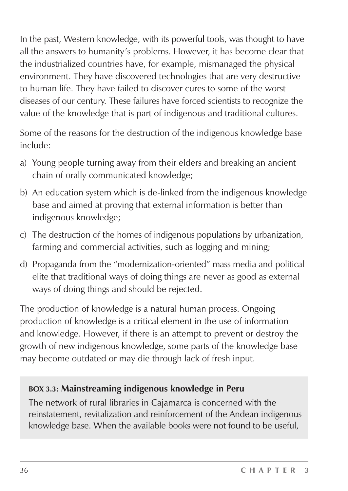In the past, Western knowledge, with its powerful tools, was thought to have all the answers to humanity's problems. However, it has become clear that the industrialized countries have, for example, mismanaged the physical environment. They have discovered technologies that are very destructive to human life. They have failed to discover cures to some of the worst diseases of our century. These failures have forced scientists to recognize the value of the knowledge that is part of indigenous and traditional cultures.

Some of the reasons for the destruction of the indigenous knowledge base include:

- a) Young people turning away from their elders and breaking an ancient chain of orally communicated knowledge;
- b) An education system which is de-linked from the indigenous knowledge base and aimed at proving that external information is better than indigenous knowledge;
- c) The destruction of the homes of indigenous populations by urbanization, farming and commercial activities, such as logging and mining;
- d) Propaganda from the "modernization-oriented" mass media and political elite that traditional ways of doing things are never as good as external ways of doing things and should be rejected.

The production of knowledge is a natural human process. Ongoing production of knowledge is a critical element in the use of information and knowledge. However, if there is an attempt to prevent or destroy the growth of new indigenous knowledge, some parts of the knowledge base may become outdated or may die through lack of fresh input.

#### **BOX 3.3: Mainstreaming indigenous knowledge in Peru**

The network of rural libraries in Cajamarca is concerned with the reinstatement, revitalization and reinforcement of the Andean indigenous knowledge base. When the available books were not found to be useful,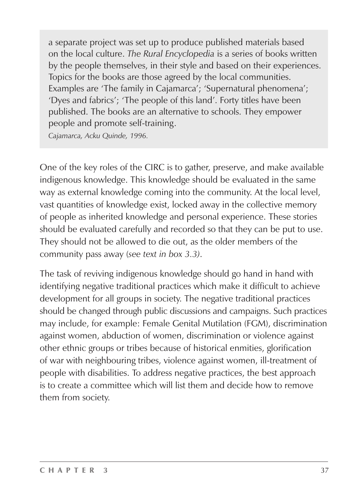a separate project was set up to produce published materials based on the local culture. *The Rural Encyclopedia* is a series of books written by the people themselves, in their style and based on their experiences. Topics for the books are those agreed by the local communities. Examples are 'The family in Cajamarca'; 'Supernatural phenomena'; 'Dyes and fabrics'; 'The people of this land'. Forty titles have been published. The books are an alternative to schools. They empower people and promote self-training.

*Cajamarca, Acku Quinde, 1996.*

One of the key roles of the CIRC is to gather, preserve, and make available indigenous knowledge. This knowledge should be evaluated in the same way as external knowledge coming into the community. At the local level, vast quantities of knowledge exist, locked away in the collective memory of people as inherited knowledge and personal experience. These stories should be evaluated carefully and recorded so that they can be put to use. They should not be allowed to die out, as the older members of the community pass away (*see text in box 3.3)*.

The task of reviving indigenous knowledge should go hand in hand with identifying negative traditional practices which make it difficult to achieve development for all groups in society. The negative traditional practices should be changed through public discussions and campaigns. Such practices may include, for example: Female Genital Mutilation (FGM), discrimination against women, abduction of women, discrimination or violence against other ethnic groups or tribes because of historical enmities, glorification of war with neighbouring tribes, violence against women, ill-treatment of people with disabilities. To address negative practices, the best approach is to create a committee which will list them and decide how to remove them from society.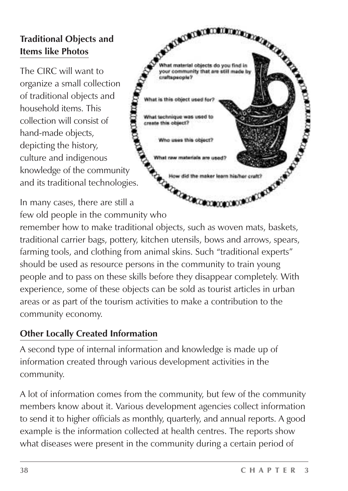## **Traditional Objects and Items like Photos**

The CIRC will want to organize a small collection of traditional objects and household items. This collection will consist of hand-made objects, depicting the history, culture and indigenous knowledge of the community and its traditional technologies.

**SATISFICATION IN THE REAL PROPERTY AND** What material objects do you find in your community that are still made by craftspeople? object used for? What technique was used to create this object? Who uses this object? What raw materials are used **MONDAY CONTRACTOR** How did the maker learn his/her craft? Connocation

In many cases, there are still a few old people in the community who

remember how to make traditional objects, such as woven mats, baskets, traditional carrier bags, pottery, kitchen utensils, bows and arrows, spears, farming tools, and clothing from animal skins. Such "traditional experts" should be used as resource persons in the community to train young people and to pass on these skills before they disappear completely. With experience, some of these objects can be sold as tourist articles in urban areas or as part of the tourism activities to make a contribution to the community economy.

### **Other Locally Created Information**

A second type of internal information and knowledge is made up of information created through various development activities in the community.

A lot of information comes from the community, but few of the community members know about it. Various development agencies collect information to send it to higher officials as monthly, quarterly, and annual reports. A good example is the information collected at health centres. The reports show what diseases were present in the community during a certain period of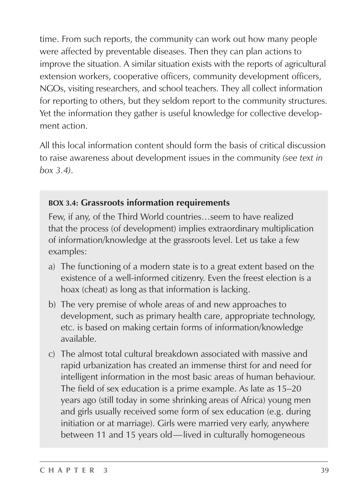time. From such reports, the community can work out how many people were affected by preventable diseases. Then they can plan actions to improve the situation. A similar situation exists with the reports of agricultural extension workers, cooperative officers, community development officers, NGOs, visiting researchers, and school teachers. They all collect information for reporting to others, but they seldom report to the community structures. Yet the information they gather is useful knowledge for collective development action.

All this local information content should form the basis of critical discussion to raise awareness about development issues in the community *(see text in box 3.4)*.

### **BOX 3.4: Grassroots information requirements**

Few, if any, of the Third World countries…seem to have realized that the process (of development) implies extraordinary multiplication of information/knowledge at the grassroots level. Let us take a few examples:

- a) The functioning of a modern state is to a great extent based on the existence of a well-informed citizenry. Even the freest election is a hoax (cheat) as long as that information is lacking.
- b) The very premise of whole areas of and new approaches to development, such as primary health care, appropriate technology, etc. is based on making certain forms of information/knowledge available.
- c) The almost total cultural breakdown associated with massive and rapid urbanization has created an immense thirst for and need for intelligent information in the most basic areas of human behaviour. The field of sex education is a prime example. As late as 15–20 years ago (still today in some shrinking areas of Africa) young men and girls usually received some form of sex education (e.g. during initiation or at marriage). Girls were married very early, anywhere between 11 and 15 years old—lived in culturally homogeneous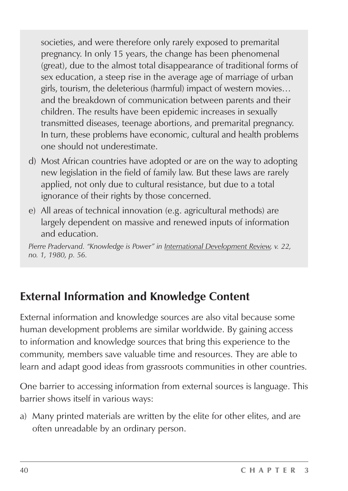societies, and were therefore only rarely exposed to premarital pregnancy. In only 15 years, the change has been phenomenal (great), due to the almost total disappearance of traditional forms of sex education, a steep rise in the average age of marriage of urban girls, tourism, the deleterious (harmful) impact of western movies… and the breakdown of communication between parents and their children. The results have been epidemic increases in sexually transmitted diseases, teenage abortions, and premarital pregnancy. In turn, these problems have economic, cultural and health problems one should not underestimate.

- d) Most African countries have adopted or are on the way to adopting new legislation in the field of family law. But these laws are rarely applied, not only due to cultural resistance, but due to a total ignorance of their rights by those concerned.
- e) All areas of technical innovation (e.g. agricultural methods) are largely dependent on massive and renewed inputs of information and education.

*Pierre Pradervand. "Knowledge is Power" in International Development Review, v. 22, no. 1, 1980, p. 56.*

## **External Information and Knowledge Content**

External information and knowledge sources are also vital because some human development problems are similar worldwide. By gaining access to information and knowledge sources that bring this experience to the community, members save valuable time and resources. They are able to learn and adapt good ideas from grassroots communities in other countries.

One barrier to accessing information from external sources is language. This barrier shows itself in various ways:

a) Many printed materials are written by the elite for other elites, and are often unreadable by an ordinary person.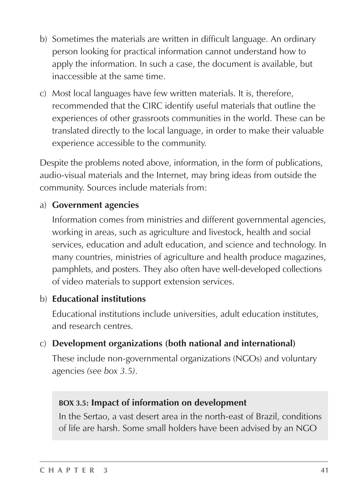- b) Sometimes the materials are written in difficult language. An ordinary person looking for practical information cannot understand how to apply the information. In such a case, the document is available, but inaccessible at the same time.
- c) Most local languages have few written materials. It is, therefore, recommended that the CIRC identify useful materials that outline the experiences of other grassroots communities in the world. These can be translated directly to the local language, in order to make their valuable experience accessible to the community.

Despite the problems noted above, information, in the form of publications, audio-visual materials and the Internet, may bring ideas from outside the community. Sources include materials from:

#### a) **Government agencies**

Information comes from ministries and different governmental agencies, working in areas, such as agriculture and livestock, health and social services, education and adult education, and science and technology. In many countries, ministries of agriculture and health produce magazines, pamphlets, and posters. They also often have well-developed collections of video materials to support extension services.

#### b) **Educational institutions**

Educational institutions include universities, adult education institutes, and research centres.

#### c) **Development organizations (both national and international)**

These include non-governmental organizations (NGOs) and voluntary agencies *(see box 3.5)*.

#### **BOX 3.5: Impact of information on development**

In the Sertao, a vast desert area in the north-east of Brazil, conditions of life are harsh. Some small holders have been advised by an NGO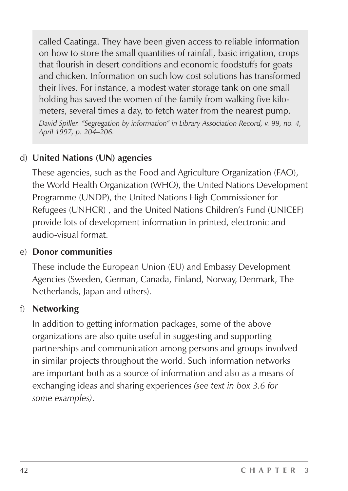called Caatinga. They have been given access to reliable information on how to store the small quantities of rainfall, basic irrigation, crops that flourish in desert conditions and economic foodstuffs for goats and chicken. Information on such low cost solutions has transformed their lives. For instance, a modest water storage tank on one small holding has saved the women of the family from walking five kilometers, several times a day, to fetch water from the nearest pump. *David Spiller. "Segregation by information" in Library Association Record, v. 99, no. 4, April 1997, p. 204–206.*

### d) **United Nations (UN) agencies**

These agencies, such as the Food and Agriculture Organization (FAO), the World Health Organization (WHO), the United Nations Development Programme (UNDP), the United Nations High Commissioner for Refugees (UNHCR) , and the United Nations Children's Fund (UNICEF) provide lots of development information in printed, electronic and audio-visual format.

#### e) **Donor communities**

These include the European Union (EU) and Embassy Development Agencies (Sweden, German, Canada, Finland, Norway, Denmark, The Netherlands, Japan and others).

#### f) **Networking**

In addition to getting information packages, some of the above organizations are also quite useful in suggesting and supporting partnerships and communication among persons and groups involved in similar projects throughout the world. Such information networks are important both as a source of information and also as a means of exchanging ideas and sharing experiences *(see text in box 3.6 for some examples)*.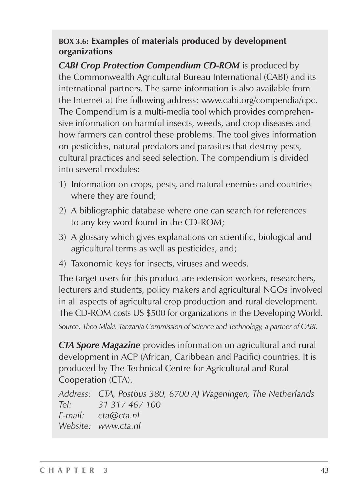### **BOX 3.6: Examples of materials produced by development organizations**

*CABI Crop Protection Compendium CD-ROM* is produced by the Commonwealth Agricultural Bureau International (CABI) and its international partners. The same information is also available from the Internet at the following address: www.cabi.org/compendia/cpc. The Compendium is a multi-media tool which provides comprehensive information on harmful insects, weeds, and crop diseases and how farmers can control these problems. The tool gives information on pesticides, natural predators and parasites that destroy pests, cultural practices and seed selection. The compendium is divided into several modules:

- 1) Information on crops, pests, and natural enemies and countries where they are found;
- 2) A bibliographic database where one can search for references to any key word found in the CD-ROM;
- 3) A glossary which gives explanations on scientific, biological and agricultural terms as well as pesticides, and;
- 4) Taxonomic keys for insects, viruses and weeds.

The target users for this product are extension workers, researchers, lecturers and students, policy makers and agricultural NGOs involved in all aspects of agricultural crop production and rural development. The CD-ROM costs US \$500 for organizations in the Developing World. *Source: Theo Mlaki. Tanzania Commission of Science and Technology, a partner of CABI.*

*CTA Spore Magazine* provides information on agricultural and rural development in ACP (African, Caribbean and Pacific) countries. It is produced by The Technical Centre for Agricultural and Rural Cooperation (CTA).

*Address: CTA, Postbus 380, 6700 AJ Wageningen, The Netherlands Tel: 31 317 467 100 E-mail: cta@cta.nl Website: www.cta.nl*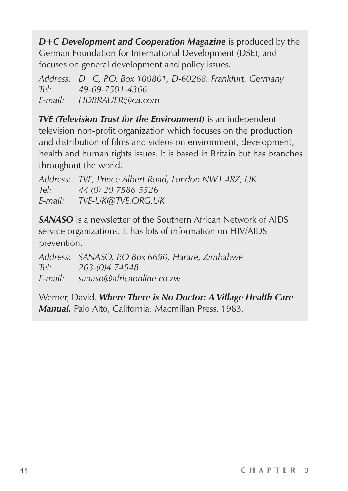*D+C Development and Cooperation Magazine* is produced by the German Foundation for International Development (DSE), and focuses on general development and policy issues.

*Address: D+C, P.O. Box 100801, D-60268, Frankfurt, Germany Tel: 49-69-7501-4366 E-mail: HDBRAUER@ca.com*

*TVE (Television Trust for the Environment)* is an independent television non-profit organization which focuses on the production and distribution of films and videos on environment, development, health and human rights issues. It is based in Britain but has branches throughout the world.

*Address: TVE, Prince Albert Road, London NW1 4RZ, UK Tel: 44 (0) 20 7586 5526 E-mail: TVE-UK@TVE.ORG.UK*

*SANASO* is a newsletter of the Southern African Network of AIDS service organizations. It has lots of information on HIV/AIDS prevention.

*Address: SANASO, P.O Box 6690, Harare, Zimbabwe Tel: 263-(0)4 74548 E-mail: sanaso@africaonline.co.zw*

Werner, David. *Where There is No Doctor: A Village Health Care Manual.* Palo Alto, California: Macmillan Press, 1983.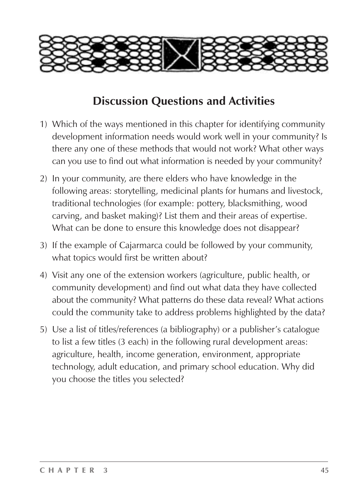

## **Discussion Questions and Activities**

- 1) Which of the ways mentioned in this chapter for identifying community development information needs would work well in your community? Is there any one of these methods that would not work? What other ways can you use to find out what information is needed by your community?
- 2) In your community, are there elders who have knowledge in the following areas: storytelling, medicinal plants for humans and livestock, traditional technologies (for example: pottery, blacksmithing, wood carving, and basket making)? List them and their areas of expertise. What can be done to ensure this knowledge does not disappear?
- 3) If the example of Cajarmarca could be followed by your community, what topics would first be written about?
- 4) Visit any one of the extension workers (agriculture, public health, or community development) and find out what data they have collected about the community? What patterns do these data reveal? What actions could the community take to address problems highlighted by the data?
- 5) Use a list of titles/references (a bibliography) or a publisher's catalogue to list a few titles (3 each) in the following rural development areas: agriculture, health, income generation, environment, appropriate technology, adult education, and primary school education. Why did you choose the titles you selected?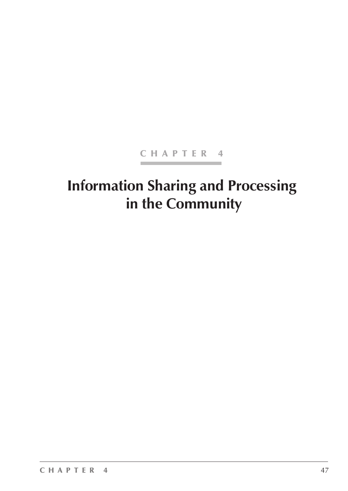### CHAPTER 4

# **Information Sharing and Processing in the Community**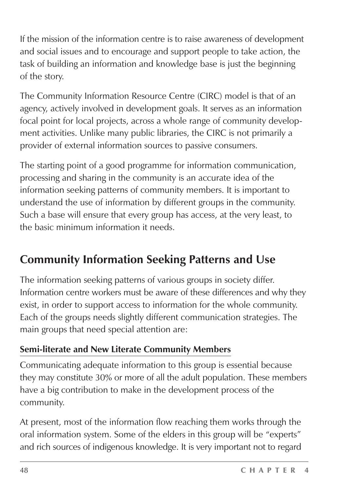If the mission of the information centre is to raise awareness of development and social issues and to encourage and support people to take action, the task of building an information and knowledge base is just the beginning of the story.

The Community Information Resource Centre (CIRC) model is that of an agency, actively involved in development goals. It serves as an information focal point for local projects, across a whole range of community development activities. Unlike many public libraries, the CIRC is not primarily a provider of external information sources to passive consumers.

The starting point of a good programme for information communication, processing and sharing in the community is an accurate idea of the information seeking patterns of community members. It is important to understand the use of information by different groups in the community. Such a base will ensure that every group has access, at the very least, to the basic minimum information it needs.

## **Community Information Seeking Patterns and Use**

The information seeking patterns of various groups in society differ. Information centre workers must be aware of these differences and why they exist, in order to support access to information for the whole community. Each of the groups needs slightly different communication strategies. The main groups that need special attention are:

### **Semi-literate and New Literate Community Members**

Communicating adequate information to this group is essential because they may constitute 30% or more of all the adult population. These members have a big contribution to make in the development process of the community.

At present, most of the information flow reaching them works through the oral information system. Some of the elders in this group will be "experts" and rich sources of indigenous knowledge. It is very important not to regard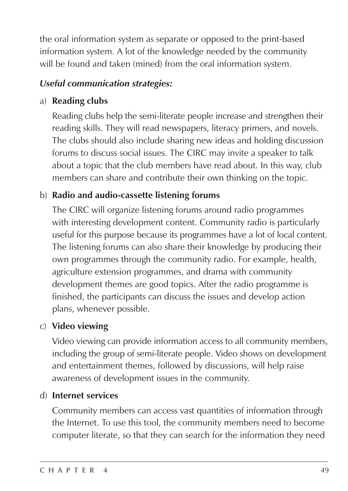the oral information system as separate or opposed to the print-based information system. A lot of the knowledge needed by the community will be found and taken (mined) from the oral information system.

### *Useful communication strategies:*

### a) **Reading clubs**

Reading clubs help the semi-literate people increase and strengthen their reading skills. They will read newspapers, literacy primers, and novels. The clubs should also include sharing new ideas and holding discussion forums to discuss social issues. The CIRC may invite a speaker to talk about a topic that the club members have read about. In this way, club members can share and contribute their own thinking on the topic.

## b) **Radio and audio-cassette listening forums**

The CIRC will organize listening forums around radio programmes with interesting development content. Community radio is particularly useful for this purpose because its programmes have a lot of local content. The listening forums can also share their knowledge by producing their own programmes through the community radio. For example, health, agriculture extension programmes, and drama with community development themes are good topics. After the radio programme is finished, the participants can discuss the issues and develop action plans, whenever possible.

### c) **Video viewing**

Video viewing can provide information access to all community members, including the group of semi-literate people. Video shows on development and entertainment themes, followed by discussions, will help raise awareness of development issues in the community.

### d) **Internet services**

Community members can access vast quantities of information through the Internet. To use this tool, the community members need to become computer literate, so that they can search for the information they need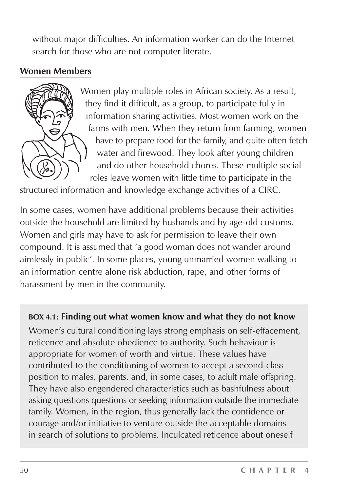without major difficulties. An information worker can do the Internet search for those who are not computer literate.

### **Women Members**



Women play multiple roles in African society. As a result, they find it difficult, as a group, to participate fully in information sharing activities. Most women work on the farms with men. When they return from farming, women have to prepare food for the family, and quite often fetch water and firewood. They look after young children and do other household chores. These multiple social roles leave women with little time to participate in the

structured information and knowledge exchange activities of a CIRC.

In some cases, women have additional problems because their activities outside the household are limited by husbands and by age-old customs. Women and girls may have to ask for permission to leave their own compound. It is assumed that 'a good woman does not wander around aimlessly in public'. In some places, young unmarried women walking to an information centre alone risk abduction, rape, and other forms of harassment by men in the community.

### **BOX 4.1: Finding out what women know and what they do not know**

Women's cultural conditioning lays strong emphasis on self-effacement, reticence and absolute obedience to authority. Such behaviour is appropriate for women of worth and virtue. These values have contributed to the conditioning of women to accept a second-class position to males, parents, and, in some cases, to adult male offspring. They have also engendered characteristics such as bashfulness about asking questions questions or seeking information outside the immediate family. Women, in the region, thus generally lack the confidence or courage and/or initiative to venture outside the acceptable domains in search of solutions to problems. Inculcated reticence about oneself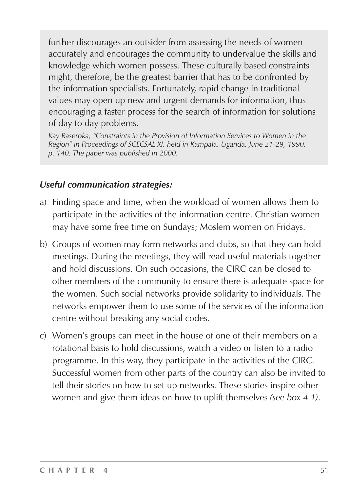further discourages an outsider from assessing the needs of women accurately and encourages the community to undervalue the skills and knowledge which women possess. These culturally based constraints might, therefore, be the greatest barrier that has to be confronted by the information specialists. Fortunately, rapid change in traditional values may open up new and urgent demands for information, thus encouraging a faster process for the search of information for solutions of day to day problems.

*Kay Raseroka, "Constraints in the Provision of Information Services to Women in the Region" in Proceedings of SCECSAL XI, held in Kampala, Uganda, June 21-29, 1990. p. 140. The paper was published in 2000.*

### *Useful communication strategies:*

- a) Finding space and time, when the workload of women allows them to participate in the activities of the information centre. Christian women may have some free time on Sundays; Moslem women on Fridays.
- b) Groups of women may form networks and clubs, so that they can hold meetings. During the meetings, they will read useful materials together and hold discussions. On such occasions, the CIRC can be closed to other members of the community to ensure there is adequate space for the women. Such social networks provide solidarity to individuals. The networks empower them to use some of the services of the information centre without breaking any social codes.
- c) Women's groups can meet in the house of one of their members on a rotational basis to hold discussions, watch a video or listen to a radio programme. In this way, they participate in the activities of the CIRC. Successful women from other parts of the country can also be invited to tell their stories on how to set up networks. These stories inspire other women and give them ideas on how to uplift themselves *(see box 4.1)*.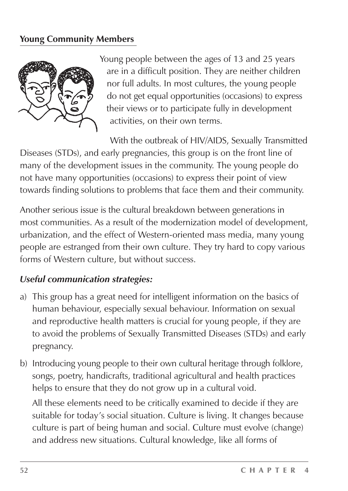### **Young Community Members**



Young people between the ages of 13 and 25 years are in a difficult position. They are neither children nor full adults. In most cultures, the young people do not get equal opportunities (occasions) to express their views or to participate fully in development activities, on their own terms.

With the outbreak of HIV/AIDS, Sexually Transmitted Diseases (STDs), and early pregnancies, this group is on the front line of many of the development issues in the community. The young people do not have many opportunities (occasions) to express their point of view towards finding solutions to problems that face them and their community.

Another serious issue is the cultural breakdown between generations in most communities. As a result of the modernization model of development, urbanization, and the effect of Western-oriented mass media, many young people are estranged from their own culture. They try hard to copy various forms of Western culture, but without success.

#### *Useful communication strategies:*

- a) This group has a great need for intelligent information on the basics of human behaviour, especially sexual behaviour. Information on sexual and reproductive health matters is crucial for young people, if they are to avoid the problems of Sexually Transmitted Diseases (STDs) and early pregnancy.
- b) Introducing young people to their own cultural heritage through folklore, songs, poetry, handicrafts, traditional agricultural and health practices helps to ensure that they do not grow up in a cultural void.

All these elements need to be critically examined to decide if they are suitable for today's social situation. Culture is living. It changes because culture is part of being human and social. Culture must evolve (change) and address new situations. Cultural knowledge, like all forms of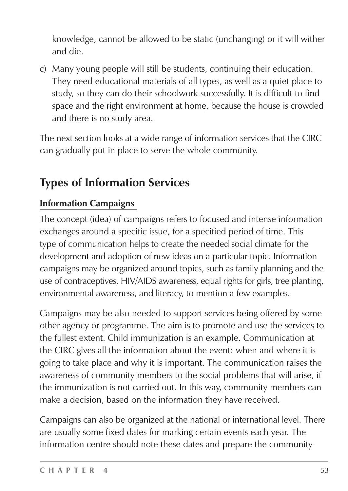knowledge, cannot be allowed to be static (unchanging) or it will wither and die.

c) Many young people will still be students, continuing their education. They need educational materials of all types, as well as a quiet place to study, so they can do their schoolwork successfully. It is difficult to find space and the right environment at home, because the house is crowded and there is no study area.

The next section looks at a wide range of information services that the CIRC can gradually put in place to serve the whole community.

## **Types of Information Services**

### **Information Campaigns**

The concept (idea) of campaigns refers to focused and intense information exchanges around a specific issue, for a specified period of time. This type of communication helps to create the needed social climate for the development and adoption of new ideas on a particular topic. Information campaigns may be organized around topics, such as family planning and the use of contraceptives, HIV/AIDS awareness, equal rights for girls, tree planting, environmental awareness, and literacy, to mention a few examples.

Campaigns may be also needed to support services being offered by some other agency or programme. The aim is to promote and use the services to the fullest extent. Child immunization is an example. Communication at the CIRC gives all the information about the event: when and where it is going to take place and why it is important. The communication raises the awareness of community members to the social problems that will arise, if the immunization is not carried out. In this way, community members can make a decision, based on the information they have received.

Campaigns can also be organized at the national or international level. There are usually some fixed dates for marking certain events each year. The information centre should note these dates and prepare the community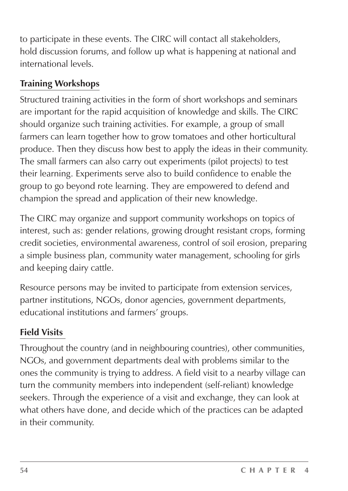to participate in these events. The CIRC will contact all stakeholders, hold discussion forums, and follow up what is happening at national and international levels.

## **Training Workshops**

Structured training activities in the form of short workshops and seminars are important for the rapid acquisition of knowledge and skills. The CIRC should organize such training activities. For example, a group of small farmers can learn together how to grow tomatoes and other horticultural produce. Then they discuss how best to apply the ideas in their community. The small farmers can also carry out experiments (pilot projects) to test their learning. Experiments serve also to build confidence to enable the group to go beyond rote learning. They are empowered to defend and champion the spread and application of their new knowledge.

The CIRC may organize and support community workshops on topics of interest, such as: gender relations, growing drought resistant crops, forming credit societies, environmental awareness, control of soil erosion, preparing a simple business plan, community water management, schooling for girls and keeping dairy cattle.

Resource persons may be invited to participate from extension services, partner institutions, NGOs, donor agencies, government departments, educational institutions and farmers' groups.

## **Field Visits**

Throughout the country (and in neighbouring countries), other communities, NGOs, and government departments deal with problems similar to the ones the community is trying to address. A field visit to a nearby village can turn the community members into independent (self-reliant) knowledge seekers. Through the experience of a visit and exchange, they can look at what others have done, and decide which of the practices can be adapted in their community.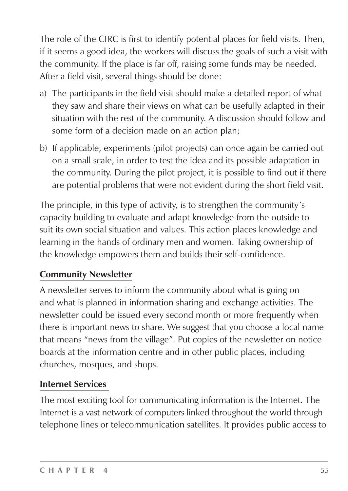The role of the CIRC is first to identify potential places for field visits. Then, if it seems a good idea, the workers will discuss the goals of such a visit with the community. If the place is far off, raising some funds may be needed. After a field visit, several things should be done:

- a) The participants in the field visit should make a detailed report of what they saw and share their views on what can be usefully adapted in their situation with the rest of the community. A discussion should follow and some form of a decision made on an action plan;
- b) If applicable, experiments (pilot projects) can once again be carried out on a small scale, in order to test the idea and its possible adaptation in the community. During the pilot project, it is possible to find out if there are potential problems that were not evident during the short field visit.

The principle, in this type of activity, is to strengthen the community's capacity building to evaluate and adapt knowledge from the outside to suit its own social situation and values. This action places knowledge and learning in the hands of ordinary men and women. Taking ownership of the knowledge empowers them and builds their self-confidence.

### **Community Newsletter**

A newsletter serves to inform the community about what is going on and what is planned in information sharing and exchange activities. The newsletter could be issued every second month or more frequently when there is important news to share. We suggest that you choose a local name that means "news from the village". Put copies of the newsletter on notice boards at the information centre and in other public places, including churches, mosques, and shops.

### **Internet Services**

The most exciting tool for communicating information is the Internet. The Internet is a vast network of computers linked throughout the world through telephone lines or telecommunication satellites. It provides public access to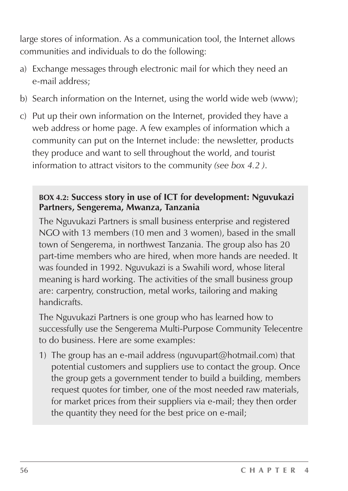large stores of information. As a communication tool, the Internet allows communities and individuals to do the following:

- a) Exchange messages through electronic mail for which they need an e-mail address;
- b) Search information on the Internet, using the world wide web (www);
- c) Put up their own information on the Internet, provided they have a web address or home page. A few examples of information which a community can put on the Internet include: the newsletter, products they produce and want to sell throughout the world, and tourist information to attract visitors to the community *(see box 4.2 )*.

#### **BOX 4.2: Success story in use of ICT for development: Nguvukazi Partners, Sengerema, Mwanza, Tanzania**

The Nguvukazi Partners is small business enterprise and registered NGO with 13 members (10 men and 3 women), based in the small town of Sengerema, in northwest Tanzania. The group also has 20 part-time members who are hired, when more hands are needed. It was founded in 1992. Nguvukazi is a Swahili word, whose literal meaning is hard working. The activities of the small business group are: carpentry, construction, metal works, tailoring and making handicrafts.

The Nguvukazi Partners is one group who has learned how to successfully use the Sengerema Multi-Purpose Community Telecentre to do business. Here are some examples:

1) The group has an e-mail address (nguvupart@hotmail.com) that potential customers and suppliers use to contact the group. Once the group gets a government tender to build a building, members request quotes for timber, one of the most needed raw materials, for market prices from their suppliers via e-mail; they then order the quantity they need for the best price on e-mail;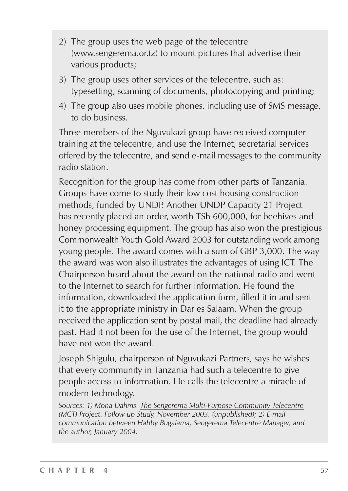- 2) The group uses the web page of the telecentre (www.sengerema.or.tz) to mount pictures that advertise their various products;
- 3) The group uses other services of the telecentre, such as: typesetting, scanning of documents, photocopying and printing;
- 4) The group also uses mobile phones, including use of SMS message, to do business.

Three members of the Nguvukazi group have received computer training at the telecentre, and use the Internet, secretarial services offered by the telecentre, and send e-mail messages to the community radio station.

Recognition for the group has come from other parts of Tanzania. Groups have come to study their low cost housing construction methods, funded by UNDP. Another UNDP Capacity 21 Project has recently placed an order, worth TSh 600,000, for beehives and honey processing equipment. The group has also won the prestigious Commonwealth Youth Gold Award 2003 for outstanding work among young people. The award comes with a sum of GBP 3,000. The way the award was won also illustrates the advantages of using ICT. The Chairperson heard about the award on the national radio and went to the Internet to search for further information. He found the information, downloaded the application form, filled it in and sent it to the appropriate ministry in Dar es Salaam. When the group received the application sent by postal mail, the deadline had already past. Had it not been for the use of the Internet, the group would have not won the award.

Joseph Shigulu, chairperson of Nguvukazi Partners, says he wishes that every community in Tanzania had such a telecentre to give people access to information. He calls the telecentre a miracle of modern technology.

*Sources: 1) Mona Dahms. The Sengerema Multi-Purpose Community Telecentre (MCT) Project. Follow-up Study, November 2003. (unpublished); 2) E-mail communication between Habby Bugalama, Sengerema Telecentre Manager, and the author, January 2004.*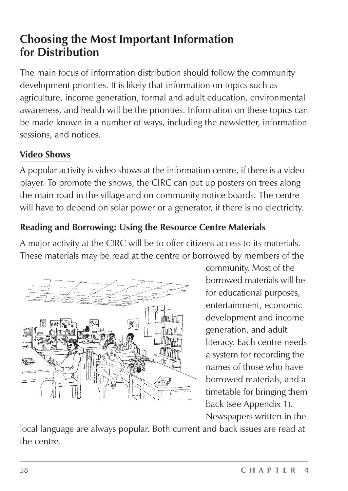## **Choosing the Most Important Information for Distribution**

The main focus of information distribution should follow the community development priorities. It is likely that information on topics such as agriculture, income generation, formal and adult education, environmental awareness, and health will be the priorities. Information on these topics can be made known in a number of ways, including the newsletter, information sessions, and notices.

## **Video Shows**

A popular activity is video shows at the information centre, if there is a video player. To promote the shows, the CIRC can put up posters on trees along the main road in the village and on community notice boards. The centre will have to depend on solar power or a generator, if there is no electricity.

## **Reading and Borrowing: Using the Resource Centre Materials**

A major activity at the CIRC will be to offer citizens access to its materials. These materials may be read at the centre or borrowed by members of the



community. Most of the borrowed materials will be for educational purposes, entertainment, economic development and income generation, and adult literacy. Each centre needs a system for recording the names of those who have borrowed materials, and a timetable for bringing them back (see Appendix 1). Newspapers written in the

local language are always popular. Both current and back issues are read at the centre.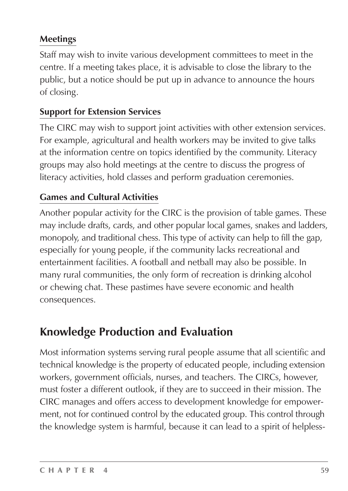### **Meetings**

Staff may wish to invite various development committees to meet in the centre. If a meeting takes place, it is advisable to close the library to the public, but a notice should be put up in advance to announce the hours of closing.

### **Support for Extension Services**

The CIRC may wish to support joint activities with other extension services. For example, agricultural and health workers may be invited to give talks at the information centre on topics identified by the community. Literacy groups may also hold meetings at the centre to discuss the progress of literacy activities, hold classes and perform graduation ceremonies.

### **Games and Cultural Activities**

Another popular activity for the CIRC is the provision of table games. These may include drafts, cards, and other popular local games, snakes and ladders, monopoly, and traditional chess. This type of activity can help to fill the gap, especially for young people, if the community lacks recreational and entertainment facilities. A football and netball may also be possible. In many rural communities, the only form of recreation is drinking alcohol or chewing chat. These pastimes have severe economic and health consequences.

## **Knowledge Production and Evaluation**

Most information systems serving rural people assume that all scientific and technical knowledge is the property of educated people, including extension workers, government officials, nurses, and teachers. The CIRCs, however, must foster a different outlook, if they are to succeed in their mission. The CIRC manages and offers access to development knowledge for empowerment, not for continued control by the educated group. This control through the knowledge system is harmful, because it can lead to a spirit of helpless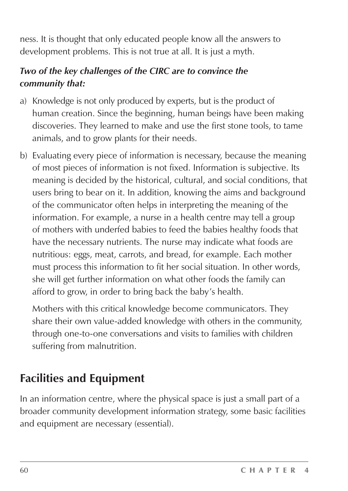ness. It is thought that only educated people know all the answers to development problems. This is not true at all. It is just a myth.

### *Two of the key challenges of the CIRC are to convince the community that:*

- a) Knowledge is not only produced by experts, but is the product of human creation. Since the beginning, human beings have been making discoveries. They learned to make and use the first stone tools, to tame animals, and to grow plants for their needs.
- b) Evaluating every piece of information is necessary, because the meaning of most pieces of information is not fixed. Information is subjective. Its meaning is decided by the historical, cultural, and social conditions, that users bring to bear on it. In addition, knowing the aims and background of the communicator often helps in interpreting the meaning of the information. For example, a nurse in a health centre may tell a group of mothers with underfed babies to feed the babies healthy foods that have the necessary nutrients. The nurse may indicate what foods are nutritious: eggs, meat, carrots, and bread, for example. Each mother must process this information to fit her social situation. In other words, she will get further information on what other foods the family can afford to grow, in order to bring back the baby's health.

Mothers with this critical knowledge become communicators. They share their own value-added knowledge with others in the community, through one-to-one conversations and visits to families with children suffering from malnutrition.

## **Facilities and Equipment**

In an information centre, where the physical space is just a small part of a broader community development information strategy, some basic facilities and equipment are necessary (essential).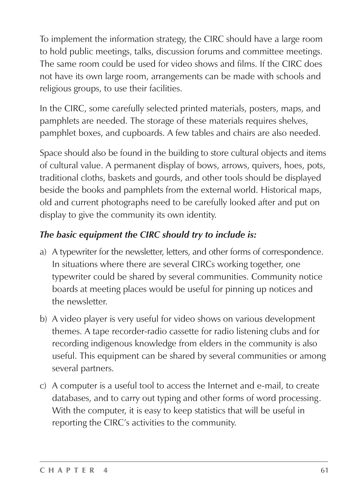To implement the information strategy, the CIRC should have a large room to hold public meetings, talks, discussion forums and committee meetings. The same room could be used for video shows and films. If the CIRC does not have its own large room, arrangements can be made with schools and religious groups, to use their facilities.

In the CIRC, some carefully selected printed materials, posters, maps, and pamphlets are needed. The storage of these materials requires shelves, pamphlet boxes, and cupboards. A few tables and chairs are also needed.

Space should also be found in the building to store cultural objects and items of cultural value. A permanent display of bows, arrows, quivers, hoes, pots, traditional cloths, baskets and gourds, and other tools should be displayed beside the books and pamphlets from the external world. Historical maps, old and current photographs need to be carefully looked after and put on display to give the community its own identity.

### *The basic equipment the CIRC should try to include is:*

- a) A typewriter for the newsletter, letters, and other forms of correspondence. In situations where there are several CIRCs working together, one typewriter could be shared by several communities. Community notice boards at meeting places would be useful for pinning up notices and the newsletter.
- b) A video player is very useful for video shows on various development themes. A tape recorder-radio cassette for radio listening clubs and for recording indigenous knowledge from elders in the community is also useful. This equipment can be shared by several communities or among several partners.
- c) A computer is a useful tool to access the Internet and e-mail, to create databases, and to carry out typing and other forms of word processing. With the computer, it is easy to keep statistics that will be useful in reporting the CIRC's activities to the community.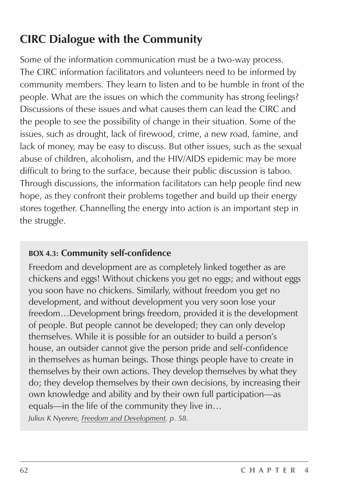## **CIRC Dialogue with the Community**

Some of the information communication must be a two-way process. The CIRC information facilitators and volunteers need to be informed by community members. They learn to listen and to be humble in front of the people. What are the issues on which the community has strong feelings? Discussions of these issues and what causes them can lead the CIRC and the people to see the possibility of change in their situation. Some of the issues, such as drought, lack of firewood, crime, a new road, famine, and lack of money, may be easy to discuss. But other issues, such as the sexual abuse of children, alcoholism, and the HIV/AIDS epidemic may be more difficult to bring to the surface, because their public discussion is taboo. Through discussions, the information facilitators can help people find new hope, as they confront their problems together and build up their energy stores together. Channelling the energy into action is an important step in the struggle.

#### **BOX 4.3: Community self-confidence**

Freedom and development are as completely linked together as are chickens and eggs! Without chickens you get no eggs; and without eggs you soon have no chickens. Similarly, without freedom you get no development, and without development you very soon lose your freedom…Development brings freedom, provided it is the development of people. But people cannot be developed; they can only develop themselves. While it is possible for an outsider to build a person's house, an outsider cannot give the person pride and self-confidence in themselves as human beings. Those things people have to create in themselves by their own actions. They develop themselves by what they do; they develop themselves by their own decisions, by increasing their own knowledge and ability and by their own full participation—as equals—in the life of the community they live in…

*Julius K Nyerere, Freedom and Development. p. 58.*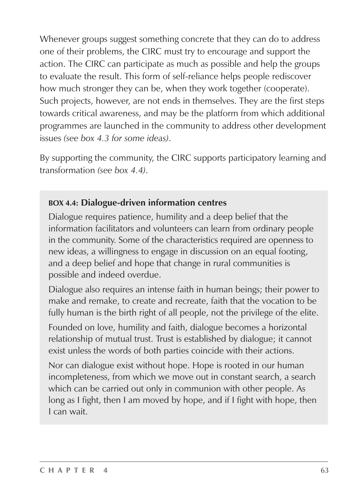Whenever groups suggest something concrete that they can do to address one of their problems, the CIRC must try to encourage and support the action. The CIRC can participate as much as possible and help the groups to evaluate the result. This form of self-reliance helps people rediscover how much stronger they can be, when they work together (cooperate). Such projects, however, are not ends in themselves. They are the first steps towards critical awareness, and may be the platform from which additional programmes are launched in the community to address other development issues *(see box 4.3 for some ideas)*.

By supporting the community, the CIRC supports participatory learning and transformation *(see box 4.4)*.

### **BOX 4.4: Dialogue-driven information centres**

Dialogue requires patience, humility and a deep belief that the information facilitators and volunteers can learn from ordinary people in the community. Some of the characteristics required are openness to new ideas, a willingness to engage in discussion on an equal footing, and a deep belief and hope that change in rural communities is possible and indeed overdue.

Dialogue also requires an intense faith in human beings; their power to make and remake, to create and recreate, faith that the vocation to be fully human is the birth right of all people, not the privilege of the elite.

Founded on love, humility and faith, dialogue becomes a horizontal relationship of mutual trust. Trust is established by dialogue; it cannot exist unless the words of both parties coincide with their actions.

Nor can dialogue exist without hope. Hope is rooted in our human incompleteness, from which we move out in constant search, a search which can be carried out only in communion with other people. As long as I fight, then I am moved by hope, and if I fight with hope, then I can wait.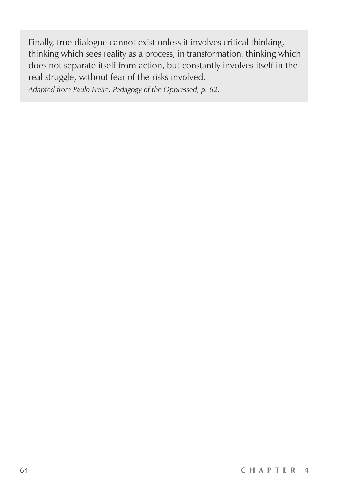Finally, true dialogue cannot exist unless it involves critical thinking, thinking which sees reality as a process, in transformation, thinking which does not separate itself from action, but constantly involves itself in the real struggle, without fear of the risks involved.

*Adapted from Paulo Freire. Pedagogy of the Oppressed, p. 62.*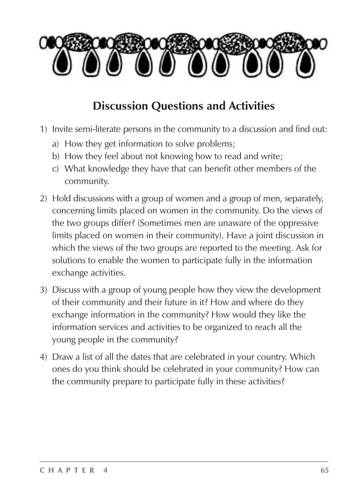

## **Discussion Questions and Activities**

- 1) Invite semi-literate persons in the community to a discussion and find out:
	- a) How they get information to solve problems;
	- b) How they feel about not knowing how to read and write;
	- c) What knowledge they have that can benefit other members of the community.
- 2) Hold discussions with a group of women and a group of men, separately, concerning limits placed on women in the community. Do the views of the two groups differ? (Sometimes men are unaware of the oppressive limits placed on women in their community). Have a joint discussion in which the views of the two groups are reported to the meeting. Ask for solutions to enable the women to participate fully in the information exchange activities.
- 3) Discuss with a group of young people how they view the development of their community and their future in it? How and where do they exchange information in the community? How would they like the information services and activities to be organized to reach all the young people in the community?
- 4) Draw a list of all the dates that are celebrated in your country. Which ones do you think should be celebrated in your community? How can the community prepare to participate fully in these activities?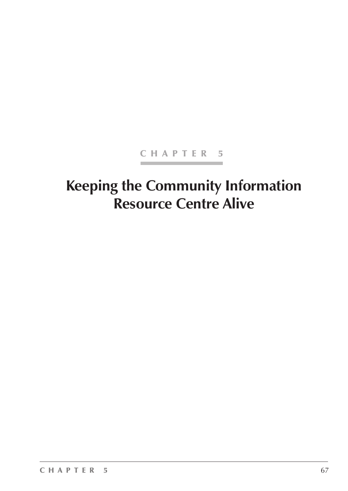### CHAPTER 5

# **Keeping the Community Information Resource Centre Alive**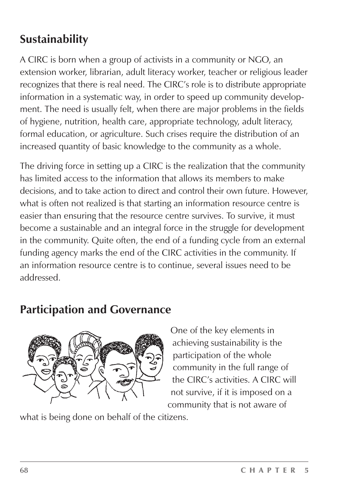## **Sustainability**

A CIRC is born when a group of activists in a community or NGO, an extension worker, librarian, adult literacy worker, teacher or religious leader recognizes that there is real need. The CIRC's role is to distribute appropriate information in a systematic way, in order to speed up community development. The need is usually felt, when there are major problems in the fields of hygiene, nutrition, health care, appropriate technology, adult literacy, formal education, or agriculture. Such crises require the distribution of an increased quantity of basic knowledge to the community as a whole.

The driving force in setting up a CIRC is the realization that the community has limited access to the information that allows its members to make decisions, and to take action to direct and control their own future. However, what is often not realized is that starting an information resource centre is easier than ensuring that the resource centre survives. To survive, it must become a sustainable and an integral force in the struggle for development in the community. Quite often, the end of a funding cycle from an external funding agency marks the end of the CIRC activities in the community. If an information resource centre is to continue, several issues need to be addressed.

## **Participation and Governance**



One of the key elements in achieving sustainability is the participation of the whole community in the full range of the CIRC's activities. A CIRC will not survive, if it is imposed on a community that is not aware of

what is being done on behalf of the citizens.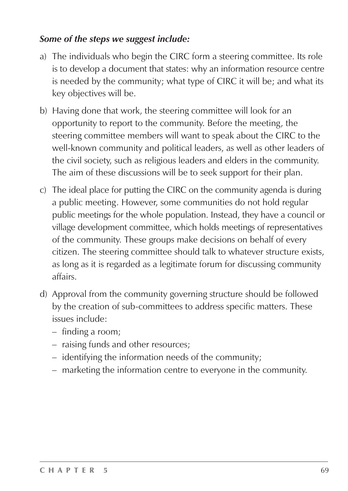#### *Some of the steps we suggest include:*

- a) The individuals who begin the CIRC form a steering committee. Its role is to develop a document that states: why an information resource centre is needed by the community; what type of CIRC it will be; and what its key objectives will be.
- b) Having done that work, the steering committee will look for an opportunity to report to the community. Before the meeting, the steering committee members will want to speak about the CIRC to the well-known community and political leaders, as well as other leaders of the civil society, such as religious leaders and elders in the community. The aim of these discussions will be to seek support for their plan.
- c) The ideal place for putting the CIRC on the community agenda is during a public meeting. However, some communities do not hold regular public meetings for the whole population. Instead, they have a council or village development committee, which holds meetings of representatives of the community. These groups make decisions on behalf of every citizen. The steering committee should talk to whatever structure exists, as long as it is regarded as a legitimate forum for discussing community affairs.
- d) Approval from the community governing structure should be followed by the creation of sub-committees to address specific matters. These issues include:
	- finding a room;
	- raising funds and other resources;
	- identifying the information needs of the community;
	- marketing the information centre to everyone in the community.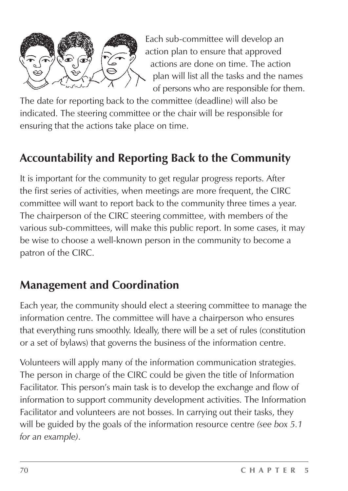

Each sub-committee will develop an action plan to ensure that approved actions are done on time. The action plan will list all the tasks and the names of persons who are responsible for them.

The date for reporting back to the committee (deadline) will also be indicated. The steering committee or the chair will be responsible for ensuring that the actions take place on time.

## **Accountability and Reporting Back to the Community**

It is important for the community to get regular progress reports. After the first series of activities, when meetings are more frequent, the CIRC committee will want to report back to the community three times a year. The chairperson of the CIRC steering committee, with members of the various sub-committees, will make this public report. In some cases, it may be wise to choose a well-known person in the community to become a patron of the CIRC.

## **Management and Coordination**

Each year, the community should elect a steering committee to manage the information centre. The committee will have a chairperson who ensures that everything runs smoothly. Ideally, there will be a set of rules (constitution or a set of bylaws) that governs the business of the information centre.

Volunteers will apply many of the information communication strategies. The person in charge of the CIRC could be given the title of Information Facilitator. This person's main task is to develop the exchange and flow of information to support community development activities. The Information Facilitator and volunteers are not bosses. In carrying out their tasks, they will be guided by the goals of the information resource centre *(see box 5.1 for an example)*.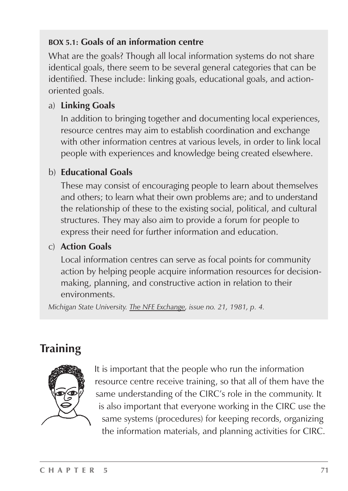### **BOX 5.1: Goals of an information centre**

What are the goals? Though all local information systems do not share identical goals, there seem to be several general categories that can be identified. These include: linking goals, educational goals, and actionoriented goals.

### a) **Linking Goals**

In addition to bringing together and documenting local experiences, resource centres may aim to establish coordination and exchange with other information centres at various levels, in order to link local people with experiences and knowledge being created elsewhere.

### b) **Educational Goals**

These may consist of encouraging people to learn about themselves and others; to learn what their own problems are; and to understand the relationship of these to the existing social, political, and cultural structures. They may also aim to provide a forum for people to express their need for further information and education.

### c) **Action Goals**

Local information centres can serve as focal points for community action by helping people acquire information resources for decisionmaking, planning, and constructive action in relation to their environments.

*Michigan State University. The NFE Exchange, issue no. 21, 1981, p. 4.*

## **Training**



It is important that the people who run the information resource centre receive training, so that all of them have the same understanding of the CIRC's role in the community. It is also important that everyone working in the CIRC use the same systems (procedures) for keeping records, organizing the information materials, and planning activities for CIRC.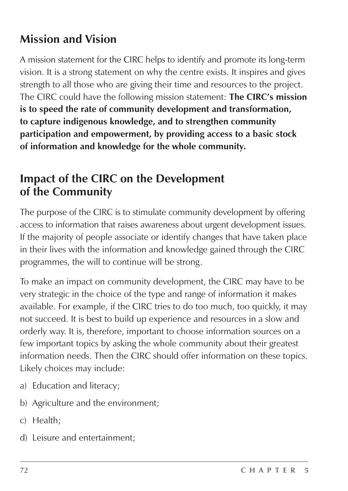## **Mission and Vision**

A mission statement for the CIRC helps to identify and promote its long-term vision. It is a strong statement on why the centre exists. It inspires and gives strength to all those who are giving their time and resources to the project. The CIRC could have the following mission statement: **The CIRC's mission is to speed the rate of community development and transformation, to capture indigenous knowledge, and to strengthen community participation and empowerment, by providing access to a basic stock of information and knowledge for the whole community.**

## **Impact of the CIRC on the Development of the Community**

The purpose of the CIRC is to stimulate community development by offering access to information that raises awareness about urgent development issues. If the majority of people associate or identify changes that have taken place in their lives with the information and knowledge gained through the CIRC programmes, the will to continue will be strong.

To make an impact on community development, the CIRC may have to be very strategic in the choice of the type and range of information it makes available. For example, if the CIRC tries to do too much, too quickly, it may not succeed. It is best to build up experience and resources in a slow and orderly way. It is, therefore, important to choose information sources on a few important topics by asking the whole community about their greatest information needs. Then the CIRC should offer information on these topics. Likely choices may include:

- a) Education and literacy;
- b) Agriculture and the environment;
- c) Health;
- d) Leisure and entertainment;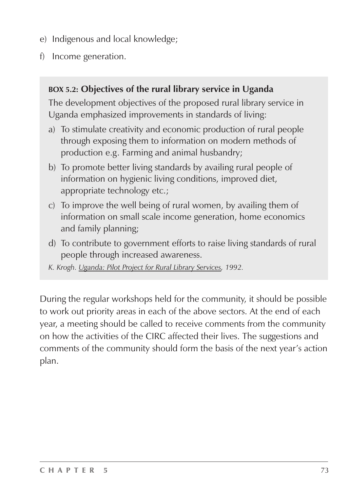- e) Indigenous and local knowledge;
- f) Income generation.

#### **BOX 5.2: Objectives of the rural library service in Uganda**

The development objectives of the proposed rural library service in Uganda emphasized improvements in standards of living:

- a) To stimulate creativity and economic production of rural people through exposing them to information on modern methods of production e.g. Farming and animal husbandry;
- b) To promote better living standards by availing rural people of information on hygienic living conditions, improved diet, appropriate technology etc.;
- c) To improve the well being of rural women, by availing them of information on small scale income generation, home economics and family planning;
- d) To contribute to government efforts to raise living standards of rural people through increased awareness.
- *K. Krogh. Uganda: Pilot Project for Rural Library Services, 1992.*

During the regular workshops held for the community, it should be possible to work out priority areas in each of the above sectors. At the end of each year, a meeting should be called to receive comments from the community on how the activities of the CIRC affected their lives. The suggestions and comments of the community should form the basis of the next year's action plan.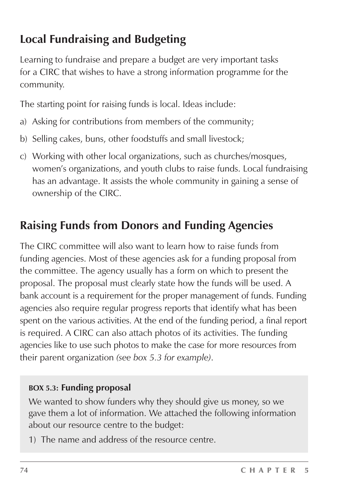## **Local Fundraising and Budgeting**

Learning to fundraise and prepare a budget are very important tasks for a CIRC that wishes to have a strong information programme for the community.

The starting point for raising funds is local. Ideas include:

- a) Asking for contributions from members of the community;
- b) Selling cakes, buns, other foodstuffs and small livestock;
- c) Working with other local organizations, such as churches/mosques, women's organizations, and youth clubs to raise funds. Local fundraising has an advantage. It assists the whole community in gaining a sense of ownership of the CIRC.

## **Raising Funds from Donors and Funding Agencies**

The CIRC committee will also want to learn how to raise funds from funding agencies. Most of these agencies ask for a funding proposal from the committee. The agency usually has a form on which to present the proposal. The proposal must clearly state how the funds will be used. A bank account is a requirement for the proper management of funds. Funding agencies also require regular progress reports that identify what has been spent on the various activities. At the end of the funding period, a final report is required. A CIRC can also attach photos of its activities. The funding agencies like to use such photos to make the case for more resources from their parent organization *(see box 5.3 for example)*.

#### **BOX 5.3: Funding proposal**

We wanted to show funders why they should give us money, so we gave them a lot of information. We attached the following information about our resource centre to the budget:

1) The name and address of the resource centre.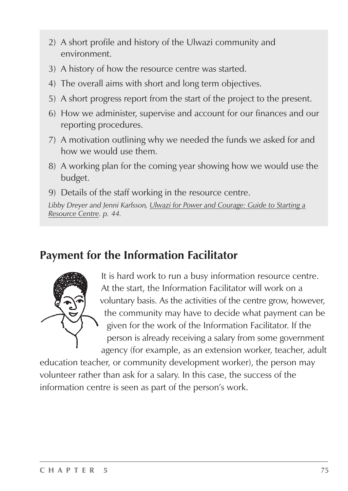- 2) A short profile and history of the Ulwazi community and environment.
- 3) A history of how the resource centre was started.
- 4) The overall aims with short and long term objectives.
- 5) A short progress report from the start of the project to the present.
- 6) How we administer, supervise and account for our finances and our reporting procedures.
- 7) A motivation outlining why we needed the funds we asked for and how we would use them.
- 8) A working plan for the coming year showing how we would use the budget.
- 9) Details of the staff working in the resource centre.

*Libby Dreyer and Jenni Karlsson, Ulwazi for Power and Courage: Guide to Starting a Resource Centre. p. 44.*

### **Payment for the Information Facilitator**



It is hard work to run a busy information resource centre. At the start, the Information Facilitator will work on a voluntary basis. As the activities of the centre grow, however, the community may have to decide what payment can be given for the work of the Information Facilitator. If the person is already receiving a salary from some government agency (for example, as an extension worker, teacher, adult

education teacher, or community development worker), the person may volunteer rather than ask for a salary. In this case, the success of the information centre is seen as part of the person's work.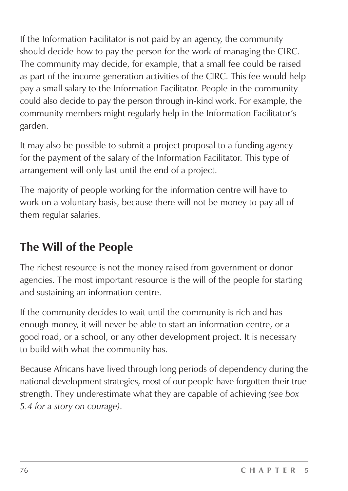If the Information Facilitator is not paid by an agency, the community should decide how to pay the person for the work of managing the CIRC. The community may decide, for example, that a small fee could be raised as part of the income generation activities of the CIRC. This fee would help pay a small salary to the Information Facilitator. People in the community could also decide to pay the person through in-kind work. For example, the community members might regularly help in the Information Facilitator's garden.

It may also be possible to submit a project proposal to a funding agency for the payment of the salary of the Information Facilitator. This type of arrangement will only last until the end of a project.

The majority of people working for the information centre will have to work on a voluntary basis, because there will not be money to pay all of them regular salaries.

## **The Will of the People**

The richest resource is not the money raised from government or donor agencies. The most important resource is the will of the people for starting and sustaining an information centre.

If the community decides to wait until the community is rich and has enough money, it will never be able to start an information centre, or a good road, or a school, or any other development project. It is necessary to build with what the community has.

Because Africans have lived through long periods of dependency during the national development strategies, most of our people have forgotten their true strength. They underestimate what they are capable of achieving *(see box 5.4 for a story on courage)*.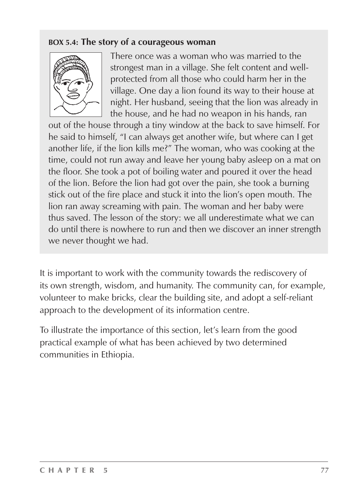#### **BOX 5.4: The story of a courageous woman**



There once was a woman who was married to the strongest man in a village. She felt content and wellprotected from all those who could harm her in the village. One day a lion found its way to their house at night. Her husband, seeing that the lion was already in the house, and he had no weapon in his hands, ran

out of the house through a tiny window at the back to save himself. For he said to himself, "I can always get another wife, but where can I get another life, if the lion kills me?" The woman, who was cooking at the time, could not run away and leave her young baby asleep on a mat on the floor. She took a pot of boiling water and poured it over the head of the lion. Before the lion had got over the pain, she took a burning stick out of the fire place and stuck it into the lion's open mouth. The lion ran away screaming with pain. The woman and her baby were thus saved. The lesson of the story: we all underestimate what we can do until there is nowhere to run and then we discover an inner strength we never thought we had.

It is important to work with the community towards the rediscovery of its own strength, wisdom, and humanity. The community can, for example, volunteer to make bricks, clear the building site, and adopt a self-reliant approach to the development of its information centre.

To illustrate the importance of this section, let's learn from the good practical example of what has been achieved by two determined communities in Ethiopia.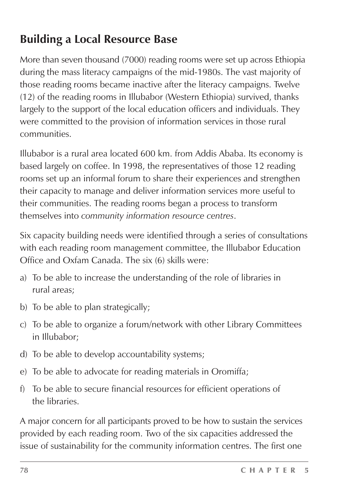## **Building a Local Resource Base**

More than seven thousand (7000) reading rooms were set up across Ethiopia during the mass literacy campaigns of the mid-1980s. The vast majority of those reading rooms became inactive after the literacy campaigns. Twelve (12) of the reading rooms in Illubabor (Western Ethiopia) survived, thanks largely to the support of the local education officers and individuals. They were committed to the provision of information services in those rural communities.

Illubabor is a rural area located 600 km. from Addis Ababa. Its economy is based largely on coffee. In 1998, the representatives of those 12 reading rooms set up an informal forum to share their experiences and strengthen their capacity to manage and deliver information services more useful to their communities. The reading rooms began a process to transform themselves into *community information resource centres*.

Six capacity building needs were identified through a series of consultations with each reading room management committee, the Illubabor Education Office and Oxfam Canada. The six (6) skills were:

- a) To be able to increase the understanding of the role of libraries in rural areas;
- b) To be able to plan strategically;
- c) To be able to organize a forum/network with other Library Committees in Illubabor;
- d) To be able to develop accountability systems;
- e) To be able to advocate for reading materials in Oromiffa;
- f) To be able to secure financial resources for efficient operations of the libraries.

A major concern for all participants proved to be how to sustain the services provided by each reading room. Two of the six capacities addressed the issue of sustainability for the community information centres. The first one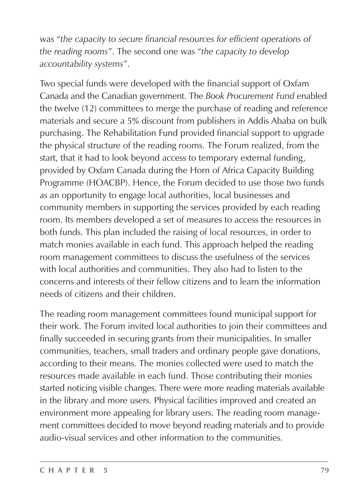was "*the capacity to secure financial resources for efficient operations of the reading rooms*". The second one was "*the capacity to develop accountability systems*".

Two special funds were developed with the financial support of Oxfam Canada and the Canadian government. The *Book Procurement Fund* enabled the twelve (12) committees to merge the purchase of reading and reference materials and secure a 5% discount from publishers in Addis Ababa on bulk purchasing. The Rehabilitation Fund provided financial support to upgrade the physical structure of the reading rooms. The Forum realized, from the start, that it had to look beyond access to temporary external funding, provided by Oxfam Canada during the Horn of Africa Capacity Building Programme (HOACBP). Hence, the Forum decided to use those two funds as an opportunity to engage local authorities, local businesses and community members in supporting the services provided by each reading room. Its members developed a set of measures to access the resources in both funds. This plan included the raising of local resources, in order to match monies available in each fund. This approach helped the reading room management committees to discuss the usefulness of the services with local authorities and communities. They also had to listen to the concerns and interests of their fellow citizens and to learn the information needs of citizens and their children.

The reading room management committees found municipal support for their work. The Forum invited local authorities to join their committees and finally succeeded in securing grants from their municipalities. In smaller communities, teachers, small traders and ordinary people gave donations, according to their means. The monies collected were used to match the resources made available in each fund. Those contributing their monies started noticing visible changes. There were more reading materials available in the library and more users. Physical facilities improved and created an environment more appealing for library users. The reading room management committees decided to move beyond reading materials and to provide audio-visual services and other information to the communities.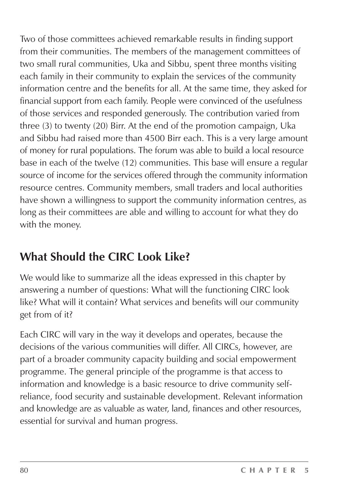Two of those committees achieved remarkable results in finding support from their communities. The members of the management committees of two small rural communities, Uka and Sibbu, spent three months visiting each family in their community to explain the services of the community information centre and the benefits for all. At the same time, they asked for financial support from each family. People were convinced of the usefulness of those services and responded generously. The contribution varied from three (3) to twenty (20) Birr. At the end of the promotion campaign, Uka and Sibbu had raised more than 4500 Birr each. This is a very large amount of money for rural populations. The forum was able to build a local resource base in each of the twelve (12) communities. This base will ensure a regular source of income for the services offered through the community information resource centres. Community members, small traders and local authorities have shown a willingness to support the community information centres, as long as their committees are able and willing to account for what they do with the money.

## **What Should the CIRC Look Like?**

We would like to summarize all the ideas expressed in this chapter by answering a number of questions: What will the functioning CIRC look like? What will it contain? What services and benefits will our community get from of it?

Each CIRC will vary in the way it develops and operates, because the decisions of the various communities will differ. All CIRCs, however, are part of a broader community capacity building and social empowerment programme. The general principle of the programme is that access to information and knowledge is a basic resource to drive community selfreliance, food security and sustainable development. Relevant information and knowledge are as valuable as water, land, finances and other resources, essential for survival and human progress.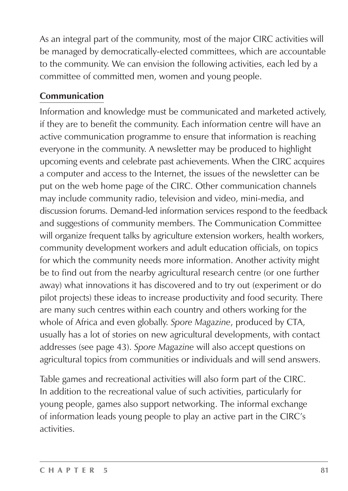As an integral part of the community, most of the major CIRC activities will be managed by democratically-elected committees, which are accountable to the community. We can envision the following activities, each led by a committee of committed men, women and young people.

#### **Communication**

Information and knowledge must be communicated and marketed actively, if they are to benefit the community. Each information centre will have an active communication programme to ensure that information is reaching everyone in the community. A newsletter may be produced to highlight upcoming events and celebrate past achievements. When the CIRC acquires a computer and access to the Internet, the issues of the newsletter can be put on the web home page of the CIRC. Other communication channels may include community radio, television and video, mini-media, and discussion forums. Demand-led information services respond to the feedback and suggestions of community members. The Communication Committee will organize frequent talks by agriculture extension workers, health workers, community development workers and adult education officials, on topics for which the community needs more information. Another activity might be to find out from the nearby agricultural research centre (or one further away) what innovations it has discovered and to try out (experiment or do pilot projects) these ideas to increase productivity and food security. There are many such centres within each country and others working for the whole of Africa and even globally. *Spore Magazine*, produced by CTA, usually has a lot of stories on new agricultural developments, with contact addresses (see page 43). *Spore Magazine* will also accept questions on agricultural topics from communities or individuals and will send answers.

Table games and recreational activities will also form part of the CIRC. In addition to the recreational value of such activities, particularly for young people, games also support networking. The informal exchange of information leads young people to play an active part in the CIRC's activities.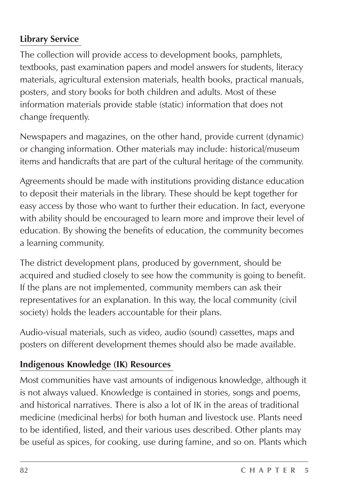#### **Library Service**

The collection will provide access to development books, pamphlets, textbooks, past examination papers and model answers for students, literacy materials, agricultural extension materials, health books, practical manuals, posters, and story books for both children and adults. Most of these information materials provide stable (static) information that does not change frequently.

Newspapers and magazines, on the other hand, provide current (dynamic) or changing information. Other materials may include: historical/museum items and handicrafts that are part of the cultural heritage of the community.

Agreements should be made with institutions providing distance education to deposit their materials in the library. These should be kept together for easy access by those who want to further their education. In fact, everyone with ability should be encouraged to learn more and improve their level of education. By showing the benefits of education, the community becomes a learning community.

The district development plans, produced by government, should be acquired and studied closely to see how the community is going to benefit. If the plans are not implemented, community members can ask their representatives for an explanation. In this way, the local community (civil society) holds the leaders accountable for their plans.

Audio-visual materials, such as video, audio (sound) cassettes, maps and posters on different development themes should also be made available.

#### **Indigenous Knowledge (IK) Resources**

Most communities have vast amounts of indigenous knowledge, although it is not always valued. Knowledge is contained in stories, songs and poems, and historical narratives. There is also a lot of IK in the areas of traditional medicine (medicinal herbs) for both human and livestock use. Plants need to be identified, listed, and their various uses described. Other plants may be useful as spices, for cooking, use during famine, and so on. Plants which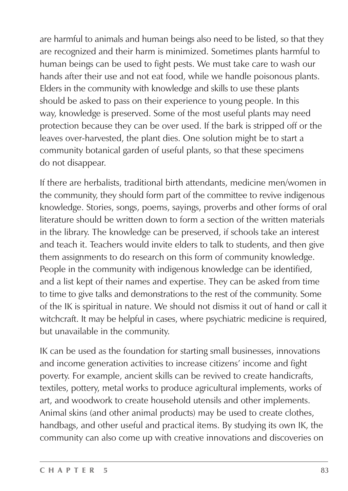are harmful to animals and human beings also need to be listed, so that they are recognized and their harm is minimized. Sometimes plants harmful to human beings can be used to fight pests. We must take care to wash our hands after their use and not eat food, while we handle poisonous plants. Elders in the community with knowledge and skills to use these plants should be asked to pass on their experience to young people. In this way, knowledge is preserved. Some of the most useful plants may need protection because they can be over used. If the bark is stripped off or the leaves over-harvested, the plant dies. One solution might be to start a community botanical garden of useful plants, so that these specimens do not disappear.

If there are herbalists, traditional birth attendants, medicine men/women in the community, they should form part of the committee to revive indigenous knowledge. Stories, songs, poems, sayings, proverbs and other forms of oral literature should be written down to form a section of the written materials in the library. The knowledge can be preserved, if schools take an interest and teach it. Teachers would invite elders to talk to students, and then give them assignments to do research on this form of community knowledge. People in the community with indigenous knowledge can be identified, and a list kept of their names and expertise. They can be asked from time to time to give talks and demonstrations to the rest of the community. Some of the IK is spiritual in nature. We should not dismiss it out of hand or call it witchcraft. It may be helpful in cases, where psychiatric medicine is required, but unavailable in the community.

IK can be used as the foundation for starting small businesses, innovations and income generation activities to increase citizens' income and fight poverty. For example, ancient skills can be revived to create handicrafts, textiles, pottery, metal works to produce agricultural implements, works of art, and woodwork to create household utensils and other implements. Animal skins (and other animal products) may be used to create clothes, handbags, and other useful and practical items. By studying its own IK, the community can also come up with creative innovations and discoveries on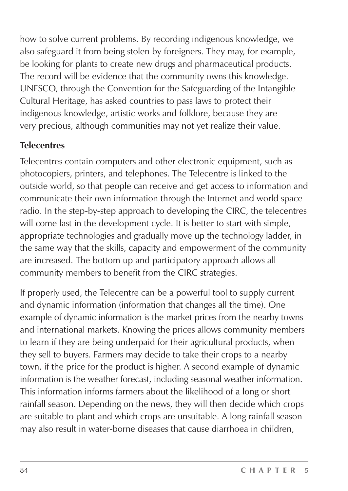how to solve current problems. By recording indigenous knowledge, we also safeguard it from being stolen by foreigners. They may, for example, be looking for plants to create new drugs and pharmaceutical products. The record will be evidence that the community owns this knowledge. UNESCO, through the Convention for the Safeguarding of the Intangible Cultural Heritage, has asked countries to pass laws to protect their indigenous knowledge, artistic works and folklore, because they are very precious, although communities may not yet realize their value.

#### **Telecentres**

Telecentres contain computers and other electronic equipment, such as photocopiers, printers, and telephones. The Telecentre is linked to the outside world, so that people can receive and get access to information and communicate their own information through the Internet and world space radio. In the step-by-step approach to developing the CIRC, the telecentres will come last in the development cycle. It is better to start with simple, appropriate technologies and gradually move up the technology ladder, in the same way that the skills, capacity and empowerment of the community are increased. The bottom up and participatory approach allows all community members to benefit from the CIRC strategies.

If properly used, the Telecentre can be a powerful tool to supply current and dynamic information (information that changes all the time). One example of dynamic information is the market prices from the nearby towns and international markets. Knowing the prices allows community members to learn if they are being underpaid for their agricultural products, when they sell to buyers. Farmers may decide to take their crops to a nearby town, if the price for the product is higher. A second example of dynamic information is the weather forecast, including seasonal weather information. This information informs farmers about the likelihood of a long or short rainfall season. Depending on the news, they will then decide which crops are suitable to plant and which crops are unsuitable. A long rainfall season may also result in water-borne diseases that cause diarrhoea in children,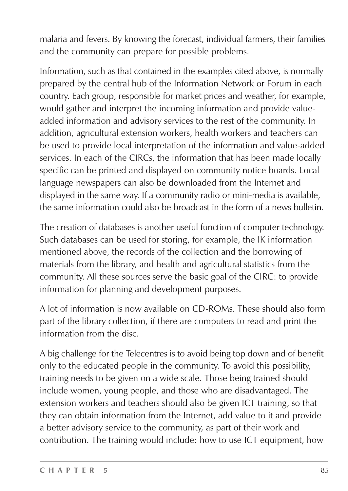malaria and fevers. By knowing the forecast, individual farmers, their families and the community can prepare for possible problems.

Information, such as that contained in the examples cited above, is normally prepared by the central hub of the Information Network or Forum in each country. Each group, responsible for market prices and weather, for example, would gather and interpret the incoming information and provide valueadded information and advisory services to the rest of the community. In addition, agricultural extension workers, health workers and teachers can be used to provide local interpretation of the information and value-added services. In each of the CIRCs, the information that has been made locally specific can be printed and displayed on community notice boards. Local language newspapers can also be downloaded from the Internet and displayed in the same way. If a community radio or mini-media is available, the same information could also be broadcast in the form of a news bulletin.

The creation of databases is another useful function of computer technology. Such databases can be used for storing, for example, the IK information mentioned above, the records of the collection and the borrowing of materials from the library, and health and agricultural statistics from the community. All these sources serve the basic goal of the CIRC: to provide information for planning and development purposes.

A lot of information is now available on CD-ROMs. These should also form part of the library collection, if there are computers to read and print the information from the disc.

A big challenge for the Telecentres is to avoid being top down and of benefit only to the educated people in the community. To avoid this possibility, training needs to be given on a wide scale. Those being trained should include women, young people, and those who are disadvantaged. The extension workers and teachers should also be given ICT training, so that they can obtain information from the Internet, add value to it and provide a better advisory service to the community, as part of their work and contribution. The training would include: how to use ICT equipment, how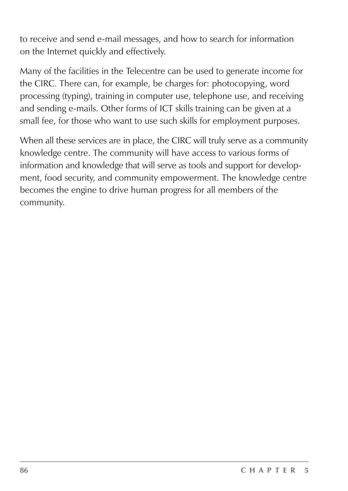to receive and send e-mail messages, and how to search for information on the Internet quickly and effectively.

Many of the facilities in the Telecentre can be used to generate income for the CIRC. There can, for example, be charges for: photocopying, word processing (typing), training in computer use, telephone use, and receiving and sending e-mails. Other forms of ICT skills training can be given at a small fee, for those who want to use such skills for employment purposes.

When all these services are in place, the CIRC will truly serve as a community knowledge centre. The community will have access to various forms of information and knowledge that will serve as tools and support for development, food security, and community empowerment. The knowledge centre becomes the engine to drive human progress for all members of the community.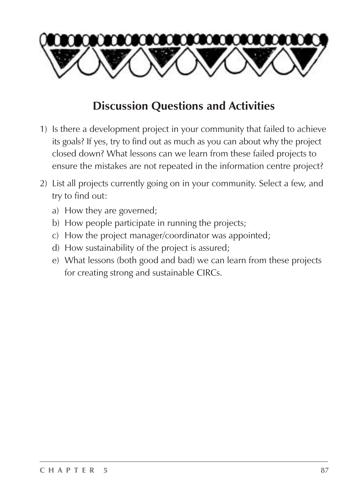

### **Discussion Questions and Activities**

- 1) Is there a development project in your community that failed to achieve its goals? If yes, try to find out as much as you can about why the project closed down? What lessons can we learn from these failed projects to ensure the mistakes are not repeated in the information centre project?
- 2) List all projects currently going on in your community. Select a few, and try to find out:
	- a) How they are governed;
	- b) How people participate in running the projects;
	- c) How the project manager/coordinator was appointed;
	- d) How sustainability of the project is assured;
	- e) What lessons (both good and bad) we can learn from these projects for creating strong and sustainable CIRCs.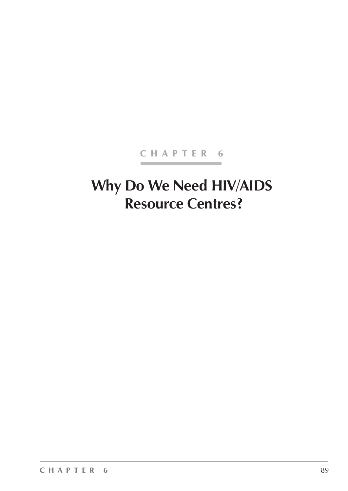#### CHAPTER 6

# **Why Do We Need HIV/AIDS Resource Centres?**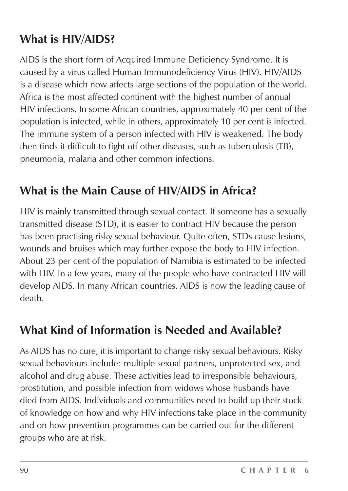## **What is HIV/AIDS?**

AIDS is the short form of Acquired Immune Deficiency Syndrome. It is caused by a virus called Human Immunodeficiency Virus (HIV). HIV/AIDS is a disease which now affects large sections of the population of the world. Africa is the most affected continent with the highest number of annual HIV infections. In some African countries, approximately 40 per cent of the population is infected, while in others, approximately 10 per cent is infected. The immune system of a person infected with HIV is weakened. The body then finds it difficult to fight off other diseases, such as tuberculosis (TB), pneumonia, malaria and other common infections.

### **What is the Main Cause of HIV/AIDS in Africa?**

HIV is mainly transmitted through sexual contact. If someone has a sexually transmitted disease (STD), it is easier to contract HIV because the person has been practising risky sexual behaviour. Quite often, STDs cause lesions, wounds and bruises which may further expose the body to HIV infection. About 23 per cent of the population of Namibia is estimated to be infected with HIV. In a few years, many of the people who have contracted HIV will develop AIDS. In many African countries, AIDS is now the leading cause of death.

### **What Kind of Information is Needed and Available?**

As AIDS has no cure, it is important to change risky sexual behaviours. Risky sexual behaviours include: multiple sexual partners, unprotected sex, and alcohol and drug abuse. These activities lead to irresponsible behaviours, prostitution, and possible infection from widows whose husbands have died from AIDS. Individuals and communities need to build up their stock of knowledge on how and why HIV infections take place in the community and on how prevention programmes can be carried out for the different groups who are at risk.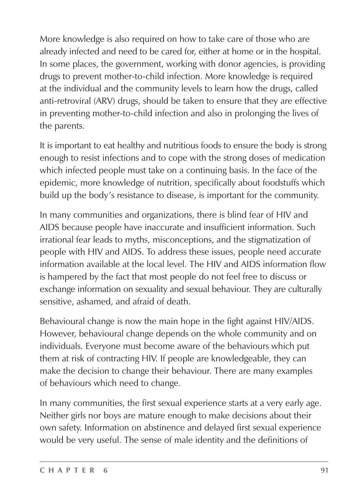More knowledge is also required on how to take care of those who are already infected and need to be cared for, either at home or in the hospital. In some places, the government, working with donor agencies, is providing drugs to prevent mother-to-child infection. More knowledge is required at the individual and the community levels to learn how the drugs, called anti-retroviral (ARV) drugs, should be taken to ensure that they are effective in preventing mother-to-child infection and also in prolonging the lives of the parents.

It is important to eat healthy and nutritious foods to ensure the body is strong enough to resist infections and to cope with the strong doses of medication which infected people must take on a continuing basis. In the face of the epidemic, more knowledge of nutrition, specifically about foodstuffs which build up the body's resistance to disease, is important for the community.

In many communities and organizations, there is blind fear of HIV and AIDS because people have inaccurate and insufficient information. Such irrational fear leads to myths, misconceptions, and the stigmatization of people with HIV and AIDS. To address these issues, people need accurate information available at the local level. The HIV and AIDS information flow is hampered by the fact that most people do not feel free to discuss or exchange information on sexuality and sexual behaviour. They are culturally sensitive, ashamed, and afraid of death.

Behavioural change is now the main hope in the fight against HIV/AIDS. However, behavioural change depends on the whole community and on individuals. Everyone must become aware of the behaviours which put them at risk of contracting HIV. If people are knowledgeable, they can make the decision to change their behaviour. There are many examples of behaviours which need to change.

In many communities, the first sexual experience starts at a very early age. Neither girls nor boys are mature enough to make decisions about their own safety. Information on abstinence and delayed first sexual experience would be very useful. The sense of male identity and the definitions of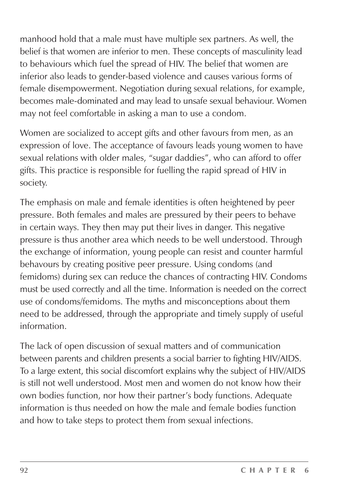manhood hold that a male must have multiple sex partners. As well, the belief is that women are inferior to men. These concepts of masculinity lead to behaviours which fuel the spread of HIV. The belief that women are inferior also leads to gender-based violence and causes various forms of female disempowerment. Negotiation during sexual relations, for example, becomes male-dominated and may lead to unsafe sexual behaviour. Women may not feel comfortable in asking a man to use a condom.

Women are socialized to accept gifts and other favours from men, as an expression of love. The acceptance of favours leads young women to have sexual relations with older males, "sugar daddies", who can afford to offer gifts. This practice is responsible for fuelling the rapid spread of HIV in society.

The emphasis on male and female identities is often heightened by peer pressure. Both females and males are pressured by their peers to behave in certain ways. They then may put their lives in danger. This negative pressure is thus another area which needs to be well understood. Through the exchange of information, young people can resist and counter harmful behavours by creating positive peer pressure. Using condoms (and femidoms) during sex can reduce the chances of contracting HIV. Condoms must be used correctly and all the time. Information is needed on the correct use of condoms/femidoms. The myths and misconceptions about them need to be addressed, through the appropriate and timely supply of useful information.

The lack of open discussion of sexual matters and of communication between parents and children presents a social barrier to fighting HIV/AIDS. To a large extent, this social discomfort explains why the subject of HIV/AIDS is still not well understood. Most men and women do not know how their own bodies function, nor how their partner's body functions. Adequate information is thus needed on how the male and female bodies function and how to take steps to protect them from sexual infections.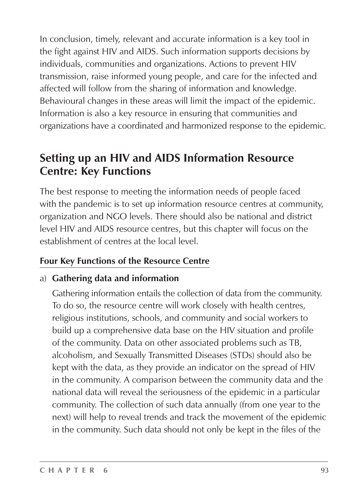In conclusion, timely, relevant and accurate information is a key tool in the fight against HIV and AIDS. Such information supports decisions by individuals, communities and organizations. Actions to prevent HIV transmission, raise informed young people, and care for the infected and affected will follow from the sharing of information and knowledge. Behavioural changes in these areas will limit the impact of the epidemic. Information is also a key resource in ensuring that communities and organizations have a coordinated and harmonized response to the epidemic.

### **Setting up an HIV and AIDS Information Resource Centre: Key Functions**

The best response to meeting the information needs of people faced with the pandemic is to set up information resource centres at community, organization and NGO levels. There should also be national and district level HIV and AIDS resource centres, but this chapter will focus on the establishment of centres at the local level.

#### **Four Key Functions of the Resource Centre**

#### a) **Gathering data and information**

Gathering information entails the collection of data from the community. To do so, the resource centre will work closely with health centres, religious institutions, schools, and community and social workers to build up a comprehensive data base on the HIV situation and profile of the community. Data on other associated problems such as TB, alcoholism, and Sexually Transmitted Diseases (STDs) should also be kept with the data, as they provide an indicator on the spread of HIV in the community. A comparison between the community data and the national data will reveal the seriousness of the epidemic in a particular community. The collection of such data annually (from one year to the next) will help to reveal trends and track the movement of the epidemic in the community. Such data should not only be kept in the files of the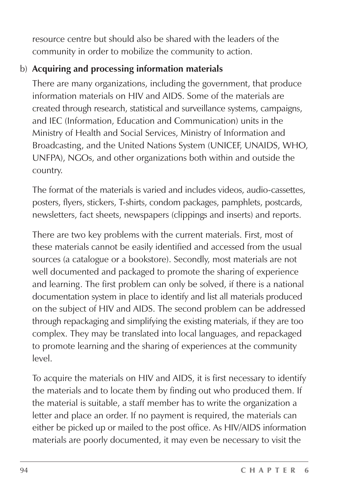resource centre but should also be shared with the leaders of the community in order to mobilize the community to action.

#### b) **Acquiring and processing information materials**

There are many organizations, including the government, that produce information materials on HIV and AIDS. Some of the materials are created through research, statistical and surveillance systems, campaigns, and IEC (Information, Education and Communication) units in the Ministry of Health and Social Services, Ministry of Information and Broadcasting, and the United Nations System (UNICEF, UNAIDS, WHO, UNFPA), NGOs, and other organizations both within and outside the country.

The format of the materials is varied and includes videos, audio-cassettes, posters, flyers, stickers, T-shirts, condom packages, pamphlets, postcards, newsletters, fact sheets, newspapers (clippings and inserts) and reports.

There are two key problems with the current materials. First, most of these materials cannot be easily identified and accessed from the usual sources (a catalogue or a bookstore). Secondly, most materials are not well documented and packaged to promote the sharing of experience and learning. The first problem can only be solved, if there is a national documentation system in place to identify and list all materials produced on the subject of HIV and AIDS. The second problem can be addressed through repackaging and simplifying the existing materials, if they are too complex. They may be translated into local languages, and repackaged to promote learning and the sharing of experiences at the community  $|_{\alpha\vee\alpha}|$ 

To acquire the materials on HIV and AIDS, it is first necessary to identify the materials and to locate them by finding out who produced them. If the material is suitable, a staff member has to write the organization a letter and place an order. If no payment is required, the materials can either be picked up or mailed to the post office. As HIV/AIDS information materials are poorly documented, it may even be necessary to visit the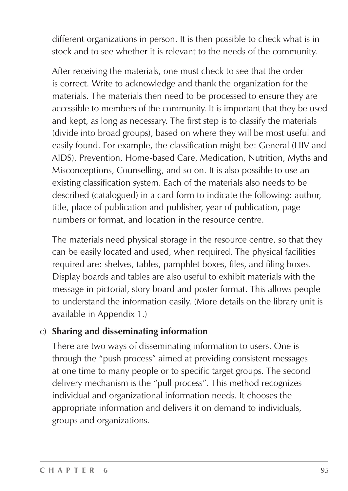different organizations in person. It is then possible to check what is in stock and to see whether it is relevant to the needs of the community.

After receiving the materials, one must check to see that the order is correct. Write to acknowledge and thank the organization for the materials. The materials then need to be processed to ensure they are accessible to members of the community. It is important that they be used and kept, as long as necessary. The first step is to classify the materials (divide into broad groups), based on where they will be most useful and easily found. For example, the classification might be: General (HIV and AIDS), Prevention, Home-based Care, Medication, Nutrition, Myths and Misconceptions, Counselling, and so on. It is also possible to use an existing classification system. Each of the materials also needs to be described (catalogued) in a card form to indicate the following: author, title, place of publication and publisher, year of publication, page numbers or format, and location in the resource centre.

The materials need physical storage in the resource centre, so that they can be easily located and used, when required. The physical facilities required are: shelves, tables, pamphlet boxes, files, and filing boxes. Display boards and tables are also useful to exhibit materials with the message in pictorial, story board and poster format. This allows people to understand the information easily. (More details on the library unit is available in Appendix 1.)

#### c) **Sharing and disseminating information**

There are two ways of disseminating information to users. One is through the "push process" aimed at providing consistent messages at one time to many people or to specific target groups. The second delivery mechanism is the "pull process". This method recognizes individual and organizational information needs. It chooses the appropriate information and delivers it on demand to individuals, groups and organizations.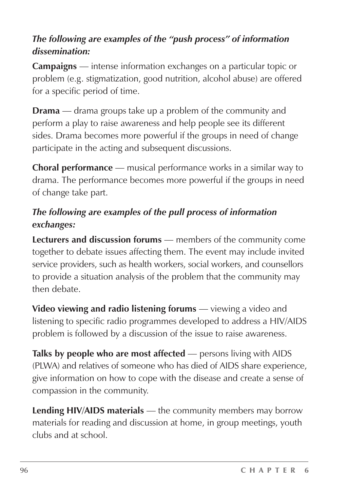#### *The following are examples of the "push process" of information dissemination:*

**Campaigns** — intense information exchanges on a particular topic or problem (e.g. stigmatization, good nutrition, alcohol abuse) are offered for a specific period of time.

**Drama** — drama groups take up a problem of the community and perform a play to raise awareness and help people see its different sides. Drama becomes more powerful if the groups in need of change participate in the acting and subsequent discussions.

**Choral performance** — musical performance works in a similar way to drama. The performance becomes more powerful if the groups in need of change take part.

#### *The following are examples of the pull process of information exchanges:*

**Lecturers and discussion forums** — members of the community come together to debate issues affecting them. The event may include invited service providers, such as health workers, social workers, and counsellors to provide a situation analysis of the problem that the community may then debate.

**Video viewing and radio listening forums** — viewing a video and listening to specific radio programmes developed to address a HIV/AIDS problem is followed by a discussion of the issue to raise awareness.

**Talks by people who are most affected** — persons living with AIDS (PLWA) and relatives of someone who has died of AIDS share experience, give information on how to cope with the disease and create a sense of compassion in the community.

**Lending HIV/AIDS materials** — the community members may borrow materials for reading and discussion at home, in group meetings, youth clubs and at school.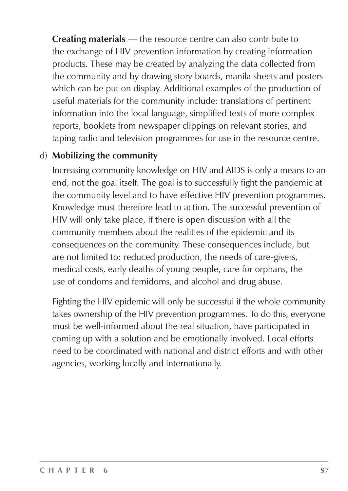**Creating materials** — the resource centre can also contribute to the exchange of HIV prevention information by creating information products. These may be created by analyzing the data collected from the community and by drawing story boards, manila sheets and posters which can be put on display. Additional examples of the production of useful materials for the community include: translations of pertinent information into the local language, simplified texts of more complex reports, booklets from newspaper clippings on relevant stories, and taping radio and television programmes for use in the resource centre.

#### d) **Mobilizing the community**

Increasing community knowledge on HIV and AIDS is only a means to an end, not the goal itself. The goal is to successfully fight the pandemic at the community level and to have effective HIV prevention programmes. Knowledge must therefore lead to action. The successful prevention of HIV will only take place, if there is open discussion with all the community members about the realities of the epidemic and its consequences on the community. These consequences include, but are not limited to: reduced production, the needs of care-givers, medical costs, early deaths of young people, care for orphans, the use of condoms and femidoms, and alcohol and drug abuse.

Fighting the HIV epidemic will only be successful if the whole community takes ownership of the HIV prevention programmes. To do this, everyone must be well-informed about the real situation, have participated in coming up with a solution and be emotionally involved. Local efforts need to be coordinated with national and district efforts and with other agencies, working locally and internationally.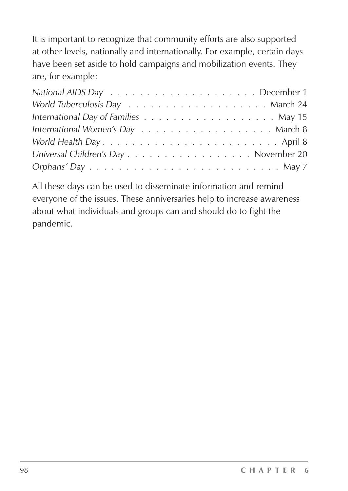It is important to recognize that community efforts are also supported at other levels, nationally and internationally. For example, certain days have been set aside to hold campaigns and mobilization events. They are, for example:

| Universal Children's Day November 20                                                         |  |
|----------------------------------------------------------------------------------------------|--|
| $Orphans'$ Day $\ldots \ldots \ldots \ldots \ldots \ldots \ldots \ldots \ldots \ldots$ May 7 |  |

All these days can be used to disseminate information and remind everyone of the issues. These anniversaries help to increase awareness about what individuals and groups can and should do to fight the pandemic.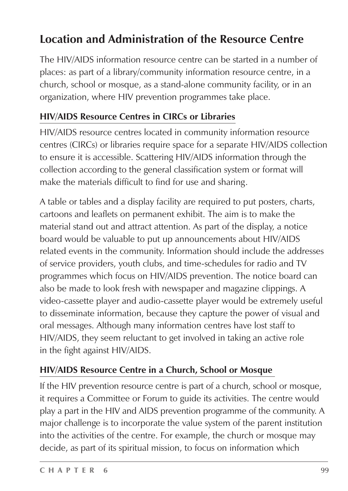## **Location and Administration of the Resource Centre**

The HIV/AIDS information resource centre can be started in a number of places: as part of a library/community information resource centre, in a church, school or mosque, as a stand-alone community facility, or in an organization, where HIV prevention programmes take place.

#### **HIV/AIDS Resource Centres in CIRCs or Libraries**

HIV/AIDS resource centres located in community information resource centres (CIRCs) or libraries require space for a separate HIV/AIDS collection to ensure it is accessible. Scattering HIV/AIDS information through the collection according to the general classification system or format will make the materials difficult to find for use and sharing.

A table or tables and a display facility are required to put posters, charts, cartoons and leaflets on permanent exhibit. The aim is to make the material stand out and attract attention. As part of the display, a notice board would be valuable to put up announcements about HIV/AIDS related events in the community. Information should include the addresses of service providers, youth clubs, and time-schedules for radio and TV programmes which focus on HIV/AIDS prevention. The notice board can also be made to look fresh with newspaper and magazine clippings. A video-cassette player and audio-cassette player would be extremely useful to disseminate information, because they capture the power of visual and oral messages. Although many information centres have lost staff to HIV/AIDS, they seem reluctant to get involved in taking an active role in the fight against HIV/AIDS.

#### **HIV/AIDS Resource Centre in a Church, School or Mosque**

If the HIV prevention resource centre is part of a church, school or mosque, it requires a Committee or Forum to guide its activities. The centre would play a part in the HIV and AIDS prevention programme of the community. A major challenge is to incorporate the value system of the parent institution into the activities of the centre. For example, the church or mosque may decide, as part of its spiritual mission, to focus on information which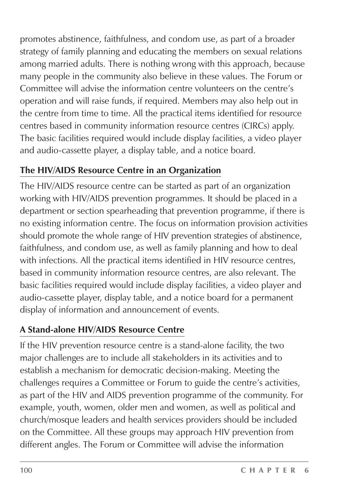promotes abstinence, faithfulness, and condom use, as part of a broader strategy of family planning and educating the members on sexual relations among married adults. There is nothing wrong with this approach, because many people in the community also believe in these values. The Forum or Committee will advise the information centre volunteers on the centre's operation and will raise funds, if required. Members may also help out in the centre from time to time. All the practical items identified for resource centres based in community information resource centres (CIRCs) apply. The basic facilities required would include display facilities, a video player and audio-cassette player, a display table, and a notice board.

#### **The HIV/AIDS Resource Centre in an Organization**

The HIV/AIDS resource centre can be started as part of an organization working with HIV/AIDS prevention programmes. It should be placed in a department or section spearheading that prevention programme, if there is no existing information centre. The focus on information provision activities should promote the whole range of HIV prevention strategies of abstinence, faithfulness, and condom use, as well as family planning and how to deal with infections. All the practical items identified in HIV resource centres, based in community information resource centres, are also relevant. The basic facilities required would include display facilities, a video player and audio-cassette player, display table, and a notice board for a permanent display of information and announcement of events.

### **A Stand-alone HIV/AIDS Resource Centre**

If the HIV prevention resource centre is a stand-alone facility, the two major challenges are to include all stakeholders in its activities and to establish a mechanism for democratic decision-making. Meeting the challenges requires a Committee or Forum to guide the centre's activities, as part of the HIV and AIDS prevention programme of the community. For example, youth, women, older men and women, as well as political and church/mosque leaders and health services providers should be included on the Committee. All these groups may approach HIV prevention from different angles. The Forum or Committee will advise the information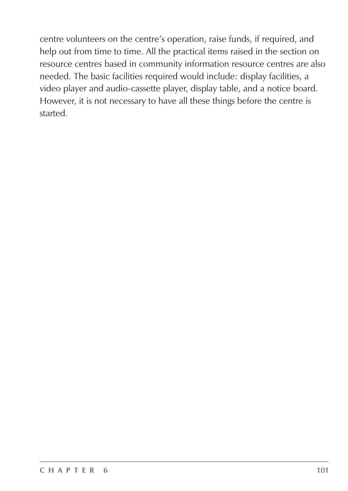centre volunteers on the centre's operation, raise funds, if required, and help out from time to time. All the practical items raised in the section on resource centres based in community information resource centres are also needed. The basic facilities required would include: display facilities, a video player and audio-cassette player, display table, and a notice board. However, it is not necessary to have all these things before the centre is started.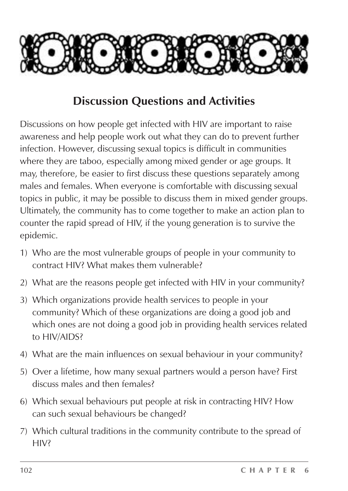

### **Discussion Questions and Activities**

Discussions on how people get infected with HIV are important to raise awareness and help people work out what they can do to prevent further infection. However, discussing sexual topics is difficult in communities where they are taboo, especially among mixed gender or age groups. It may, therefore, be easier to first discuss these questions separately among males and females. When everyone is comfortable with discussing sexual topics in public, it may be possible to discuss them in mixed gender groups. Ultimately, the community has to come together to make an action plan to counter the rapid spread of HIV, if the young generation is to survive the epidemic.

- 1) Who are the most vulnerable groups of people in your community to contract HIV? What makes them vulnerable?
- 2) What are the reasons people get infected with HIV in your community?
- 3) Which organizations provide health services to people in your community? Which of these organizations are doing a good job and which ones are not doing a good job in providing health services related to HIV/AIDS?
- 4) What are the main influences on sexual behaviour in your community?
- 5) Over a lifetime, how many sexual partners would a person have? First discuss males and then females?
- 6) Which sexual behaviours put people at risk in contracting HIV? How can such sexual behaviours be changed?
- 7) Which cultural traditions in the community contribute to the spread of HIV?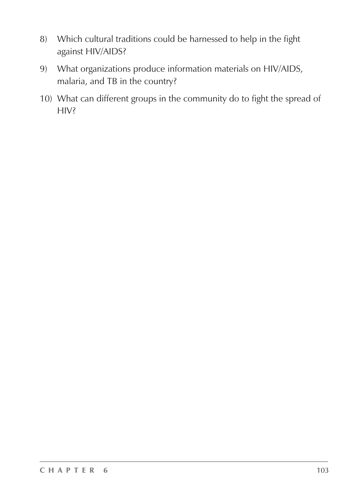- 8) Which cultural traditions could be harnessed to help in the fight against HIV/AIDS?
- 9) What organizations produce information materials on HIV/AIDS, malaria, and TB in the country?
- 10) What can different groups in the community do to fight the spread of HIV?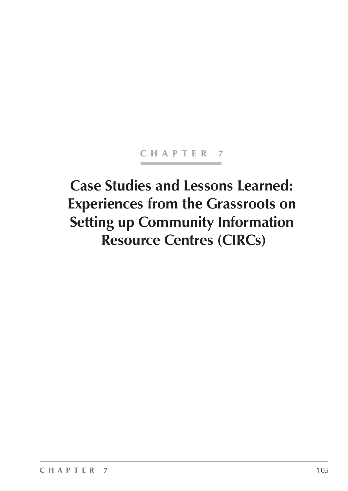#### CHAPTER 7

# **Case Studies and Lessons Learned: Experiences from the Grassroots on Setting up Community Information Resource Centres (CIRCs)**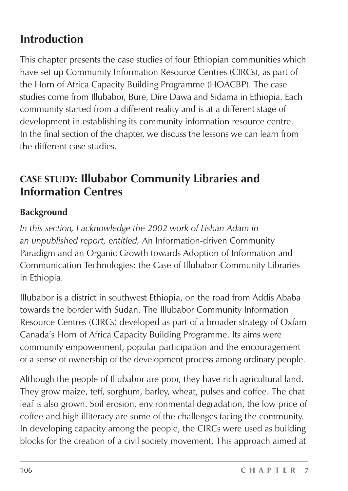## **Introduction**

This chapter presents the case studies of four Ethiopian communities which have set up Community Information Resource Centres (CIRCs), as part of the Horn of Africa Capacity Building Programme (HOACBP). The case studies come from Illubabor, Bure, Dire Dawa and Sidama in Ethiopia. Each community started from a different reality and is at a different stage of development in establishing its community information resource centre. In the final section of the chapter, we discuss the lessons we can learn from the different case studies.

### **CASE STUDY: Illubabor Community Libraries and Information Centres**

#### **Background**

*In this section, I acknowledge the 2002 work of Lishan Adam in an unpublished report, entitled,* An Information-driven Community Paradigm and an Organic Growth towards Adoption of Information and Communication Technologies: the Case of Illubabor Community Libraries in Ethiopia.

Illubabor is a district in southwest Ethiopia, on the road from Addis Ababa towards the border with Sudan. The Illubabor Community Information Resource Centres (CIRCs) developed as part of a broader strategy of Oxfam Canada's Horn of Africa Capacity Building Programme. Its aims were community empowerment, popular participation and the encouragement of a sense of ownership of the development process among ordinary people.

Although the people of Illubabor are poor, they have rich agricultural land. They grow maize, teff, sorghum, barley, wheat, pulses and coffee. The chat leaf is also grown. Soil erosion, environmental degradation, the low price of coffee and high illiteracy are some of the challenges facing the community. In developing capacity among the people, the CIRCs were used as building blocks for the creation of a civil society movement. This approach aimed at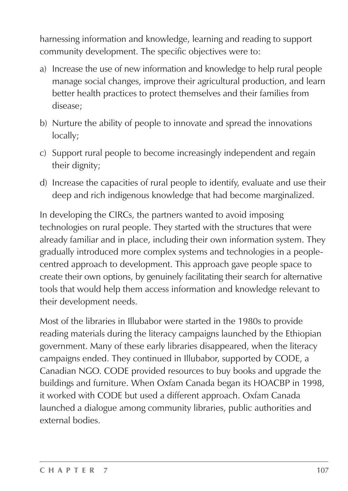harnessing information and knowledge, learning and reading to support community development. The specific objectives were to:

- a) Increase the use of new information and knowledge to help rural people manage social changes, improve their agricultural production, and learn better health practices to protect themselves and their families from disease;
- b) Nurture the ability of people to innovate and spread the innovations locally;
- c) Support rural people to become increasingly independent and regain their dignity;
- d) Increase the capacities of rural people to identify, evaluate and use their deep and rich indigenous knowledge that had become marginalized.

In developing the CIRCs, the partners wanted to avoid imposing technologies on rural people. They started with the structures that were already familiar and in place, including their own information system. They gradually introduced more complex systems and technologies in a peoplecentred approach to development. This approach gave people space to create their own options, by genuinely facilitating their search for alternative tools that would help them access information and knowledge relevant to their development needs.

Most of the libraries in Illubabor were started in the 1980s to provide reading materials during the literacy campaigns launched by the Ethiopian government. Many of these early libraries disappeared, when the literacy campaigns ended. They continued in Illubabor, supported by CODE, a Canadian NGO. CODE provided resources to buy books and upgrade the buildings and furniture. When Oxfam Canada began its HOACBP in 1998, it worked with CODE but used a different approach. Oxfam Canada launched a dialogue among community libraries, public authorities and external bodies.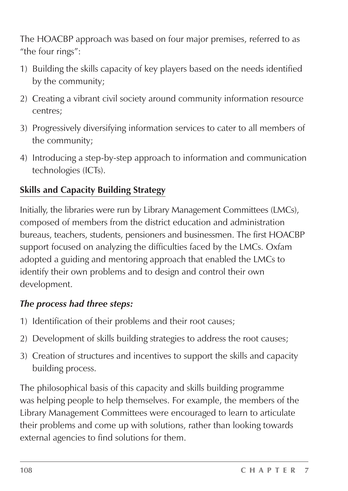The HOACBP approach was based on four major premises, referred to as "the four rings":

- 1) Building the skills capacity of key players based on the needs identified by the community;
- 2) Creating a vibrant civil society around community information resource centres;
- 3) Progressively diversifying information services to cater to all members of the community;
- 4) Introducing a step-by-step approach to information and communication technologies (ICTs).

#### **Skills and Capacity Building Strategy**

Initially, the libraries were run by Library Management Committees (LMCs), composed of members from the district education and administration bureaus, teachers, students, pensioners and businessmen. The first HOACBP support focused on analyzing the difficulties faced by the LMCs. Oxfam adopted a guiding and mentoring approach that enabled the LMCs to identify their own problems and to design and control their own development.

#### *The process had three steps:*

- 1) Identification of their problems and their root causes;
- 2) Development of skills building strategies to address the root causes;
- 3) Creation of structures and incentives to support the skills and capacity building process.

The philosophical basis of this capacity and skills building programme was helping people to help themselves. For example, the members of the Library Management Committees were encouraged to learn to articulate their problems and come up with solutions, rather than looking towards external agencies to find solutions for them.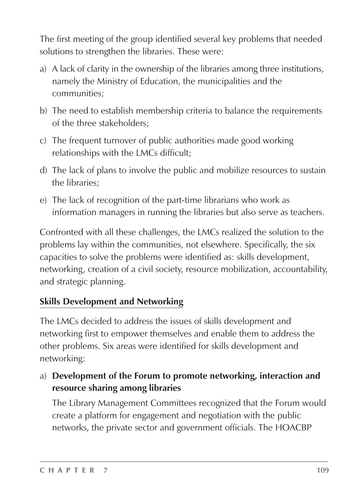The first meeting of the group identified several key problems that needed solutions to strengthen the libraries. These were:

- a) A lack of clarity in the ownership of the libraries among three institutions, namely the Ministry of Education, the municipalities and the communities;
- b) The need to establish membership criteria to balance the requirements of the three stakeholders;
- c) The frequent turnover of public authorities made good working relationships with the LMCs difficult;
- d) The lack of plans to involve the public and mobilize resources to sustain the libraries;
- e) The lack of recognition of the part-time librarians who work as information managers in running the libraries but also serve as teachers.

Confronted with all these challenges, the LMCs realized the solution to the problems lay within the communities, not elsewhere. Specifically, the six capacities to solve the problems were identified as: skills development, networking, creation of a civil society, resource mobilization, accountability, and strategic planning.

#### **Skills Development and Networking**

The LMCs decided to address the issues of skills development and networking first to empower themselves and enable them to address the other problems. Six areas were identified for skills development and networking:

a) **Development of the Forum to promote networking, interaction and resource sharing among libraries**

The Library Management Committees recognized that the Forum would create a platform for engagement and negotiation with the public networks, the private sector and government officials. The HOACBP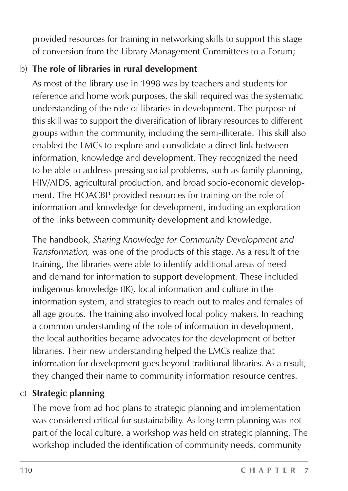provided resources for training in networking skills to support this stage of conversion from the Library Management Committees to a Forum;

#### b) **The role of libraries in rural development**

As most of the library use in 1998 was by teachers and students for reference and home work purposes, the skill required was the systematic understanding of the role of libraries in development. The purpose of this skill was to support the diversification of library resources to different groups within the community, including the semi-illiterate. This skill also enabled the LMCs to explore and consolidate a direct link between information, knowledge and development. They recognized the need to be able to address pressing social problems, such as family planning, HIV/AIDS, agricultural production, and broad socio-economic development. The HOACBP provided resources for training on the role of information and knowledge for development, including an exploration of the links between community development and knowledge.

The handbook, *Sharing Knowledge for Community Development and Transformation,* was one of the products of this stage. As a result of the training, the libraries were able to identify additional areas of need and demand for information to support development. These included indigenous knowledge (IK), local information and culture in the information system, and strategies to reach out to males and females of all age groups. The training also involved local policy makers. In reaching a common understanding of the role of information in development, the local authorities became advocates for the development of better libraries. Their new understanding helped the LMCs realize that information for development goes beyond traditional libraries. As a result, they changed their name to community information resource centres.

#### c) **Strategic planning**

The move from ad hoc plans to strategic planning and implementation was considered critical for sustainability. As long term planning was not part of the local culture, a workshop was held on strategic planning. The workshop included the identification of community needs, community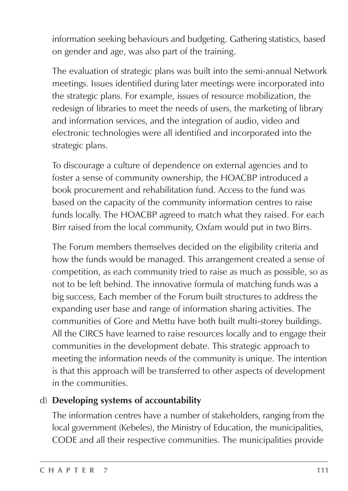information seeking behaviours and budgeting. Gathering statistics, based on gender and age, was also part of the training.

The evaluation of strategic plans was built into the semi-annual Network meetings. Issues identified during later meetings were incorporated into the strategic plans. For example, issues of resource mobilization, the redesign of libraries to meet the needs of users, the marketing of library and information services, and the integration of audio, video and electronic technologies were all identified and incorporated into the strategic plans.

To discourage a culture of dependence on external agencies and to foster a sense of community ownership, the HOACBP introduced a book procurement and rehabilitation fund. Access to the fund was based on the capacity of the community information centres to raise funds locally. The HOACBP agreed to match what they raised. For each Birr raised from the local community, Oxfam would put in two Birrs.

The Forum members themselves decided on the eligibility criteria and how the funds would be managed. This arrangement created a sense of competition, as each community tried to raise as much as possible, so as not to be left behind. The innovative formula of matching funds was a big success, Each member of the Forum built structures to address the expanding user base and range of information sharing activities. The communities of Gore and Mettu have both built multi-storey buildings. All the CIRCS have learned to raise resources locally and to engage their communities in the development debate. This strategic approach to meeting the information needs of the community is unique. The intention is that this approach will be transferred to other aspects of development in the communities.

#### d) **Developing systems of accountability**

The information centres have a number of stakeholders, ranging from the local government (Kebeles), the Ministry of Education, the municipalities, CODE and all their respective communities. The municipalities provide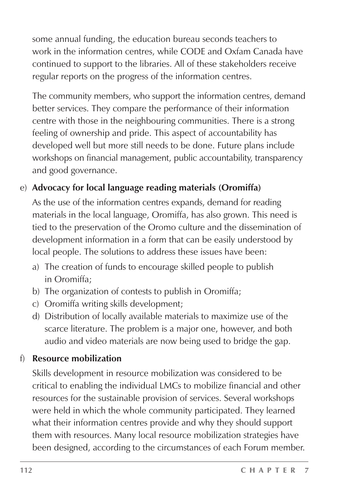some annual funding, the education bureau seconds teachers to work in the information centres, while CODE and Oxfam Canada have continued to support to the libraries. All of these stakeholders receive regular reports on the progress of the information centres.

The community members, who support the information centres, demand better services. They compare the performance of their information centre with those in the neighbouring communities. There is a strong feeling of ownership and pride. This aspect of accountability has developed well but more still needs to be done. Future plans include workshops on financial management, public accountability, transparency and good governance.

#### e) **Advocacy for local language reading materials (Oromiffa)**

As the use of the information centres expands, demand for reading materials in the local language, Oromiffa, has also grown. This need is tied to the preservation of the Oromo culture and the dissemination of development information in a form that can be easily understood by local people. The solutions to address these issues have been:

- a) The creation of funds to encourage skilled people to publish in Oromiffa;
- b) The organization of contests to publish in Oromiffa;
- c) Oromiffa writing skills development;
- d) Distribution of locally available materials to maximize use of the scarce literature. The problem is a major one, however, and both audio and video materials are now being used to bridge the gap.

#### f) **Resource mobilization**

Skills development in resource mobilization was considered to be critical to enabling the individual LMCs to mobilize financial and other resources for the sustainable provision of services. Several workshops were held in which the whole community participated. They learned what their information centres provide and why they should support them with resources. Many local resource mobilization strategies have been designed, according to the circumstances of each Forum member.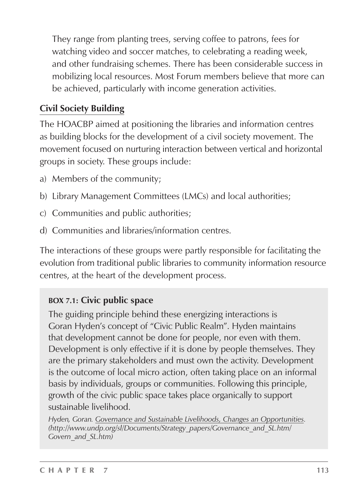They range from planting trees, serving coffee to patrons, fees for watching video and soccer matches, to celebrating a reading week, and other fundraising schemes. There has been considerable success in mobilizing local resources. Most Forum members believe that more can be achieved, particularly with income generation activities.

#### **Civil Society Building**

The HOACBP aimed at positioning the libraries and information centres as building blocks for the development of a civil society movement. The movement focused on nurturing interaction between vertical and horizontal groups in society. These groups include:

- a) Members of the community;
- b) Library Management Committees (LMCs) and local authorities;
- c) Communities and public authorities;
- d) Communities and libraries/information centres.

The interactions of these groups were partly responsible for facilitating the evolution from traditional public libraries to community information resource centres, at the heart of the development process.

#### **BOX 7.1: Civic public space**

The guiding principle behind these energizing interactions is Goran Hyden's concept of "Civic Public Realm". Hyden maintains that development cannot be done for people, nor even with them. Development is only effective if it is done by people themselves. They are the primary stakeholders and must own the activity. Development is the outcome of local micro action, often taking place on an informal basis by individuals, groups or communities. Following this principle, growth of the civic public space takes place organically to support sustainable livelihood.

*Hyden, Goran. Governance and Sustainable Livelihoods, Changes an Opportunities. (http://www.undp.org/sl/Documents/Strategy\_papers/Governance\_and\_SL.htm/ Govern\_and\_SL.htm)*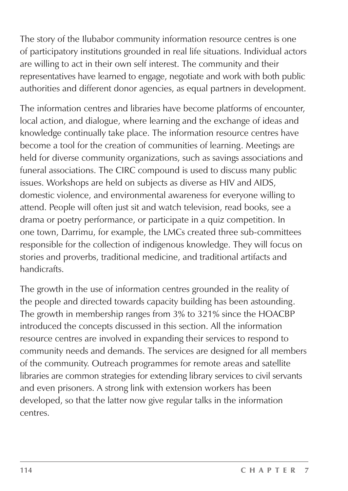The story of the Ilubabor community information resource centres is one of participatory institutions grounded in real life situations. Individual actors are willing to act in their own self interest. The community and their representatives have learned to engage, negotiate and work with both public authorities and different donor agencies, as equal partners in development.

The information centres and libraries have become platforms of encounter, local action, and dialogue, where learning and the exchange of ideas and knowledge continually take place. The information resource centres have become a tool for the creation of communities of learning. Meetings are held for diverse community organizations, such as savings associations and funeral associations. The CIRC compound is used to discuss many public issues. Workshops are held on subjects as diverse as HIV and AIDS, domestic violence, and environmental awareness for everyone willing to attend. People will often just sit and watch television, read books, see a drama or poetry performance, or participate in a quiz competition. In one town, Darrimu, for example, the LMCs created three sub-committees responsible for the collection of indigenous knowledge. They will focus on stories and proverbs, traditional medicine, and traditional artifacts and handicrafts.

The growth in the use of information centres grounded in the reality of the people and directed towards capacity building has been astounding. The growth in membership ranges from 3% to 321% since the HOACBP introduced the concepts discussed in this section. All the information resource centres are involved in expanding their services to respond to community needs and demands. The services are designed for all members of the community. Outreach programmes for remote areas and satellite libraries are common strategies for extending library services to civil servants and even prisoners. A strong link with extension workers has been developed, so that the latter now give regular talks in the information centres.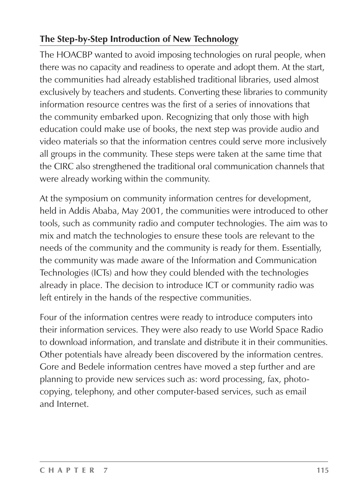#### **The Step-by-Step Introduction of New Technology**

The HOACBP wanted to avoid imposing technologies on rural people, when there was no capacity and readiness to operate and adopt them. At the start, the communities had already established traditional libraries, used almost exclusively by teachers and students. Converting these libraries to community information resource centres was the first of a series of innovations that the community embarked upon. Recognizing that only those with high education could make use of books, the next step was provide audio and video materials so that the information centres could serve more inclusively all groups in the community. These steps were taken at the same time that the CIRC also strengthened the traditional oral communication channels that were already working within the community.

At the symposium on community information centres for development, held in Addis Ababa, May 2001, the communities were introduced to other tools, such as community radio and computer technologies. The aim was to mix and match the technologies to ensure these tools are relevant to the needs of the community and the community is ready for them. Essentially, the community was made aware of the Information and Communication Technologies (ICTs) and how they could blended with the technologies already in place. The decision to introduce ICT or community radio was left entirely in the hands of the respective communities.

Four of the information centres were ready to introduce computers into their information services. They were also ready to use World Space Radio to download information, and translate and distribute it in their communities. Other potentials have already been discovered by the information centres. Gore and Bedele information centres have moved a step further and are planning to provide new services such as: word processing, fax, photocopying, telephony, and other computer-based services, such as email and Internet.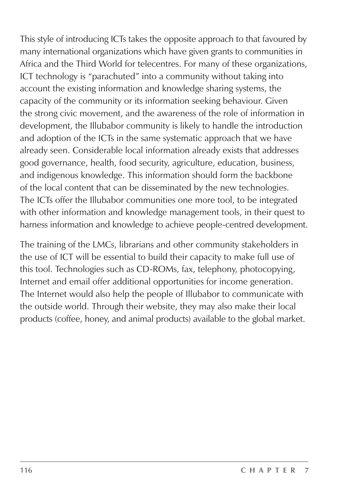This style of introducing ICTs takes the opposite approach to that favoured by many international organizations which have given grants to communities in Africa and the Third World for telecentres. For many of these organizations, ICT technology is "parachuted" into a community without taking into account the existing information and knowledge sharing systems, the capacity of the community or its information seeking behaviour. Given the strong civic movement, and the awareness of the role of information in development, the Illubabor community is likely to handle the introduction and adoption of the ICTs in the same systematic approach that we have already seen. Considerable local information already exists that addresses good governance, health, food security, agriculture, education, business, and indigenous knowledge. This information should form the backbone of the local content that can be disseminated by the new technologies. The ICTs offer the Illubabor communities one more tool, to be integrated with other information and knowledge management tools, in their quest to harness information and knowledge to achieve people-centred development.

The training of the LMCs, librarians and other community stakeholders in the use of ICT will be essential to build their capacity to make full use of this tool. Technologies such as CD-ROMs, fax, telephony, photocopying, Internet and email offer additional opportunities for income generation. The Internet would also help the people of Illubabor to communicate with the outside world. Through their website, they may also make their local products (coffee, honey, and animal products) available to the global market.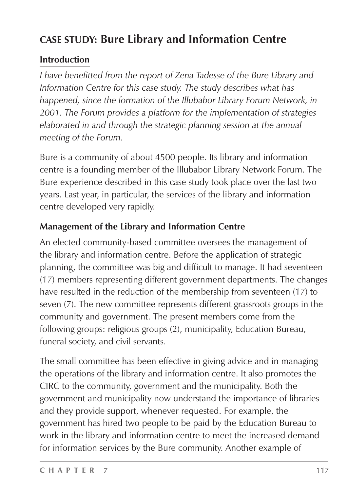#### **CASE STUDY: Bure Library and Information Centre**

#### **Introduction**

*I have benefitted from the report of Zena Tadesse of the Bure Library and Information Centre for this case study. The study describes what has happened, since the formation of the Illubabor Library Forum Network, in 2001. The Forum provides a platform for the implementation of strategies elaborated in and through the strategic planning session at the annual meeting of the Forum.*

Bure is a community of about 4500 people. Its library and information centre is a founding member of the Illubabor Library Network Forum. The Bure experience described in this case study took place over the last two years. Last year, in particular, the services of the library and information centre developed very rapidly.

#### **Management of the Library and Information Centre**

An elected community-based committee oversees the management of the library and information centre. Before the application of strategic planning, the committee was big and difficult to manage. It had seventeen (17) members representing different government departments. The changes have resulted in the reduction of the membership from seventeen (17) to seven (7). The new committee represents different grassroots groups in the community and government. The present members come from the following groups: religious groups (2), municipality, Education Bureau, funeral society, and civil servants.

The small committee has been effective in giving advice and in managing the operations of the library and information centre. It also promotes the CIRC to the community, government and the municipality. Both the government and municipality now understand the importance of libraries and they provide support, whenever requested. For example, the government has hired two people to be paid by the Education Bureau to work in the library and information centre to meet the increased demand for information services by the Bure community. Another example of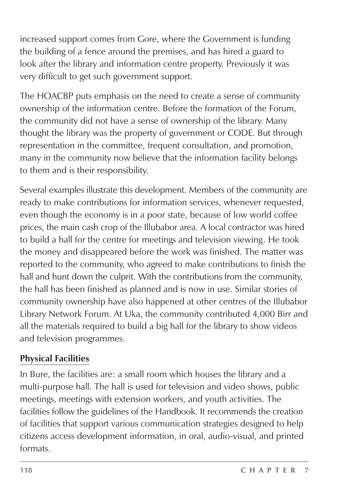increased support comes from Gore, where the Government is funding the building of a fence around the premises, and has hired a guard to look after the library and information centre property. Previously it was very difficult to get such government support.

The HOACBP puts emphasis on the need to create a sense of community ownership of the information centre. Before the formation of the Forum, the community did not have a sense of ownership of the library. Many thought the library was the property of government or CODE. But through representation in the committee, frequent consultation, and promotion, many in the community now believe that the information facility belongs to them and is their responsibility.

Several examples illustrate this development. Members of the community are ready to make contributions for information services, whenever requested, even though the economy is in a poor state, because of low world coffee prices, the main cash crop of the Illubabor area. A local contractor was hired to build a hall for the centre for meetings and television viewing. He took the money and disappeared before the work was finished. The matter was reported to the community, who agreed to make contributions to finish the hall and hunt down the culprit. With the contributions from the community, the hall has been finished as planned and is now in use. Similar stories of community ownership have also happened at other centres of the Illubabor Library Network Forum. At Uka, the community contributed 4,000 Birr and all the materials required to build a big hall for the library to show videos and television programmes.

#### **Physical Facilities**

In Bure, the facilities are: a small room which houses the library and a multi-purpose hall. The hall is used for television and video shows, public meetings, meetings with extension workers, and youth activities. The facilities follow the guidelines of the Handbook. It recommends the creation of facilities that support various communication strategies designed to help citizens access development information, in oral, audio-visual, and printed formats.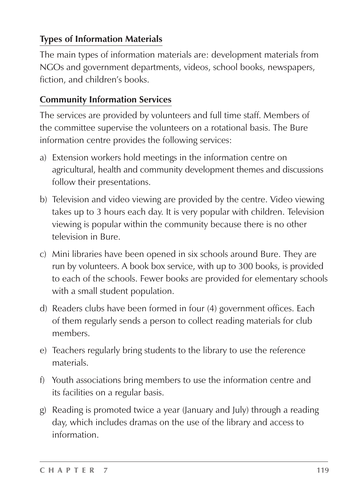#### **Types of Information Materials**

The main types of information materials are: development materials from NGOs and government departments, videos, school books, newspapers, fiction, and children's books.

#### **Community Information Services**

The services are provided by volunteers and full time staff. Members of the committee supervise the volunteers on a rotational basis. The Bure information centre provides the following services:

- a) Extension workers hold meetings in the information centre on agricultural, health and community development themes and discussions follow their presentations.
- b) Television and video viewing are provided by the centre. Video viewing takes up to 3 hours each day. It is very popular with children. Television viewing is popular within the community because there is no other television in Bure.
- c) Mini libraries have been opened in six schools around Bure. They are run by volunteers. A book box service, with up to 300 books, is provided to each of the schools. Fewer books are provided for elementary schools with a small student population.
- d) Readers clubs have been formed in four (4) government offices. Each of them regularly sends a person to collect reading materials for club members.
- e) Teachers regularly bring students to the library to use the reference materials.
- f) Youth associations bring members to use the information centre and its facilities on a regular basis.
- g) Reading is promoted twice a year (January and July) through a reading day, which includes dramas on the use of the library and access to information.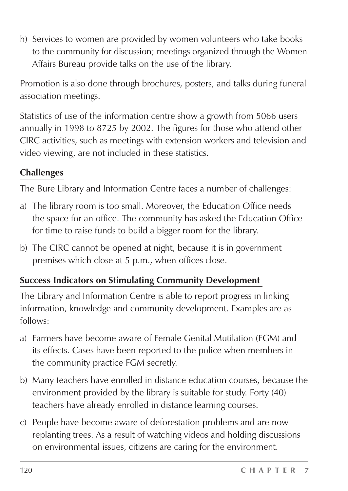h) Services to women are provided by women volunteers who take books to the community for discussion; meetings organized through the Women Affairs Bureau provide talks on the use of the library.

Promotion is also done through brochures, posters, and talks during funeral association meetings.

Statistics of use of the information centre show a growth from 5066 users annually in 1998 to 8725 by 2002. The figures for those who attend other CIRC activities, such as meetings with extension workers and television and video viewing, are not included in these statistics.

#### **Challenges**

The Bure Library and Information Centre faces a number of challenges:

- a) The library room is too small. Moreover, the Education Office needs the space for an office. The community has asked the Education Office for time to raise funds to build a bigger room for the library.
- b) The CIRC cannot be opened at night, because it is in government premises which close at 5 p.m., when offices close.

#### **Success Indicators on Stimulating Community Development**

The Library and Information Centre is able to report progress in linking information, knowledge and community development. Examples are as follows:

- a) Farmers have become aware of Female Genital Mutilation (FGM) and its effects. Cases have been reported to the police when members in the community practice FGM secretly.
- b) Many teachers have enrolled in distance education courses, because the environment provided by the library is suitable for study. Forty (40) teachers have already enrolled in distance learning courses.
- c) People have become aware of deforestation problems and are now replanting trees. As a result of watching videos and holding discussions on environmental issues, citizens are caring for the environment.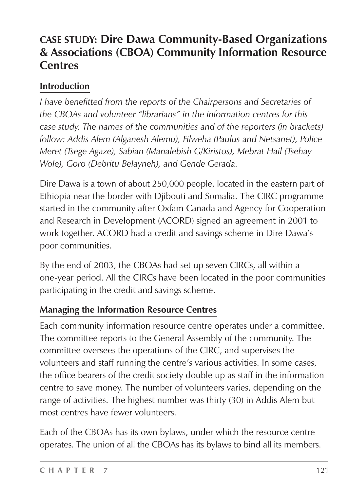#### **CASE STUDY: Dire Dawa Community-Based Organizations & Associations (CBOA) Community Information Resource Centres**

#### **Introduction**

*I have benefitted from the reports of the Chairpersons and Secretaries of the CBOAs and volunteer "librarians" in the information centres for this case study. The names of the communities and of the reporters (in brackets) follow: Addis Alem (Alganesh Alemu), Filweha (Paulus and Netsanet), Police Meret (Tsege Agaze), Sabian (Manalebish G/Kiristos), Mebrat Hail (Tsehay Wole), Goro (Debritu Belayneh), and Gende Gerada.*

Dire Dawa is a town of about 250,000 people, located in the eastern part of Ethiopia near the border with Djibouti and Somalia. The CIRC programme started in the community after Oxfam Canada and Agency for Cooperation and Research in Development (ACORD) signed an agreement in 2001 to work together. ACORD had a credit and savings scheme in Dire Dawa's poor communities.

By the end of 2003, the CBOAs had set up seven CIRCs, all within a one-year period. All the CIRCs have been located in the poor communities participating in the credit and savings scheme.

#### **Managing the Information Resource Centres**

Each community information resource centre operates under a committee. The committee reports to the General Assembly of the community. The committee oversees the operations of the CIRC, and supervises the volunteers and staff running the centre's various activities. In some cases, the office bearers of the credit society double up as staff in the information centre to save money. The number of volunteers varies, depending on the range of activities. The highest number was thirty (30) in Addis Alem but most centres have fewer volunteers.

Each of the CBOAs has its own bylaws, under which the resource centre operates. The union of all the CBOAs has its bylaws to bind all its members.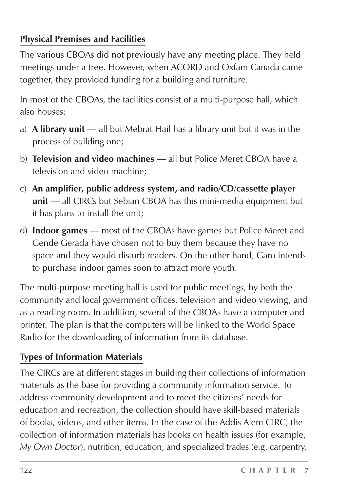#### **Physical Premises and Facilities**

The various CBOAs did not previously have any meeting place. They held meetings under a tree. However, when ACORD and Oxfam Canada came together, they provided funding for a building and furniture.

In most of the CBOAs, the facilities consist of a multi-purpose hall, which also houses:

- a) **A library unit** all but Mebrat Hail has a library unit but it was in the process of building one;
- b) **Television and video machines** all but Police Meret CBOA have a television and video machine;
- c) **An amplifier, public address system, and radio/CD/cassette player unit** — all CIRCs but Sebian CBOA has this mini-media equipment but it has plans to install the unit;
- d) **Indoor games** most of the CBOAs have games but Police Meret and Gende Gerada have chosen not to buy them because they have no space and they would disturb readers. On the other hand, Garo intends to purchase indoor games soon to attract more youth.

The multi-purpose meeting hall is used for public meetings, by both the community and local government offices, television and video viewing, and as a reading room. In addition, several of the CBOAs have a computer and printer. The plan is that the computers will be linked to the World Space Radio for the downloading of information from its database.

#### **Types of Information Materials**

The CIRCs are at different stages in building their collections of information materials as the base for providing a community information service. To address community development and to meet the citizens' needs for education and recreation, the collection should have skill-based materials of books, videos, and other items. In the case of the Addis Alem CIRC, the collection of information materials has books on health issues (for example, *My Own Doctor*), nutrition, education, and specialized trades (e.g. carpentry,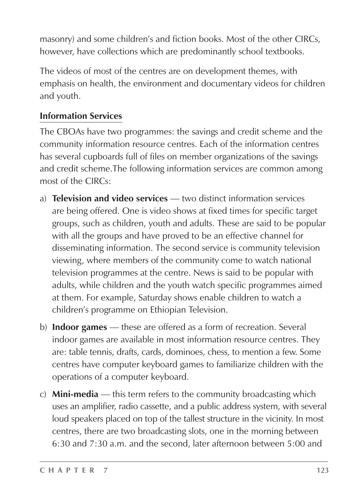masonry) and some children's and fiction books. Most of the other CIRCs, however, have collections which are predominantly school textbooks.

The videos of most of the centres are on development themes, with emphasis on health, the environment and documentary videos for children and youth.

#### **Information Services**

The CBOAs have two programmes: the savings and credit scheme and the community information resource centres. Each of the information centres has several cupboards full of files on member organizations of the savings and credit scheme.The following information services are common among most of the CIRCs:

- a) **Television and video services** two distinct information services are being offered. One is video shows at fixed times for specific target groups, such as children, youth and adults. These are said to be popular with all the groups and have proved to be an effective channel for disseminating information. The second service is community television viewing, where members of the community come to watch national television programmes at the centre. News is said to be popular with adults, while children and the youth watch specific programmes aimed at them. For example, Saturday shows enable children to watch a children's programme on Ethiopian Television.
- b) **Indoor games** these are offered as a form of recreation. Several indoor games are available in most information resource centres. They are: table tennis, drafts, cards, dominoes, chess, to mention a few. Some centres have computer keyboard games to familiarize children with the operations of a computer keyboard.
- c) **Mini-media** this term refers to the community broadcasting which uses an amplifier, radio cassette, and a public address system, with several loud speakers placed on top of the tallest structure in the vicinity. In most centres, there are two broadcasting slots, one in the morning between 6:30 and 7:30 a.m. and the second, later afternoon between 5:00 and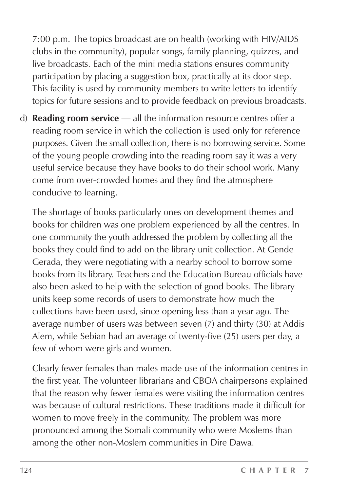7:00 p.m. The topics broadcast are on health (working with HIV/AIDS clubs in the community), popular songs, family planning, quizzes, and live broadcasts. Each of the mini media stations ensures community participation by placing a suggestion box, practically at its door step. This facility is used by community members to write letters to identify topics for future sessions and to provide feedback on previous broadcasts.

d) **Reading room service** — all the information resource centres offer a reading room service in which the collection is used only for reference purposes. Given the small collection, there is no borrowing service. Some of the young people crowding into the reading room say it was a very useful service because they have books to do their school work. Many come from over-crowded homes and they find the atmosphere conducive to learning.

The shortage of books particularly ones on development themes and books for children was one problem experienced by all the centres. In one community the youth addressed the problem by collecting all the books they could find to add on the library unit collection. At Gende Gerada, they were negotiating with a nearby school to borrow some books from its library. Teachers and the Education Bureau officials have also been asked to help with the selection of good books. The library units keep some records of users to demonstrate how much the collections have been used, since opening less than a year ago. The average number of users was between seven (7) and thirty (30) at Addis Alem, while Sebian had an average of twenty-five (25) users per day, a few of whom were girls and women.

Clearly fewer females than males made use of the information centres in the first year. The volunteer librarians and CBOA chairpersons explained that the reason why fewer females were visiting the information centres was because of cultural restrictions. These traditions made it difficult for women to move freely in the community. The problem was more pronounced among the Somali community who were Moslems than among the other non-Moslem communities in Dire Dawa.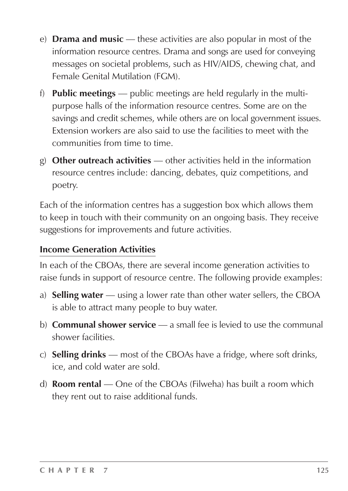- e) **Drama and music** these activities are also popular in most of the information resource centres. Drama and songs are used for conveying messages on societal problems, such as HIV/AIDS, chewing chat, and Female Genital Mutilation (FGM).
- f) **Public meetings** public meetings are held regularly in the multipurpose halls of the information resource centres. Some are on the savings and credit schemes, while others are on local government issues. Extension workers are also said to use the facilities to meet with the communities from time to time.
- g) **Other outreach activities** other activities held in the information resource centres include: dancing, debates, quiz competitions, and poetry.

Each of the information centres has a suggestion box which allows them to keep in touch with their community on an ongoing basis. They receive suggestions for improvements and future activities.

#### **Income Generation Activities**

In each of the CBOAs, there are several income generation activities to raise funds in support of resource centre. The following provide examples:

- a) **Selling water** using a lower rate than other water sellers, the CBOA is able to attract many people to buy water.
- b) **Communal shower service** a small fee is levied to use the communal shower facilities.
- c) **Selling drinks** most of the CBOAs have a fridge, where soft drinks, ice, and cold water are sold.
- d) **Room rental** One of the CBOAs (Filweha) has built a room which they rent out to raise additional funds.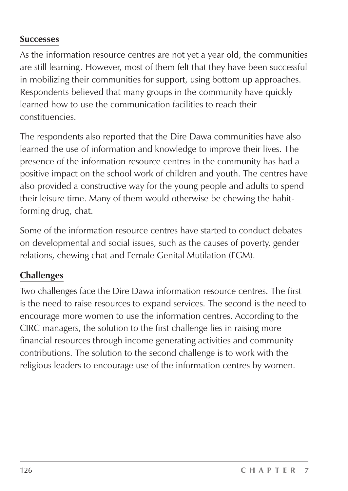#### **Successes**

As the information resource centres are not yet a year old, the communities are still learning. However, most of them felt that they have been successful in mobilizing their communities for support, using bottom up approaches. Respondents believed that many groups in the community have quickly learned how to use the communication facilities to reach their constituencies.

The respondents also reported that the Dire Dawa communities have also learned the use of information and knowledge to improve their lives. The presence of the information resource centres in the community has had a positive impact on the school work of children and youth. The centres have also provided a constructive way for the young people and adults to spend their leisure time. Many of them would otherwise be chewing the habitforming drug, chat.

Some of the information resource centres have started to conduct debates on developmental and social issues, such as the causes of poverty, gender relations, chewing chat and Female Genital Mutilation (FGM).

#### **Challenges**

Two challenges face the Dire Dawa information resource centres. The first is the need to raise resources to expand services. The second is the need to encourage more women to use the information centres. According to the CIRC managers, the solution to the first challenge lies in raising more financial resources through income generating activities and community contributions. The solution to the second challenge is to work with the religious leaders to encourage use of the information centres by women.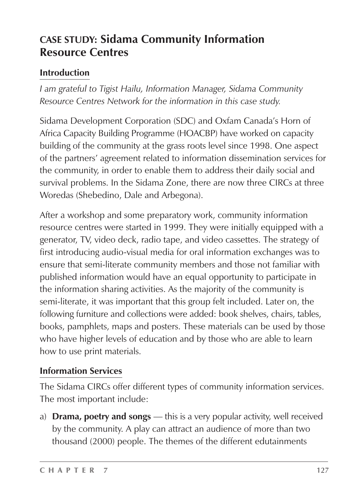#### **CASE STUDY: Sidama Community Information Resource Centres**

#### **Introduction**

*I am grateful to Tigist Hailu, Information Manager, Sidama Community Resource Centres Network for the information in this case study.*

Sidama Development Corporation (SDC) and Oxfam Canada's Horn of Africa Capacity Building Programme (HOACBP) have worked on capacity building of the community at the grass roots level since 1998. One aspect of the partners' agreement related to information dissemination services for the community, in order to enable them to address their daily social and survival problems. In the Sidama Zone, there are now three CIRCs at three Woredas (Shebedino, Dale and Arbegona).

After a workshop and some preparatory work, community information resource centres were started in 1999. They were initially equipped with a generator, TV, video deck, radio tape, and video cassettes. The strategy of first introducing audio-visual media for oral information exchanges was to ensure that semi-literate community members and those not familiar with published information would have an equal opportunity to participate in the information sharing activities. As the majority of the community is semi-literate, it was important that this group felt included. Later on, the following furniture and collections were added: book shelves, chairs, tables, books, pamphlets, maps and posters. These materials can be used by those who have higher levels of education and by those who are able to learn how to use print materials.

#### **Information Services**

The Sidama CIRCs offer different types of community information services. The most important include:

a) **Drama, poetry and songs** — this is a very popular activity, well received by the community. A play can attract an audience of more than two thousand (2000) people. The themes of the different edutainments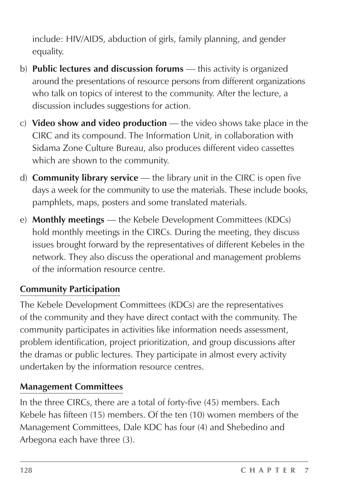include: HIV/AIDS, abduction of girls, family planning, and gender equality.

- b) **Public lectures and discussion forums** this activity is organized around the presentations of resource persons from different organizations who talk on topics of interest to the community. After the lecture, a discussion includes suggestions for action.
- c) **Video show and video production** the video shows take place in the CIRC and its compound. The Information Unit, in collaboration with Sidama Zone Culture Bureau, also produces different video cassettes which are shown to the community.
- d) **Community library service** the library unit in the CIRC is open five days a week for the community to use the materials. These include books, pamphlets, maps, posters and some translated materials.
- e) **Monthly meetings** the Kebele Development Committees (KDCs) hold monthly meetings in the CIRCs. During the meeting, they discuss issues brought forward by the representatives of different Kebeles in the network. They also discuss the operational and management problems of the information resource centre.

#### **Community Participation**

The Kebele Development Committees (KDCs) are the representatives of the community and they have direct contact with the community. The community participates in activities like information needs assessment, problem identification, project prioritization, and group discussions after the dramas or public lectures. They participate in almost every activity undertaken by the information resource centres.

#### **Management Committees**

In the three CIRCs, there are a total of forty-five (45) members. Each Kebele has fifteen (15) members. Of the ten (10) women members of the Management Committees, Dale KDC has four (4) and Shebedino and Arbegona each have three (3).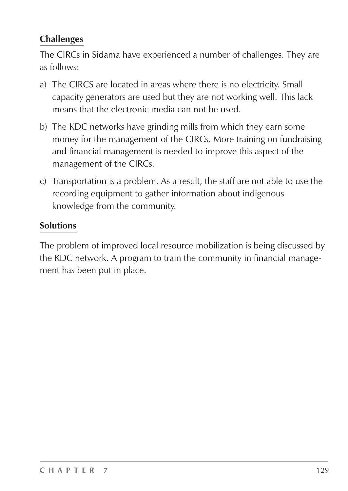#### **Challenges**

The CIRCs in Sidama have experienced a number of challenges. They are as follows:

- a) The CIRCS are located in areas where there is no electricity. Small capacity generators are used but they are not working well. This lack means that the electronic media can not be used.
- b) The KDC networks have grinding mills from which they earn some money for the management of the CIRCs. More training on fundraising and financial management is needed to improve this aspect of the management of the CIRCs.
- c) Transportation is a problem. As a result, the staff are not able to use the recording equipment to gather information about indigenous knowledge from the community.

#### **Solutions**

The problem of improved local resource mobilization is being discussed by the KDC network. A program to train the community in financial management has been put in place.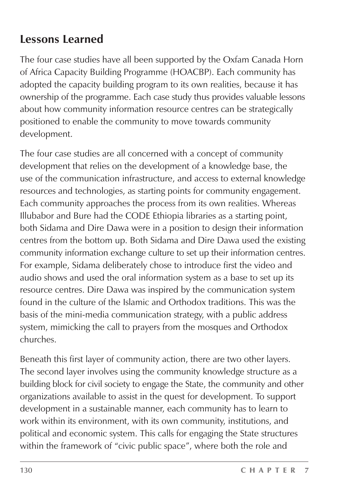#### **Lessons Learned**

The four case studies have all been supported by the Oxfam Canada Horn of Africa Capacity Building Programme (HOACBP). Each community has adopted the capacity building program to its own realities, because it has ownership of the programme. Each case study thus provides valuable lessons about how community information resource centres can be strategically positioned to enable the community to move towards community development.

The four case studies are all concerned with a concept of community development that relies on the development of a knowledge base, the use of the communication infrastructure, and access to external knowledge resources and technologies, as starting points for community engagement. Each community approaches the process from its own realities. Whereas Illubabor and Bure had the CODE Ethiopia libraries as a starting point, both Sidama and Dire Dawa were in a position to design their information centres from the bottom up. Both Sidama and Dire Dawa used the existing community information exchange culture to set up their information centres. For example, Sidama deliberately chose to introduce first the video and audio shows and used the oral information system as a base to set up its resource centres. Dire Dawa was inspired by the communication system found in the culture of the Islamic and Orthodox traditions. This was the basis of the mini-media communication strategy, with a public address system, mimicking the call to prayers from the mosques and Orthodox churches.

Beneath this first layer of community action, there are two other layers. The second layer involves using the community knowledge structure as a building block for civil society to engage the State, the community and other organizations available to assist in the quest for development. To support development in a sustainable manner, each community has to learn to work within its environment, with its own community, institutions, and political and economic system. This calls for engaging the State structures within the framework of "civic public space", where both the role and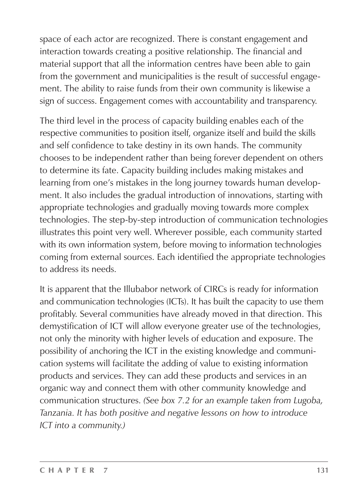space of each actor are recognized. There is constant engagement and interaction towards creating a positive relationship. The financial and material support that all the information centres have been able to gain from the government and municipalities is the result of successful engagement. The ability to raise funds from their own community is likewise a sign of success. Engagement comes with accountability and transparency.

The third level in the process of capacity building enables each of the respective communities to position itself, organize itself and build the skills and self confidence to take destiny in its own hands. The community chooses to be independent rather than being forever dependent on others to determine its fate. Capacity building includes making mistakes and learning from one's mistakes in the long journey towards human development. It also includes the gradual introduction of innovations, starting with appropriate technologies and gradually moving towards more complex technologies. The step-by-step introduction of communication technologies illustrates this point very well. Wherever possible, each community started with its own information system, before moving to information technologies coming from external sources. Each identified the appropriate technologies to address its needs.

It is apparent that the Illubabor network of CIRCs is ready for information and communication technologies (ICTs). It has built the capacity to use them profitably. Several communities have already moved in that direction. This demystification of ICT will allow everyone greater use of the technologies, not only the minority with higher levels of education and exposure. The possibility of anchoring the ICT in the existing knowledge and communication systems will facilitate the adding of value to existing information products and services. They can add these products and services in an organic way and connect them with other community knowledge and communication structures. *(See box 7.2 for an example taken from Lugoba, Tanzania. It has both positive and negative lessons on how to introduce ICT into a community.)*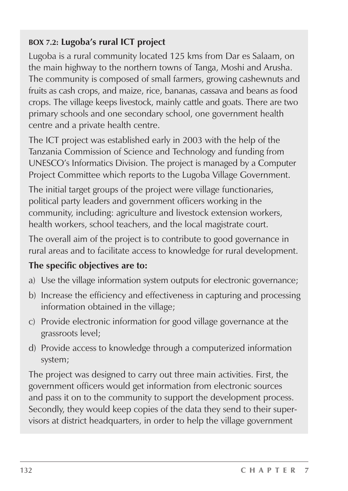#### **BOX 7.2: Lugoba's rural ICT project**

Lugoba is a rural community located 125 kms from Dar es Salaam, on the main highway to the northern towns of Tanga, Moshi and Arusha. The community is composed of small farmers, growing cashewnuts and fruits as cash crops, and maize, rice, bananas, cassava and beans as food crops. The village keeps livestock, mainly cattle and goats. There are two primary schools and one secondary school, one government health centre and a private health centre.

The ICT project was established early in 2003 with the help of the Tanzania Commission of Science and Technology and funding from UNESCO's Informatics Division. The project is managed by a Computer Project Committee which reports to the Lugoba Village Government.

The initial target groups of the project were village functionaries, political party leaders and government officers working in the community, including: agriculture and livestock extension workers, health workers, school teachers, and the local magistrate court.

The overall aim of the project is to contribute to good governance in rural areas and to facilitate access to knowledge for rural development.

#### **The specific objectives are to:**

- a) Use the village information system outputs for electronic governance;
- b) Increase the efficiency and effectiveness in capturing and processing information obtained in the village;
- c) Provide electronic information for good village governance at the grassroots level;
- d) Provide access to knowledge through a computerized information system;

The project was designed to carry out three main activities. First, the government officers would get information from electronic sources and pass it on to the community to support the development process. Secondly, they would keep copies of the data they send to their supervisors at district headquarters, in order to help the village government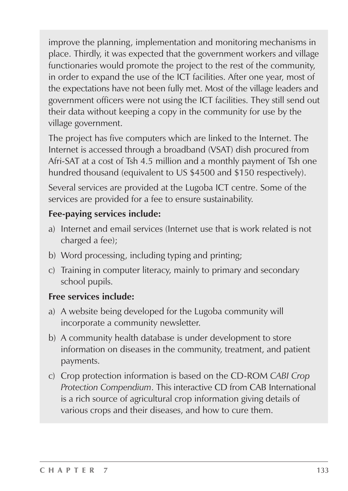improve the planning, implementation and monitoring mechanisms in place. Thirdly, it was expected that the government workers and village functionaries would promote the project to the rest of the community, in order to expand the use of the ICT facilities. After one year, most of the expectations have not been fully met. Most of the village leaders and government officers were not using the ICT facilities. They still send out their data without keeping a copy in the community for use by the village government.

The project has five computers which are linked to the Internet. The Internet is accessed through a broadband (VSAT) dish procured from Afri-SAT at a cost of Tsh 4.5 million and a monthly payment of Tsh one hundred thousand (equivalent to US \$4500 and \$150 respectively).

Several services are provided at the Lugoba ICT centre. Some of the services are provided for a fee to ensure sustainability.

#### **Fee-paying services include:**

- a) Internet and email services (Internet use that is work related is not charged a fee);
- b) Word processing, including typing and printing;
- c) Training in computer literacy, mainly to primary and secondary school pupils.

#### **Free services include:**

- a) A website being developed for the Lugoba community will incorporate a community newsletter.
- b) A community health database is under development to store information on diseases in the community, treatment, and patient payments.
- c) Crop protection information is based on the CD-ROM *CABI Crop Protection Compendium*. This interactive CD from CAB International is a rich source of agricultural crop information giving details of various crops and their diseases, and how to cure them.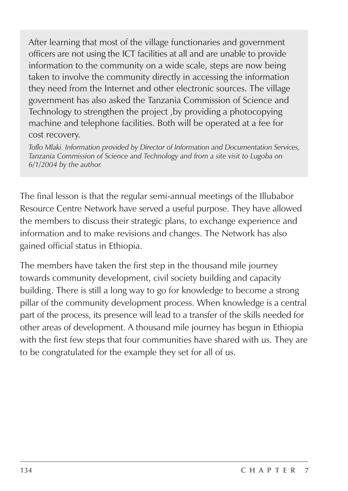After learning that most of the village functionaries and government officers are not using the ICT facilities at all and are unable to provide information to the community on a wide scale, steps are now being taken to involve the community directly in accessing the information they need from the Internet and other electronic sources. The village government has also asked the Tanzania Commission of Science and Technology to strengthen the project ,by providing a photocopying machine and telephone facilities. Both will be operated at a fee for cost recovery.

*Toflo Mlaki. Information provided by Director of Information and Documentation Services, Tanzania Commission of Science and Technology and from a site visit to Lugoba on 6/1/2004 by the author.*

The final lesson is that the regular semi-annual meetings of the Illubabor Resource Centre Network have served a useful purpose. They have allowed the members to discuss their strategic plans, to exchange experience and information and to make revisions and changes. The Network has also gained official status in Ethiopia.

The members have taken the first step in the thousand mile journey towards community development, civil society building and capacity building. There is still a long way to go for knowledge to become a strong pillar of the community development process. When knowledge is a central part of the process, its presence will lead to a transfer of the skills needed for other areas of development. A thousand mile journey has begun in Ethiopia with the first few steps that four communities have shared with us. They are to be congratulated for the example they set for all of us.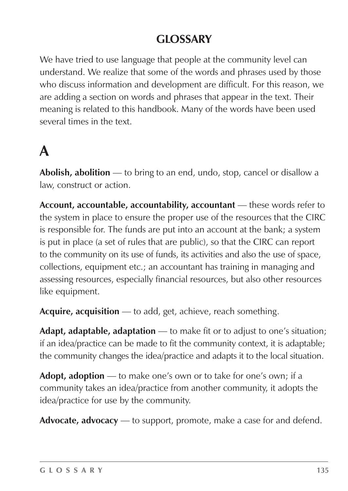#### **GLOSSARY**

We have tried to use language that people at the community level can understand. We realize that some of the words and phrases used by those who discuss information and development are difficult. For this reason, we are adding a section on words and phrases that appear in the text. Their meaning is related to this handbook. Many of the words have been used several times in the text.

## **A**

**Abolish, abolition** — to bring to an end, undo, stop, cancel or disallow a law, construct or action.

**Account, accountable, accountability, accountant** — these words refer to the system in place to ensure the proper use of the resources that the CIRC is responsible for. The funds are put into an account at the bank; a system is put in place (a set of rules that are public), so that the CIRC can report to the community on its use of funds, its activities and also the use of space, collections, equipment etc.; an accountant has training in managing and assessing resources, especially financial resources, but also other resources like equipment.

**Acquire, acquisition** — to add, get, achieve, reach something.

**Adapt, adaptable, adaptation** — to make fit or to adjust to one's situation; if an idea/practice can be made to fit the community context, it is adaptable; the community changes the idea/practice and adapts it to the local situation.

**Adopt, adoption** — to make one's own or to take for one's own; if a community takes an idea/practice from another community, it adopts the idea/practice for use by the community.

**Advocate, advocacy** — to support, promote, make a case for and defend.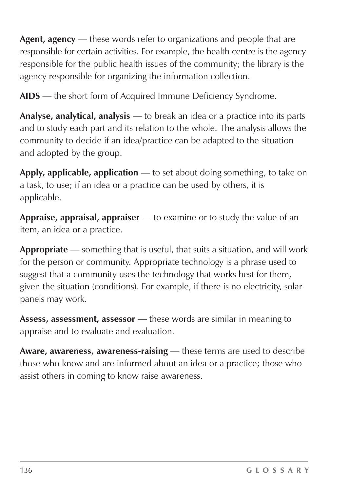**Agent, agency** — these words refer to organizations and people that are responsible for certain activities. For example, the health centre is the agency responsible for the public health issues of the community; the library is the agency responsible for organizing the information collection.

**AIDS** — the short form of Acquired Immune Deficiency Syndrome.

**Analyse, analytical, analysis** — to break an idea or a practice into its parts and to study each part and its relation to the whole. The analysis allows the community to decide if an idea/practice can be adapted to the situation and adopted by the group.

**Apply, applicable, application** — to set about doing something, to take on a task, to use; if an idea or a practice can be used by others, it is applicable.

**Appraise, appraisal, appraiser** — to examine or to study the value of an item, an idea or a practice.

**Appropriate** — something that is useful, that suits a situation, and will work for the person or community. Appropriate technology is a phrase used to suggest that a community uses the technology that works best for them, given the situation (conditions). For example, if there is no electricity, solar panels may work.

**Assess, assessment, assessor** — these words are similar in meaning to appraise and to evaluate and evaluation.

**Aware, awareness, awareness-raising** — these terms are used to describe those who know and are informed about an idea or a practice; those who assist others in coming to know raise awareness.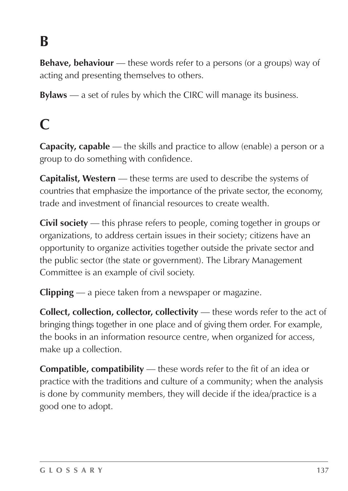# **B**

**Behave, behaviour** — these words refer to a persons (or a groups) way of acting and presenting themselves to others.

**Bylaws** — a set of rules by which the CIRC will manage its business.

### **C**

**Capacity, capable** — the skills and practice to allow (enable) a person or a group to do something with confidence.

**Capitalist, Western** — these terms are used to describe the systems of countries that emphasize the importance of the private sector, the economy, trade and investment of financial resources to create wealth.

**Civil society** — this phrase refers to people, coming together in groups or organizations, to address certain issues in their society; citizens have an opportunity to organize activities together outside the private sector and the public sector (the state or government). The Library Management Committee is an example of civil society.

**Clipping** — a piece taken from a newspaper or magazine.

**Collect, collection, collector, collectivity** — these words refer to the act of bringing things together in one place and of giving them order. For example, the books in an information resource centre, when organized for access, make up a collection.

**Compatible, compatibility** — these words refer to the fit of an idea or practice with the traditions and culture of a community; when the analysis is done by community members, they will decide if the idea/practice is a good one to adopt.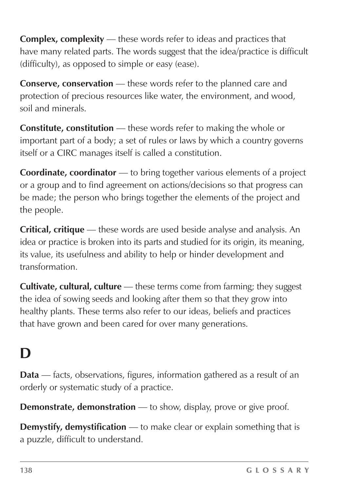**Complex, complexity** — these words refer to ideas and practices that have many related parts. The words suggest that the idea/practice is difficult (difficulty), as opposed to simple or easy (ease).

**Conserve, conservation** — these words refer to the planned care and protection of precious resources like water, the environment, and wood, soil and minerals.

**Constitute, constitution** — these words refer to making the whole or important part of a body; a set of rules or laws by which a country governs itself or a CIRC manages itself is called a constitution.

**Coordinate, coordinator** — to bring together various elements of a project or a group and to find agreement on actions/decisions so that progress can be made; the person who brings together the elements of the project and the people.

**Critical, critique** — these words are used beside analyse and analysis. An idea or practice is broken into its parts and studied for its origin, its meaning, its value, its usefulness and ability to help or hinder development and transformation.

**Cultivate, cultural, culture** — these terms come from farming; they suggest the idea of sowing seeds and looking after them so that they grow into healthy plants. These terms also refer to our ideas, beliefs and practices that have grown and been cared for over many generations.

## **D**

**Data** — facts, observations, figures, information gathered as a result of an orderly or systematic study of a practice.

**Demonstrate, demonstration** — to show, display, prove or give proof.

**Demystify, demystification** — to make clear or explain something that is a puzzle, difficult to understand.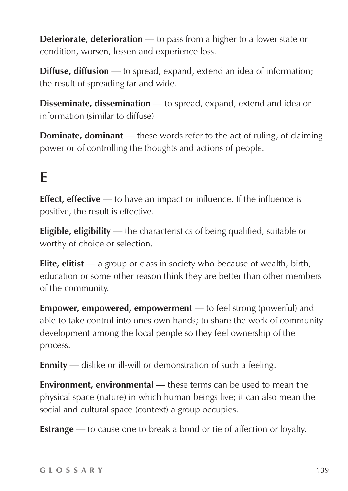**Deteriorate, deterioration** — to pass from a higher to a lower state or condition, worsen, lessen and experience loss.

**Diffuse, diffusion** — to spread, expand, extend an idea of information; the result of spreading far and wide.

**Disseminate, dissemination** — to spread, expand, extend and idea or information (similar to diffuse)

**Dominate, dominant** — these words refer to the act of ruling, of claiming power or of controlling the thoughts and actions of people.

## **E**

**Effect, effective** — to have an impact or influence. If the influence is positive, the result is effective.

**Eligible, eligibility** — the characteristics of being qualified, suitable or worthy of choice or selection.

**Elite, elitist** — a group or class in society who because of wealth, birth, education or some other reason think they are better than other members of the community.

**Empower, empowered, empowerment** — to feel strong (powerful) and able to take control into ones own hands; to share the work of community development among the local people so they feel ownership of the process.

**Enmity** — dislike or ill-will or demonstration of such a feeling.

**Environment, environmental** — these terms can be used to mean the physical space (nature) in which human beings live; it can also mean the social and cultural space (context) a group occupies.

**Estrange** — to cause one to break a bond or tie of affection or loyalty.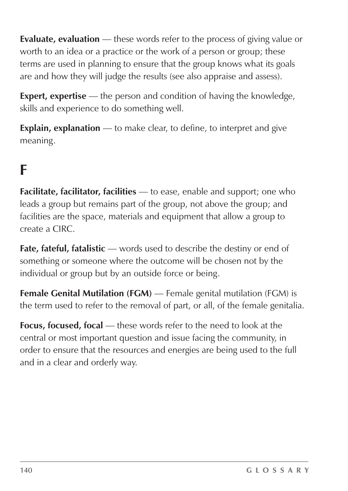**Evaluate, evaluation** — these words refer to the process of giving value or worth to an idea or a practice or the work of a person or group; these terms are used in planning to ensure that the group knows what its goals are and how they will judge the results (see also appraise and assess).

**Expert, expertise** — the person and condition of having the knowledge, skills and experience to do something well.

**Explain, explanation** — to make clear, to define, to interpret and give meaning.

### **F**

**Facilitate, facilitator, facilities** — to ease, enable and support; one who leads a group but remains part of the group, not above the group; and facilities are the space, materials and equipment that allow a group to create a CIRC.

**Fate, fateful, fatalistic** — words used to describe the destiny or end of something or someone where the outcome will be chosen not by the individual or group but by an outside force or being.

**Female Genital Mutilation (FGM)** — Female genital mutilation (FGM) is the term used to refer to the removal of part, or all, of the female genitalia.

**Focus, focused, focal** — these words refer to the need to look at the central or most important question and issue facing the community, in order to ensure that the resources and energies are being used to the full and in a clear and orderly way.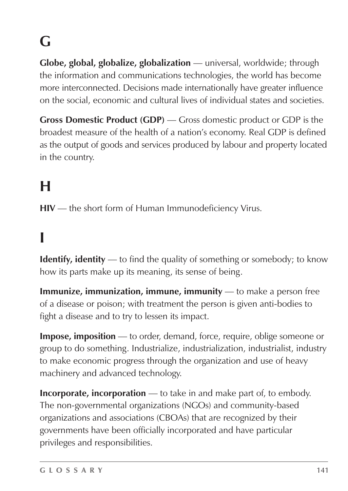# **G**

**Globe, global, globalize, globalization** — universal, worldwide; through the information and communications technologies, the world has become more interconnected. Decisions made internationally have greater influence on the social, economic and cultural lives of individual states and societies.

**Gross Domestic Product (GDP)** — Gross domestic product or GDP is the broadest measure of the health of a nation's economy. Real GDP is defined as the output of goods and services produced by labour and property located in the country.

## **H**

**HIV** — the short form of Human Immunodeficiency Virus.

## **I**

**Identify, identity** — to find the quality of something or somebody; to know how its parts make up its meaning, its sense of being.

**Immunize, immunization, immune, immunity** — to make a person free of a disease or poison; with treatment the person is given anti-bodies to fight a disease and to try to lessen its impact.

**Impose, imposition** — to order, demand, force, require, oblige someone or group to do something. Industrialize, industrialization, industrialist, industry to make economic progress through the organization and use of heavy machinery and advanced technology.

**Incorporate, incorporation** — to take in and make part of, to embody. The non-governmental organizations (NGOs) and community-based organizations and associations (CBOAs) that are recognized by their governments have been officially incorporated and have particular privileges and responsibilities.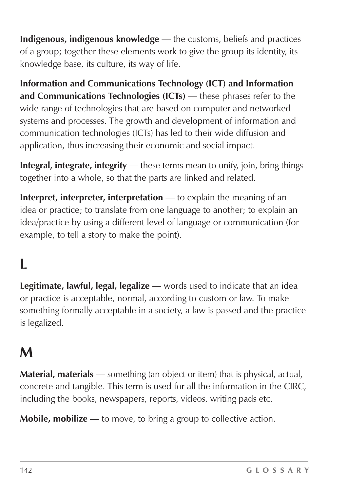**Indigenous, indigenous knowledge** — the customs, beliefs and practices of a group; together these elements work to give the group its identity, its knowledge base, its culture, its way of life.

**Information and Communications Technology (ICT) and Information and Communications Technologies (ICTs)** — these phrases refer to the wide range of technologies that are based on computer and networked systems and processes. The growth and development of information and communication technologies (ICTs) has led to their wide diffusion and application, thus increasing their economic and social impact.

**Integral, integrate, integrity** — these terms mean to unify, join, bring things together into a whole, so that the parts are linked and related.

**Interpret, interpreter, interpretation** — to explain the meaning of an idea or practice; to translate from one language to another; to explain an idea/practice by using a different level of language or communication (for example, to tell a story to make the point).

## **L**

**Legitimate, lawful, legal, legalize** — words used to indicate that an idea or practice is acceptable, normal, according to custom or law. To make something formally acceptable in a society, a law is passed and the practice is legalized.

### **M**

**Material, materials** — something (an object or item) that is physical, actual, concrete and tangible. This term is used for all the information in the CIRC, including the books, newspapers, reports, videos, writing pads etc.

**Mobile, mobilize** — to move, to bring a group to collective action.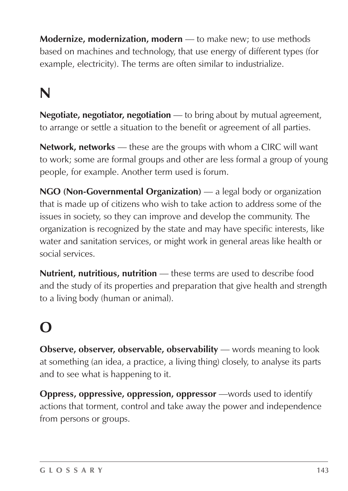**Modernize, modernization, modern** — to make new; to use methods based on machines and technology, that use energy of different types (for example, electricity). The terms are often similar to industrialize.

## **N**

**Negotiate, negotiator, negotiation** — to bring about by mutual agreement, to arrange or settle a situation to the benefit or agreement of all parties.

**Network, networks** — these are the groups with whom a CIRC will want to work; some are formal groups and other are less formal a group of young people, for example. Another term used is forum.

**NGO (Non-Governmental Organization)** — a legal body or organization that is made up of citizens who wish to take action to address some of the issues in society, so they can improve and develop the community. The organization is recognized by the state and may have specific interests, like water and sanitation services, or might work in general areas like health or social services.

**Nutrient, nutritious, nutrition** — these terms are used to describe food and the study of its properties and preparation that give health and strength to a living body (human or animal).

## **O**

**Observe, observer, observable, observability** — words meaning to look at something (an idea, a practice, a living thing) closely, to analyse its parts and to see what is happening to it.

**Oppress, oppressive, oppression, oppressor** —words used to identify actions that torment, control and take away the power and independence from persons or groups.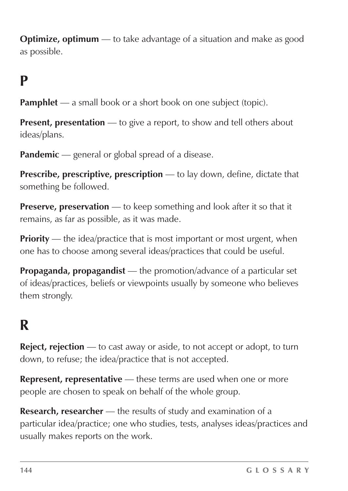**Optimize, optimum** — to take advantage of a situation and make as good as possible.

### **P**

**Pamphlet** — a small book or a short book on one subject (topic).

**Present, presentation** — to give a report, to show and tell others about ideas/plans.

Pandemic — general or global spread of a disease.

**Prescribe, prescriptive, prescription** — to lay down, define, dictate that something be followed.

**Preserve, preservation** — to keep something and look after it so that it remains, as far as possible, as it was made.

**Priority** — the idea/practice that is most important or most urgent, when one has to choose among several ideas/practices that could be useful.

**Propaganda, propagandist** — the promotion/advance of a particular set of ideas/practices, beliefs or viewpoints usually by someone who believes them strongly.

### **R**

**Reject, rejection** — to cast away or aside, to not accept or adopt, to turn down, to refuse; the idea/practice that is not accepted.

**Represent, representative** — these terms are used when one or more people are chosen to speak on behalf of the whole group.

**Research, researcher** — the results of study and examination of a particular idea/practice; one who studies, tests, analyses ideas/practices and usually makes reports on the work.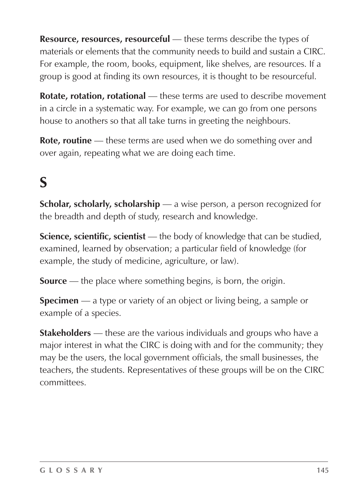**Resource, resources, resourceful** — these terms describe the types of materials or elements that the community needs to build and sustain a CIRC. For example, the room, books, equipment, like shelves, are resources. If a group is good at finding its own resources, it is thought to be resourceful.

**Rotate, rotation, rotational** — these terms are used to describe movement in a circle in a systematic way. For example, we can go from one persons house to anothers so that all take turns in greeting the neighbours.

**Rote, routine** — these terms are used when we do something over and over again, repeating what we are doing each time.

## **S**

**Scholar, scholarly, scholarship** — a wise person, a person recognized for the breadth and depth of study, research and knowledge.

**Science, scientific, scientist** — the body of knowledge that can be studied, examined, learned by observation; a particular field of knowledge (for example, the study of medicine, agriculture, or law).

**Source** — the place where something begins, is born, the origin.

**Specimen** — a type or variety of an object or living being, a sample or example of a species.

**Stakeholders** — these are the various individuals and groups who have a major interest in what the CIRC is doing with and for the community; they may be the users, the local government officials, the small businesses, the teachers, the students. Representatives of these groups will be on the CIRC committees.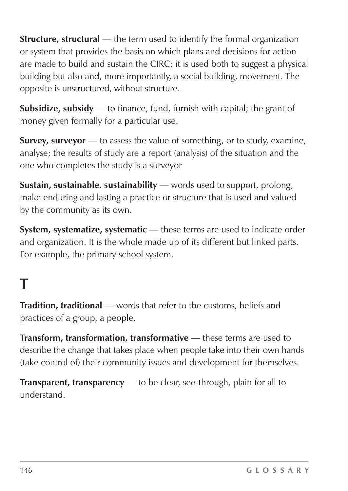**Structure, structural** — the term used to identify the formal organization or system that provides the basis on which plans and decisions for action are made to build and sustain the CIRC; it is used both to suggest a physical building but also and, more importantly, a social building, movement. The opposite is unstructured, without structure.

**Subsidize, subsidy** — to finance, fund, furnish with capital; the grant of money given formally for a particular use.

**Survey, surveyor** — to assess the value of something, or to study, examine, analyse; the results of study are a report (analysis) of the situation and the one who completes the study is a surveyor

**Sustain, sustainable. sustainability** — words used to support, prolong, make enduring and lasting a practice or structure that is used and valued by the community as its own.

**System, systematize, systematic** — these terms are used to indicate order and organization. It is the whole made up of its different but linked parts. For example, the primary school system.

## **T**

**Tradition, traditional** — words that refer to the customs, beliefs and practices of a group, a people.

**Transform, transformation, transformative** — these terms are used to describe the change that takes place when people take into their own hands (take control of) their community issues and development for themselves.

**Transparent, transparency** — to be clear, see-through, plain for all to understand.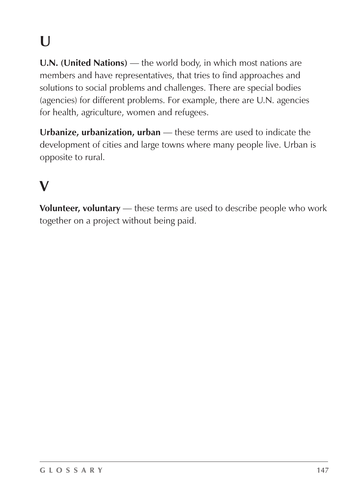# **U**

**U.N. (United Nations)** — the world body, in which most nations are members and have representatives, that tries to find approaches and solutions to social problems and challenges. There are special bodies (agencies) for different problems. For example, there are U.N. agencies for health, agriculture, women and refugees.

**Urbanize, urbanization, urban** — these terms are used to indicate the development of cities and large towns where many people live. Urban is opposite to rural.

## **V**

**Volunteer, voluntary** — these terms are used to describe people who work together on a project without being paid.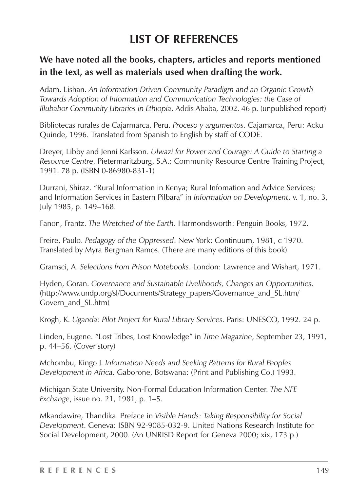### **LIST OF REFERENCES**

#### **We have noted all the books, chapters, articles and reports mentioned in the text, as well as materials used when drafting the work.**

Adam, Lishan. *An Information-Driven Community Paradigm and an Organic Growth Towards Adoption of Information and Communication Technologies: the Case of Illubabor Community Libraries in Ethiopia*. Addis Ababa, 2002. 46 p. (unpublished report)

Bibliotecas rurales de Cajarmarca, Peru. *Proceso y argumentos*. Cajamarca, Peru: Acku Quinde, 1996. Translated from Spanish to English by staff of CODE.

Dreyer, Libby and Jenni Karlsson. *Ulwazi for Power and Courage: A Guide to Starting a Resource Centre*. Pietermaritzburg, S.A.: Community Resource Centre Training Project, 1991. 78 p. (ISBN 0-86980-831-1)

Durrani, Shiraz. "Rural Information in Kenya; Rural Infomation and Advice Services; and Information Services in Eastern Pilbara" in *Information on Development*. v. 1, no. 3, July 1985, p. 149–168.

Fanon, Frantz. *The Wretched of the Earth*. Harmondsworth: Penguin Books, 1972.

Freire, Paulo. *Pedagogy of the Oppressed*. New York: Continuum, 1981, c 1970. Translated by Myra Bergman Ramos. (There are many editions of this book)

Gramsci, A. *Selections from Prison Notebooks*. London: Lawrence and Wishart, 1971.

Hyden, Goran. *Governance and Sustainable Livelihoods, Changes an Opportunities*. (http://www.undp.org/sl/Documents/Strategy\_papers/Governance\_and\_SL.htm/ Govern and SL.htm)

Krogh, K. *Uganda: Pilot Project for Rural Library Services*. Paris: UNESCO, 1992. 24 p.

Linden, Eugene. "Lost Tribes, Lost Knowledge" in *Time Magazine*, September 23, 1991, p. 44–56. (Cover story)

Mchombu, Kingo J. *Information Needs and Seeking Patterns for Rural Peoples Development in Africa.* Gaborone, Botswana: (Print and Publishing Co.) 1993.

Michigan State University. Non-Formal Education Information Center. *The NFE Exchange*, issue no. 21, 1981, p. 1–5.

Mkandawire, Thandika. Preface in *Visible Hands: Taking Responsibility for Social Development*. Geneva: ISBN 92-9085-032-9. United Nations Research Institute for Social Development, 2000. (An UNRISD Report for Geneva 2000; xix, 173 p.)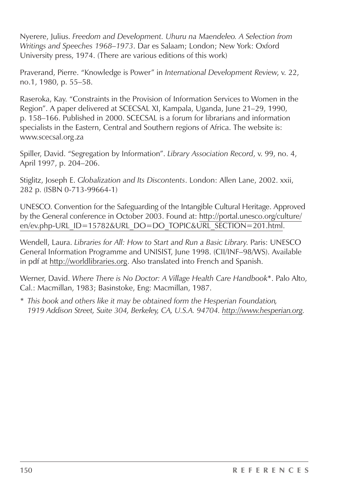Nyerere, Julius. *Freedom and Development. Uhuru na Maendeleo. A Selection from Writings and Speeches 1968–1973*. Dar es Salaam; London; New York: Oxford University press, 1974. (There are various editions of this work)

Praverand, Pierre. "Knowledge is Power" in *International Development Review*, v. 22, no.1, 1980, p. 55–58.

Raseroka, Kay. "Constraints in the Provision of Information Services to Women in the Region". A paper delivered at SCECSAL XI, Kampala, Uganda, June 21–29, 1990, p. 158–166. Published in 2000. SCECSAL is a forum for librarians and information specialists in the Eastern, Central and Southern regions of Africa. The website is: www.scecsal.org.za

Spiller, David. "Segregation by Information". *Library Association Record*, v. 99, no. 4, April 1997, p. 204–206.

Stiglitz, Joseph E. *Globalization and Its Discontents*. London: Allen Lane, 2002. xxii, 282 p. (ISBN 0-713-99664-1)

UNESCO. Convention for the Safeguarding of the Intangible Cultural Heritage. Approved by the General conference in October 2003. Found at: http://portal.unesco.org/culture/ en/ev.php-URL\_ID=15782&URL\_DO=DO\_TOPIC&URL\_SECTION=201.html.

Wendell, Laura. *Libraries for All: How to Start and Run a Basic Library*. Paris: UNESCO General Information Programme and UNISIST, June 1998. (CII/INF–98/WS). Available in pdf at http://worldlibraries.org. Also translated into French and Spanish.

Werner, David. *Where There is No Doctor: A Village Health Care Handbook*\*. Palo Alto, Cal.: Macmillan, 1983; Basinstoke, Eng: Macmillan, 1987.

*\* This book and others like it may be obtained form the Hesperian Foundation, 1919 Addison Street, Suite 304, Berkeley, CA, U.S.A. 94704. http://www.hesperian.org.*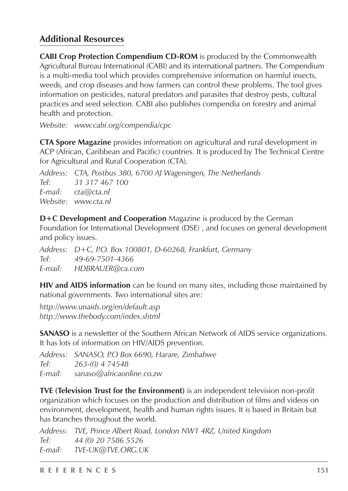#### **Additional Resources**

**CABI Crop Protection Compendium CD-ROM** is produced by the Commonwealth Agricultural Bureau International (CABI) and its international partners. The Compendium is a multi-media tool which provides comprehensive information on harmful insects, weeds, and crop diseases and how farmers can control these problems. The tool gives information on pesticides, natural predators and parasites that destroy pests, cultural practices and seed selection. CABI also publishes compendia on forestry and animal health and protection.

*Website: www.cabi.org/compendia/cpc*

**CTA Spore Magazine** provides information on agricultural and rural development in ACP (African, Caribbean and Pacific) countries. It is produced by The Technical Centre for Agricultural and Rural Cooperation (CTA).

*Address: CTA, Postbus 380, 6700 AJ Wageningen, The Netherlands Tel: 31 317 467 100 E-mail: cta@cta.nl Website: www.cta.nl*

**D+C Development and Cooperation** Magazine is produced by the German Foundation for International Development (DSE) , and focuses on general development and policy issues.

*Address: D+C, P.O. Box 100801, D-60268, Frankfurt, Germany Tel: 49-69-7501-4366 E-mail: HDBRAUER@ca.com*

**HIV and AIDS information** can be found on many sites, including those maintained by national governments. Two international sites are:

*http://www.unaids.org/en/default.asp http://www.thebody.com/index.shtml*

**SANASO** is a newsletter of the Southern African Network of AIDS service organizations. It has lots of information on HIV/AIDS prevention.

*Address: SANASO, P.O Box 6690, Harare, Zimbabwe Tel: 263-(0) 4 74548 E-mail: sanaso@africaonline.co.zw*

**TVE (Television Trust for the Environment)** is an independent television non-profit organization which focuses on the production and distribution of films and videos on environment, development, health and human rights issues. It is based in Britain but has branches throughout the world.

*Address: TVE, Prince Albert Road, London NW1 4RZ, United Kingdom Tel: 44 (0) 20 7586 5526 E-mail: TVE-UK@TVE.ORG.UK*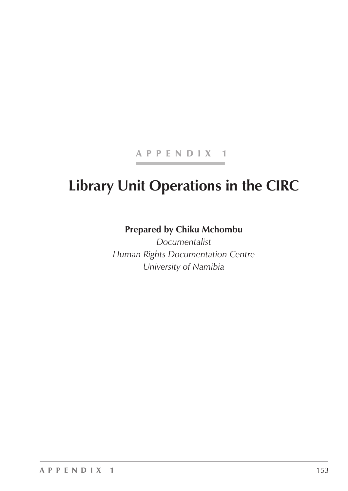#### APPENDIX 1

## **Library Unit Operations in the CIRC**

#### **Prepared by Chiku Mchombu**

*Documentalist Human Rights Documentation Centre University of Namibia*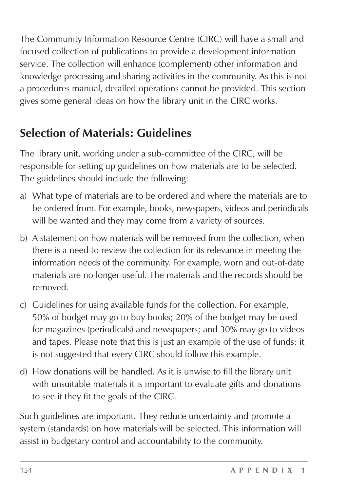The Community Information Resource Centre (CIRC) will have a small and focused collection of publications to provide a development information service. The collection will enhance (complement) other information and knowledge processing and sharing activities in the community. As this is not a procedures manual, detailed operations cannot be provided. This section gives some general ideas on how the library unit in the CIRC works.

## **Selection of Materials: Guidelines**

The library unit, working under a sub-committee of the CIRC, will be responsible for setting up guidelines on how materials are to be selected. The guidelines should include the following:

- a) What type of materials are to be ordered and where the materials are to be ordered from. For example, books, newspapers, videos and periodicals will be wanted and they may come from a variety of sources.
- b) A statement on how materials will be removed from the collection, when there is a need to review the collection for its relevance in meeting the information needs of the community. For example, worn and out-of-date materials are no longer useful. The materials and the records should be removed.
- c) Guidelines for using available funds for the collection. For example, 50% of budget may go to buy books; 20% of the budget may be used for magazines (periodicals) and newspapers; and 30% may go to videos and tapes. Please note that this is just an example of the use of funds; it is not suggested that every CIRC should follow this example.
- d) How donations will be handled. As it is unwise to fill the library unit with unsuitable materials it is important to evaluate gifts and donations to see if they fit the goals of the CIRC.

Such guidelines are important. They reduce uncertainty and promote a system (standards) on how materials will be selected. This information will assist in budgetary control and accountability to the community.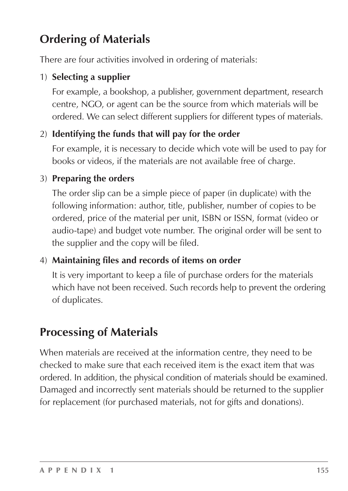## **Ordering of Materials**

There are four activities involved in ordering of materials:

#### 1) **Selecting a supplier**

For example, a bookshop, a publisher, government department, research centre, NGO, or agent can be the source from which materials will be ordered. We can select different suppliers for different types of materials.

#### 2) **Identifying the funds that will pay for the order**

For example, it is necessary to decide which vote will be used to pay for books or videos, if the materials are not available free of charge.

#### 3) **Preparing the orders**

The order slip can be a simple piece of paper (in duplicate) with the following information: author, title, publisher, number of copies to be ordered, price of the material per unit, ISBN or ISSN, format (video or audio-tape) and budget vote number. The original order will be sent to the supplier and the copy will be filed.

#### 4) **Maintaining files and records of items on order**

It is very important to keep a file of purchase orders for the materials which have not been received. Such records help to prevent the ordering of duplicates.

### **Processing of Materials**

When materials are received at the information centre, they need to be checked to make sure that each received item is the exact item that was ordered. In addition, the physical condition of materials should be examined. Damaged and incorrectly sent materials should be returned to the supplier for replacement (for purchased materials, not for gifts and donations).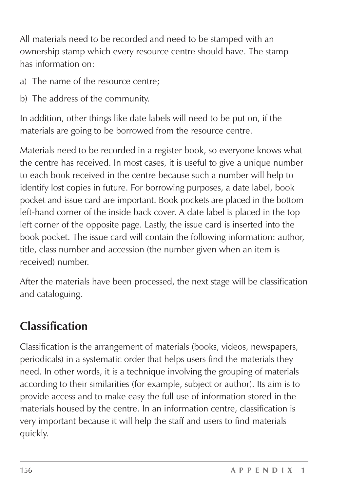All materials need to be recorded and need to be stamped with an ownership stamp which every resource centre should have. The stamp has information on:

- a) The name of the resource centre;
- b) The address of the community.

In addition, other things like date labels will need to be put on, if the materials are going to be borrowed from the resource centre.

Materials need to be recorded in a register book, so everyone knows what the centre has received. In most cases, it is useful to give a unique number to each book received in the centre because such a number will help to identify lost copies in future. For borrowing purposes, a date label, book pocket and issue card are important. Book pockets are placed in the bottom left-hand corner of the inside back cover. A date label is placed in the top left corner of the opposite page. Lastly, the issue card is inserted into the book pocket. The issue card will contain the following information: author, title, class number and accession (the number given when an item is received) number.

After the materials have been processed, the next stage will be classification and cataloguing.

## **Classification**

Classification is the arrangement of materials (books, videos, newspapers, periodicals) in a systematic order that helps users find the materials they need. In other words, it is a technique involving the grouping of materials according to their similarities (for example, subject or author). Its aim is to provide access and to make easy the full use of information stored in the materials housed by the centre. In an information centre, classification is very important because it will help the staff and users to find materials quickly.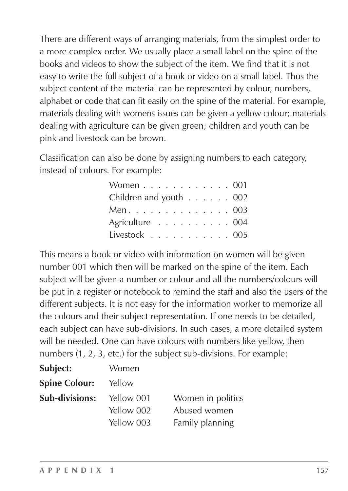There are different ways of arranging materials, from the simplest order to a more complex order. We usually place a small label on the spine of the books and videos to show the subject of the item. We find that it is not easy to write the full subject of a book or video on a small label. Thus the subject content of the material can be represented by colour, numbers, alphabet or code that can fit easily on the spine of the material. For example, materials dealing with womens issues can be given a yellow colour; materials dealing with agriculture can be given green; children and youth can be pink and livestock can be brown.

Classification can also be done by assigning numbers to each category, instead of colours. For example:

| Women 001                                   |  |  |  |  |
|---------------------------------------------|--|--|--|--|
| Children and youth 002                      |  |  |  |  |
| Men. 003                                    |  |  |  |  |
| Agriculture 004                             |  |  |  |  |
| Livestock $\ldots \ldots \ldots \ldots 005$ |  |  |  |  |

This means a book or video with information on women will be given number 001 which then will be marked on the spine of the item. Each subject will be given a number or colour and all the numbers/colours will be put in a register or notebook to remind the staff and also the users of the different subjects. It is not easy for the information worker to memorize all the colours and their subject representation. If one needs to be detailed, each subject can have sub-divisions. In such cases, a more detailed system will be needed. One can have colours with numbers like yellow, then numbers (1, 2, 3, etc.) for the subject sub-divisions. For example:

| Women      |                   |
|------------|-------------------|
| Yellow     |                   |
| Yellow 001 | Women in politics |
|            | Abused women      |
| Yellow 003 | Family planning   |
|            | Yellow 002        |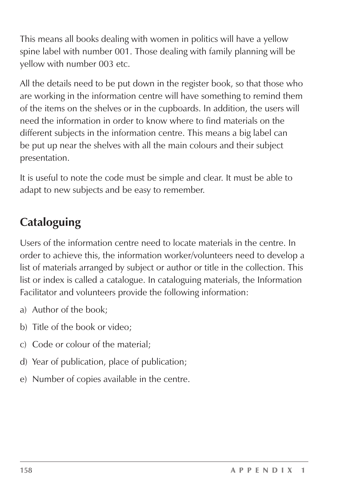This means all books dealing with women in politics will have a yellow spine label with number 001. Those dealing with family planning will be yellow with number 003 etc.

All the details need to be put down in the register book, so that those who are working in the information centre will have something to remind them of the items on the shelves or in the cupboards. In addition, the users will need the information in order to know where to find materials on the different subjects in the information centre. This means a big label can be put up near the shelves with all the main colours and their subject presentation.

It is useful to note the code must be simple and clear. It must be able to adapt to new subjects and be easy to remember.

## **Cataloguing**

Users of the information centre need to locate materials in the centre. In order to achieve this, the information worker/volunteers need to develop a list of materials arranged by subject or author or title in the collection. This list or index is called a catalogue. In cataloguing materials, the Information Facilitator and volunteers provide the following information:

- a) Author of the book;
- b) Title of the book or video;
- c) Code or colour of the material;
- d) Year of publication, place of publication;
- e) Number of copies available in the centre.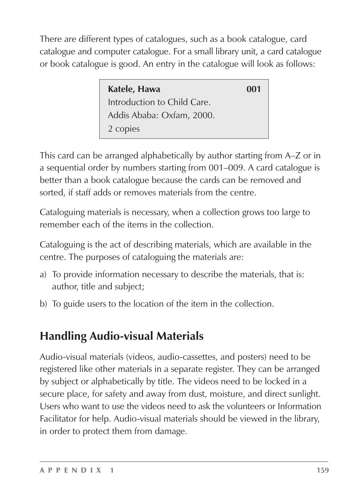There are different types of catalogues, such as a book catalogue, card catalogue and computer catalogue. For a small library unit, a card catalogue or book catalogue is good. An entry in the catalogue will look as follows:

| Katele, Hawa                | 001 |
|-----------------------------|-----|
| Introduction to Child Care. |     |
| Addis Ababa: Oxfam, 2000.   |     |
| 2 copies                    |     |

This card can be arranged alphabetically by author starting from A–Z or in a sequential order by numbers starting from 001–009. A card catalogue is better than a book catalogue because the cards can be removed and sorted, if staff adds or removes materials from the centre.

Cataloguing materials is necessary, when a collection grows too large to remember each of the items in the collection.

Cataloguing is the act of describing materials, which are available in the centre. The purposes of cataloguing the materials are:

- a) To provide information necessary to describe the materials, that is: author, title and subject;
- b) To guide users to the location of the item in the collection.

## **Handling Audio-visual Materials**

Audio-visual materials (videos, audio-cassettes, and posters) need to be registered like other materials in a separate register. They can be arranged by subject or alphabetically by title. The videos need to be locked in a secure place, for safety and away from dust, moisture, and direct sunlight. Users who want to use the videos need to ask the volunteers or Information Facilitator for help. Audio-visual materials should be viewed in the library, in order to protect them from damage.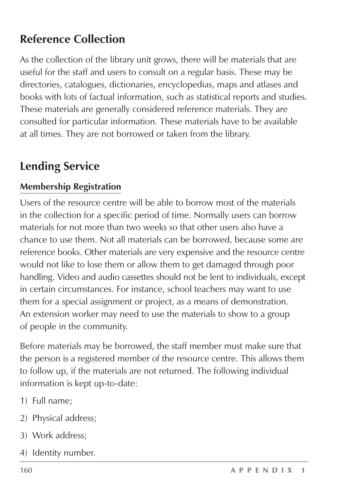### **Reference Collection**

As the collection of the library unit grows, there will be materials that are useful for the staff and users to consult on a regular basis. These may be directories, catalogues, dictionaries, encyclopedias, maps and atlases and books with lots of factual information, such as statistical reports and studies. These materials are generally considered reference materials. They are consulted for particular information. These materials have to be available at all times. They are not borrowed or taken from the library.

### **Lending Service**

#### **Membership Registration**

Users of the resource centre will be able to borrow most of the materials in the collection for a specific period of time. Normally users can borrow materials for not more than two weeks so that other users also have a chance to use them. Not all materials can be borrowed, because some are reference books. Other materials are very expensive and the resource centre would not like to lose them or allow them to get damaged through poor handling. Video and audio cassettes should not be lent to individuals, except in certain circumstances. For instance, school teachers may want to use them for a special assignment or project, as a means of demonstration. An extension worker may need to use the materials to show to a group of people in the community.

Before materials may be borrowed, the staff member must make sure that the person is a registered member of the resource centre. This allows them to follow up, if the materials are not returned. The following individual information is kept up-to-date:

- 1) Full name;
- 2) Physical address;
- 3) Work address;
- 4) Identity number.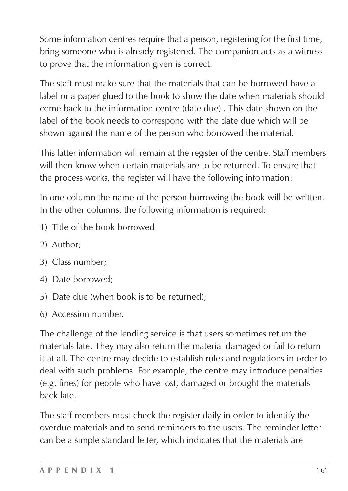Some information centres require that a person, registering for the first time, bring someone who is already registered. The companion acts as a witness to prove that the information given is correct.

The staff must make sure that the materials that can be borrowed have a label or a paper glued to the book to show the date when materials should come back to the information centre (date due) . This date shown on the label of the book needs to correspond with the date due which will be shown against the name of the person who borrowed the material.

This latter information will remain at the register of the centre. Staff members will then know when certain materials are to be returned. To ensure that the process works, the register will have the following information:

In one column the name of the person borrowing the book will be written. In the other columns, the following information is required:

- 1) Title of the book borrowed
- 2) Author;
- 3) Class number;
- 4) Date borrowed;
- 5) Date due (when book is to be returned);
- 6) Accession number.

The challenge of the lending service is that users sometimes return the materials late. They may also return the material damaged or fail to return it at all. The centre may decide to establish rules and regulations in order to deal with such problems. For example, the centre may introduce penalties (e.g. fines) for people who have lost, damaged or brought the materials back late.

The staff members must check the register daily in order to identify the overdue materials and to send reminders to the users. The reminder letter can be a simple standard letter, which indicates that the materials are